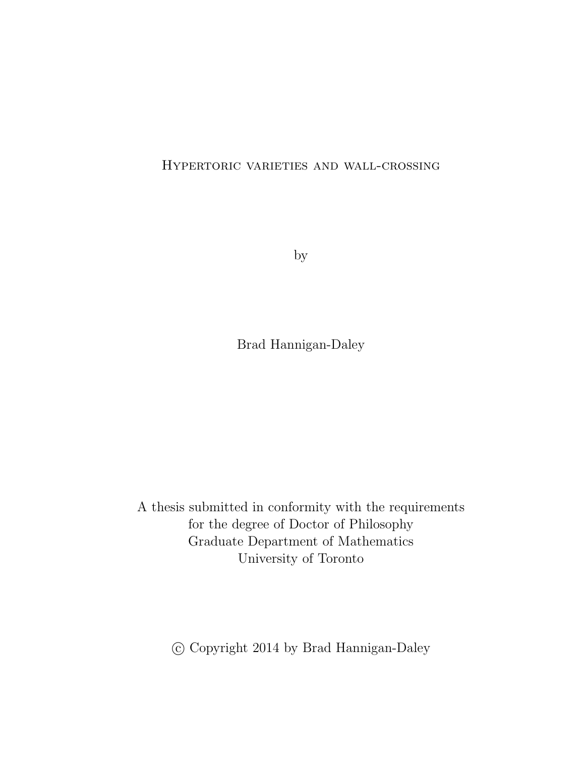#### Hypertoric varieties and wall-crossing

by

Brad Hannigan-Daley

A thesis submitted in conformity with the requirements for the degree of Doctor of Philosophy Graduate Department of Mathematics University of Toronto

c Copyright 2014 by Brad Hannigan-Daley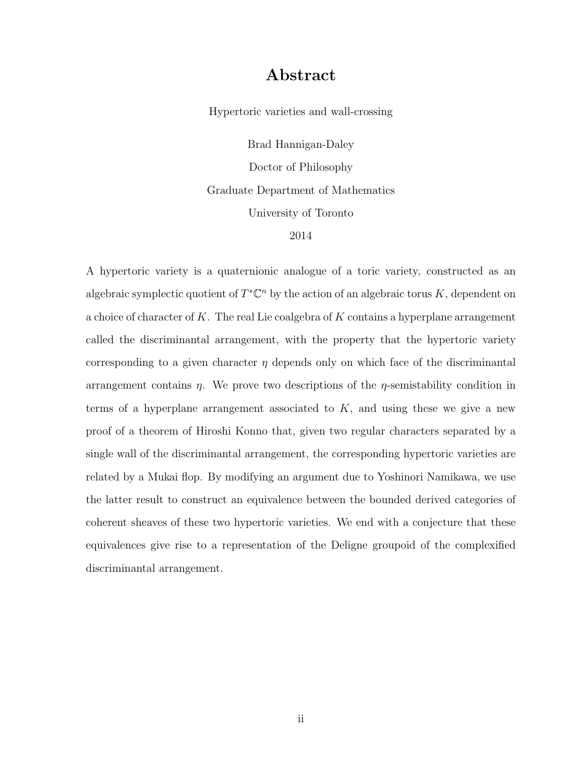#### Abstract

Hypertoric varieties and wall-crossing

Brad Hannigan-Daley Doctor of Philosophy Graduate Department of Mathematics University of Toronto 2014

A hypertoric variety is a quaternionic analogue of a toric variety, constructed as an algebraic symplectic quotient of  $T^{\ast} \mathbb{C}^{n}$  by the action of an algebraic torus K, dependent on a choice of character of K. The real Lie coalgebra of K contains a hyperplane arrangement called the discriminantal arrangement, with the property that the hypertoric variety corresponding to a given character  $\eta$  depends only on which face of the discriminantal arrangement contains  $\eta$ . We prove two descriptions of the  $\eta$ -semistability condition in terms of a hyperplane arrangement associated to  $K$ , and using these we give a new proof of a theorem of Hiroshi Konno that, given two regular characters separated by a single wall of the discriminantal arrangement, the corresponding hypertoric varieties are related by a Mukai flop. By modifying an argument due to Yoshinori Namikawa, we use the latter result to construct an equivalence between the bounded derived categories of coherent sheaves of these two hypertoric varieties. We end with a conjecture that these equivalences give rise to a representation of the Deligne groupoid of the complexified discriminantal arrangement.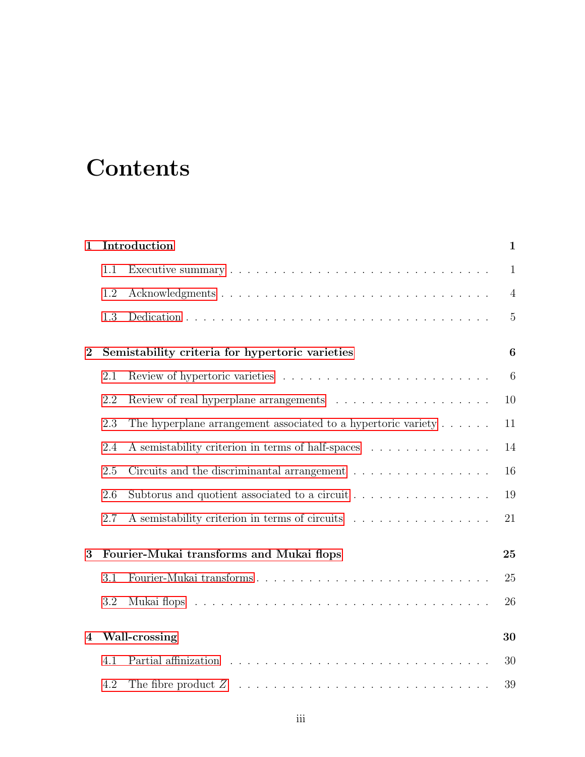# **Contents**

| 1                       | Introduction                                         | $\mathbf{1}$                                                                |                |  |  |  |  |
|-------------------------|------------------------------------------------------|-----------------------------------------------------------------------------|----------------|--|--|--|--|
|                         | 1.1                                                  |                                                                             | $\mathbf{1}$   |  |  |  |  |
|                         | 1.2                                                  |                                                                             | $\overline{4}$ |  |  |  |  |
|                         | 1.3                                                  |                                                                             | 5              |  |  |  |  |
| $\overline{2}$          |                                                      | Semistability criteria for hypertoric varieties                             |                |  |  |  |  |
|                         | 2.1                                                  |                                                                             |                |  |  |  |  |
|                         | 2.2                                                  |                                                                             | 10             |  |  |  |  |
|                         | 2.3                                                  | The hyperplane arrangement associated to a hypertoric variety $\dots \dots$ | 11             |  |  |  |  |
|                         | 2.4                                                  | A semistability criterion in terms of half-spaces                           | 14             |  |  |  |  |
|                         | 2.5                                                  | Circuits and the discriminantal arrangement                                 | 16             |  |  |  |  |
|                         | Subtorus and quotient associated to a circuit<br>2.6 |                                                                             |                |  |  |  |  |
|                         | 2.7                                                  | A semistability criterion in terms of circuits                              | 21             |  |  |  |  |
| 3                       | Fourier-Mukai transforms and Mukai flops             | 25                                                                          |                |  |  |  |  |
|                         | 3.1                                                  | Fourier-Mukai transforms                                                    | 25             |  |  |  |  |
|                         | 3.2                                                  |                                                                             | 26             |  |  |  |  |
| $\overline{\mathbf{4}}$ | Wall-crossing                                        |                                                                             |                |  |  |  |  |
|                         | 4.1                                                  |                                                                             | 30             |  |  |  |  |
|                         | 4.2                                                  |                                                                             | 39             |  |  |  |  |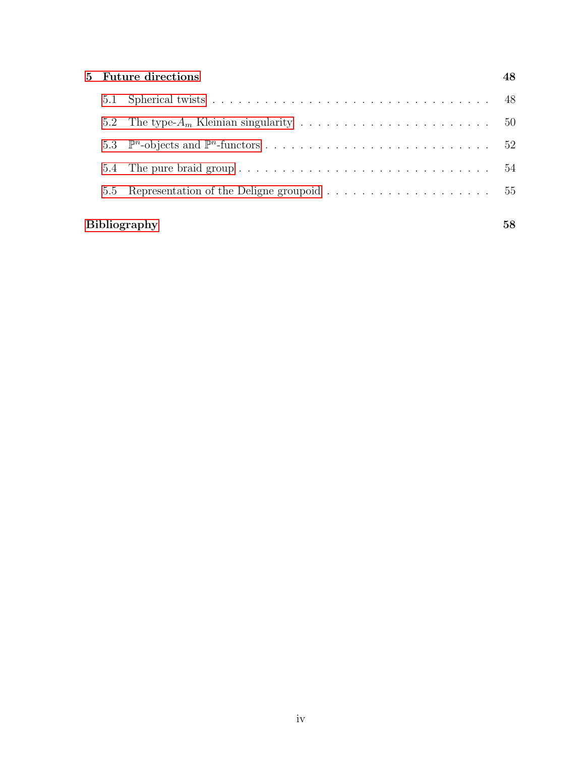|                     | 5 Future directions |                                                                                          |    |  |  |  |  |  |
|---------------------|---------------------|------------------------------------------------------------------------------------------|----|--|--|--|--|--|
|                     |                     |                                                                                          | 48 |  |  |  |  |  |
|                     | 5.2                 |                                                                                          |    |  |  |  |  |  |
|                     | 5.3                 |                                                                                          |    |  |  |  |  |  |
|                     | 5.4                 |                                                                                          |    |  |  |  |  |  |
|                     | $5.5 -$             | Representation of the Deligne groupoid $\dots \dots \dots \dots \dots \dots \dots \dots$ |    |  |  |  |  |  |
| <b>Bibliography</b> |                     |                                                                                          |    |  |  |  |  |  |
|                     |                     |                                                                                          |    |  |  |  |  |  |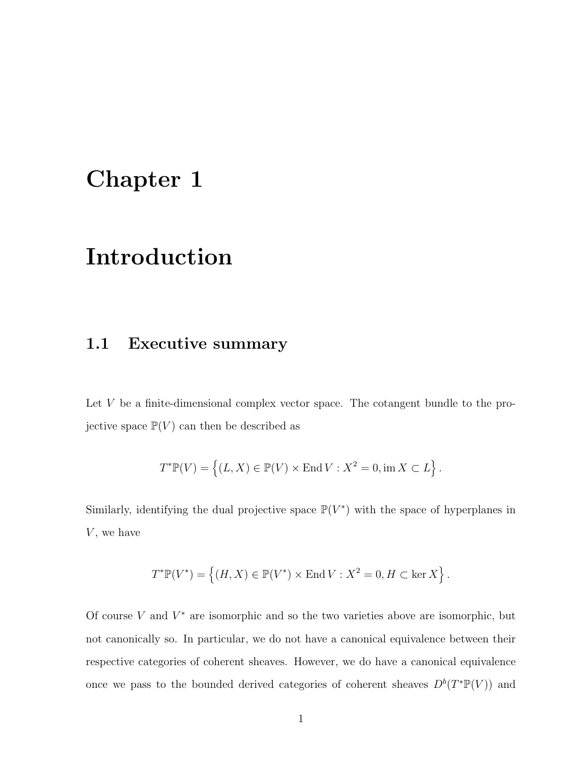## <span id="page-4-0"></span>Chapter 1

## Introduction

### <span id="page-4-1"></span>1.1 Executive summary

Let V be a finite-dimensional complex vector space. The cotangent bundle to the projective space  $\mathbb{P}(V)$  can then be described as

$$
T^*{\mathbb P}(V)=\left\{(L,X)\in {\mathbb P}(V)\times {\rm End}\,V: X^2=0, \operatorname{im} X\subset L\right\}.
$$

Similarly, identifying the dual projective space  $\mathbb{P}(V^*)$  with the space of hyperplanes in  $V$ , we have

$$
T^* \mathbb{P}(V^*) = \left\{ (H, X) \in \mathbb{P}(V^*) \times \text{End}\, V : X^2 = 0, H \subset \ker X \right\}.
$$

Of course  $V$  and  $V^*$  are isomorphic and so the two varieties above are isomorphic, but not canonically so. In particular, we do not have a canonical equivalence between their respective categories of coherent sheaves. However, we do have a canonical equivalence once we pass to the bounded derived categories of coherent sheaves  $D^b(T^*\mathbb{P}(V))$  and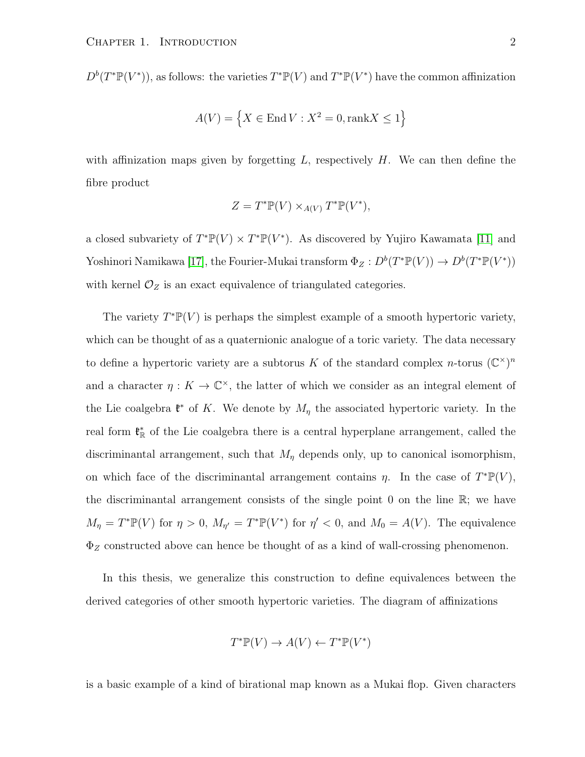$D^b(T^*\mathbb{P}(V^*))$ , as follows: the varieties  $T^*\mathbb{P}(V)$  and  $T^*\mathbb{P}(V^*)$  have the common affinization

$$
A(V) = \left\{ X \in \text{End}\,V : X^2 = 0, \text{rank}X \le 1 \right\}
$$

with affinization maps given by forgetting  $L$ , respectively  $H$ . We can then define the fibre product

$$
Z = T^* \mathbb{P}(V) \times_{A(V)} T^* \mathbb{P}(V^*),
$$

a closed subvariety of  $T^*\mathbb{P}(V) \times T^*\mathbb{P}(V^*)$ . As discovered by Yujiro Kawamata [\[11\]](#page-62-0) and Yoshinori Namikawa [\[17\]](#page-62-1), the Fourier-Mukai transform  $\Phi_Z : D^b(T^* \mathbb{P}(V)) \to D^b(T^* \mathbb{P}(V^*))$ with kernel  $\mathcal{O}_Z$  is an exact equivalence of triangulated categories.

The variety  $T^* \mathbb{P}(V)$  is perhaps the simplest example of a smooth hypertoric variety, which can be thought of as a quaternionic analogue of a toric variety. The data necessary to define a hypertoric variety are a subtorus K of the standard complex n-torus  $(\mathbb{C}^{\times})^n$ and a character  $\eta: K \to \mathbb{C}^{\times}$ , the latter of which we consider as an integral element of the Lie coalgebra  $\mathfrak{k}^*$  of K. We denote by  $M_\eta$  the associated hypertoric variety. In the real form  $\mathfrak{k}_{\mathbb{R}}^*$  of the Lie coalgebra there is a central hyperplane arrangement, called the discriminantal arrangement, such that  $M_{\eta}$  depends only, up to canonical isomorphism, on which face of the discriminantal arrangement contains  $\eta$ . In the case of  $T^*\mathbb{P}(V)$ , the discriminantal arrangement consists of the single point 0 on the line  $\mathbb{R}$ ; we have  $M_{\eta} = T^* \mathbb{P}(V)$  for  $\eta > 0$ ,  $M_{\eta'} = T^* \mathbb{P}(V^*)$  for  $\eta' < 0$ , and  $M_0 = A(V)$ . The equivalence  $\Phi_Z$  constructed above can hence be thought of as a kind of wall-crossing phenomenon.

In this thesis, we generalize this construction to define equivalences between the derived categories of other smooth hypertoric varieties. The diagram of affinizations

$$
T^* \mathbb{P}(V) \to A(V) \leftarrow T^* \mathbb{P}(V^*)
$$

is a basic example of a kind of birational map known as a Mukai flop. Given characters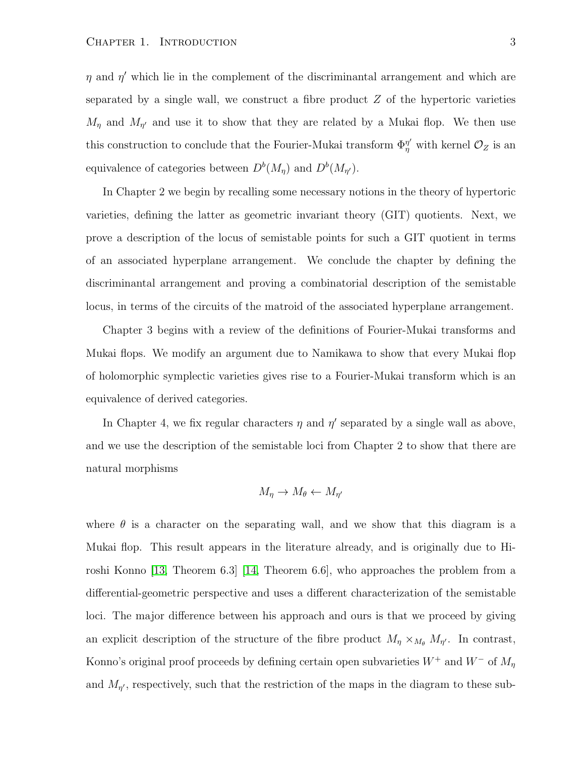$\eta$  and  $\eta'$  which lie in the complement of the discriminantal arrangement and which are separated by a single wall, we construct a fibre product  $Z$  of the hypertoric varieties  $M_{\eta}$  and  $M_{\eta'}$  and use it to show that they are related by a Mukai flop. We then use this construction to conclude that the Fourier-Mukai transform  $\Phi_{\eta}^{\eta'}$  with kernel  $\mathcal{O}_Z$  is an equivalence of categories between  $D^{b}(M_{\eta})$  and  $D^{b}(M_{\eta'})$ .

In Chapter 2 we begin by recalling some necessary notions in the theory of hypertoric varieties, defining the latter as geometric invariant theory (GIT) quotients. Next, we prove a description of the locus of semistable points for such a GIT quotient in terms of an associated hyperplane arrangement. We conclude the chapter by defining the discriminantal arrangement and proving a combinatorial description of the semistable locus, in terms of the circuits of the matroid of the associated hyperplane arrangement.

Chapter 3 begins with a review of the definitions of Fourier-Mukai transforms and Mukai flops. We modify an argument due to Namikawa to show that every Mukai flop of holomorphic symplectic varieties gives rise to a Fourier-Mukai transform which is an equivalence of derived categories.

In Chapter 4, we fix regular characters  $\eta$  and  $\eta'$  separated by a single wall as above, and we use the description of the semistable loci from Chapter 2 to show that there are natural morphisms

$$
M_{\eta} \to M_{\theta} \leftarrow M_{\eta'}
$$

where  $\theta$  is a character on the separating wall, and we show that this diagram is a Mukai flop. This result appears in the literature already, and is originally due to Hiroshi Konno [\[13,](#page-62-2) Theorem 6.3] [\[14,](#page-62-3) Theorem 6.6], who approaches the problem from a differential-geometric perspective and uses a different characterization of the semistable loci. The major difference between his approach and ours is that we proceed by giving an explicit description of the structure of the fibre product  $M_{\eta} \times_{M_{\theta}} M_{\eta'}$ . In contrast, Konno's original proof proceeds by defining certain open subvarieties  $W^+$  and  $W^-$  of  $M_\eta$ and  $M_{\eta'}$ , respectively, such that the restriction of the maps in the diagram to these sub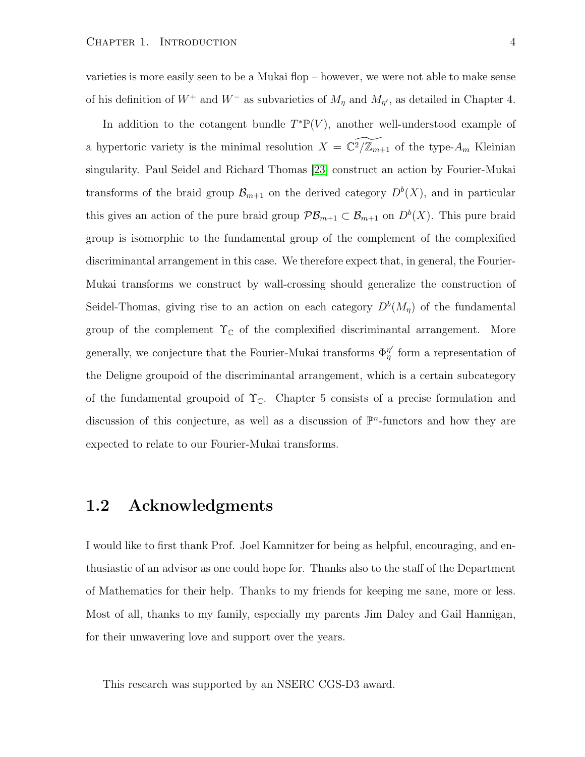varieties is more easily seen to be a Mukai flop – however, we were not able to make sense of his definition of  $W^+$  and  $W^-$  as subvarieties of  $M_\eta$  and  $M_{\eta'}$ , as detailed in Chapter 4.

In addition to the cotangent bundle  $T^*\mathbb{P}(V)$ , another well-understood example of a hypertoric variety is the minimal resolution  $X = \mathbb{C}^2/\mathbb{Z}_{m+1}$  of the type- $A_m$  Kleinian singularity. Paul Seidel and Richard Thomas [\[23\]](#page-63-0) construct an action by Fourier-Mukai transforms of the braid group  $\mathcal{B}_{m+1}$  on the derived category  $D^{b}(X)$ , and in particular this gives an action of the pure braid group  $\mathcal{PB}_{m+1} \subset \mathcal{B}_{m+1}$  on  $D^b(X)$ . This pure braid group is isomorphic to the fundamental group of the complement of the complexified discriminantal arrangement in this case. We therefore expect that, in general, the Fourier-Mukai transforms we construct by wall-crossing should generalize the construction of Seidel-Thomas, giving rise to an action on each category  $D^{b}(M_{\eta})$  of the fundamental group of the complement  $\Upsilon_{\mathbb{C}}$  of the complexified discriminantal arrangement. More generally, we conjecture that the Fourier-Mukai transforms  $\Phi_n^{\eta'}$  $\eta'$  form a representation of the Deligne groupoid of the discriminantal arrangement, which is a certain subcategory of the fundamental groupoid of  $\Upsilon_{\mathbb{C}}$ . Chapter 5 consists of a precise formulation and discussion of this conjecture, as well as a discussion of  $\mathbb{P}^n$ -functors and how they are expected to relate to our Fourier-Mukai transforms.

#### <span id="page-7-0"></span>1.2 Acknowledgments

I would like to first thank Prof. Joel Kamnitzer for being as helpful, encouraging, and enthusiastic of an advisor as one could hope for. Thanks also to the staff of the Department of Mathematics for their help. Thanks to my friends for keeping me sane, more or less. Most of all, thanks to my family, especially my parents Jim Daley and Gail Hannigan, for their unwavering love and support over the years.

This research was supported by an NSERC CGS-D3 award.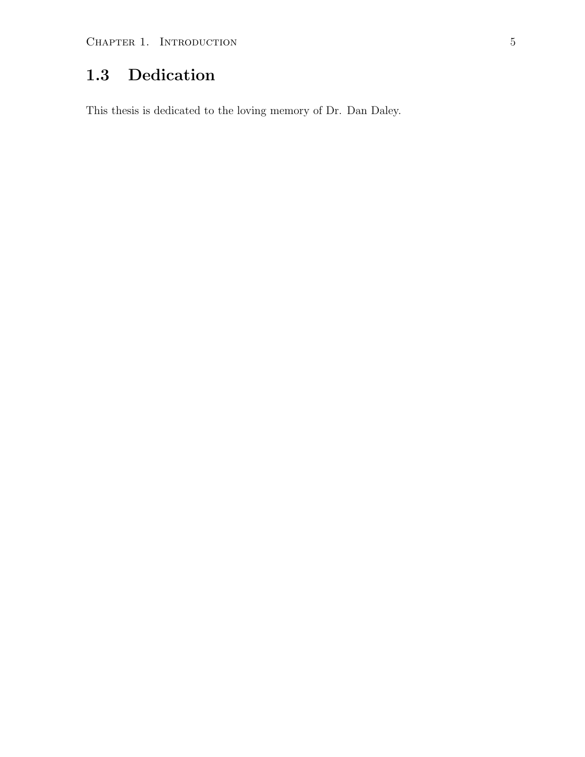## <span id="page-8-0"></span>1.3 Dedication

This thesis is dedicated to the loving memory of Dr. Dan Daley.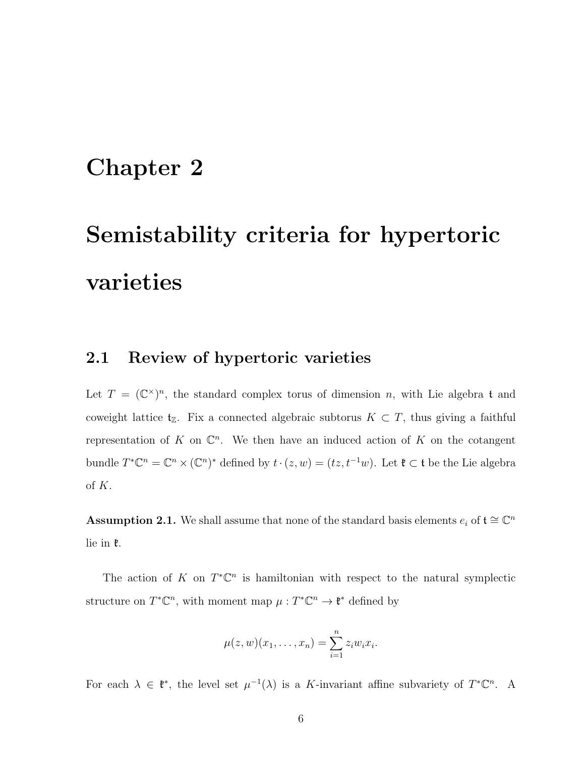## <span id="page-9-0"></span>Chapter 2

# Semistability criteria for hypertoric varieties

#### <span id="page-9-1"></span>2.1 Review of hypertoric varieties

Let  $T = (\mathbb{C}^{\times})^n$ , the standard complex torus of dimension n, with Lie algebra t and coweight lattice  $t_{\mathbb{Z}}$ . Fix a connected algebraic subtorus  $K \subset T$ , thus giving a faithful representation of K on  $\mathbb{C}^n$ . We then have an induced action of K on the cotangent bundle  $T^*\mathbb{C}^n = \mathbb{C}^n \times (\mathbb{C}^n)^*$  defined by  $t \cdot (z, w) = (tz, t^{-1}w)$ . Let  $\mathfrak{k} \subset \mathfrak{t}$  be the Lie algebra of K.

<span id="page-9-2"></span>**Assumption 2.1.** We shall assume that none of the standard basis elements  $e_i$  of  $\mathfrak{t} \cong \mathbb{C}^n$ lie in k.

The action of K on  $T^{\ast} \mathbb{C}^{n}$  is hamiltonian with respect to the natural symplectic structure on  $T^*\mathbb{C}^n$ , with moment map  $\mu: T^*\mathbb{C}^n \to \mathfrak{k}^*$  defined by

$$
\mu(z,w)(x_1,\ldots,x_n)=\sum_{i=1}^nz_iw_ix_i.
$$

For each  $\lambda \in \mathfrak{k}^*$ , the level set  $\mu^{-1}(\lambda)$  is a K-invariant affine subvariety of  $T^*\mathbb{C}^n$ . A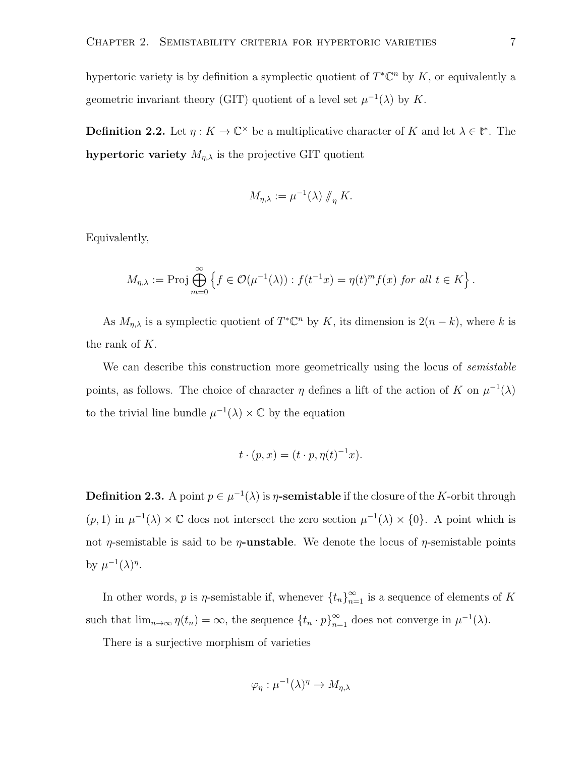hypertoric variety is by definition a symplectic quotient of  $T^{\ast} \mathbb{C}^{n}$  by K, or equivalently a geometric invariant theory (GIT) quotient of a level set  $\mu^{-1}(\lambda)$  by K.

**Definition 2.2.** Let  $\eta: K \to \mathbb{C}^\times$  be a multiplicative character of K and let  $\lambda \in \mathfrak{k}^*$ . The hypertoric variety  $M_{\eta,\lambda}$  is the projective GIT quotient

$$
M_{\eta,\lambda} := \mu^{-1}(\lambda) \, \#_{\eta} K.
$$

Equivalently,

$$
M_{\eta,\lambda} := \mathrm{Proj} \bigoplus_{m=0}^{\infty} \left\{ f \in \mathcal{O}(\mu^{-1}(\lambda)) : f(t^{-1}x) = \eta(t)^m f(x) \text{ for all } t \in K \right\}.
$$

As  $M_{\eta,\lambda}$  is a symplectic quotient of  $T^*\mathbb{C}^n$  by K, its dimension is  $2(n-k)$ , where k is the rank of K.

We can describe this construction more geometrically using the locus of *semistable* points, as follows. The choice of character  $\eta$  defines a lift of the action of K on  $\mu^{-1}(\lambda)$ to the trivial line bundle  $\mu^{-1}(\lambda) \times \mathbb{C}$  by the equation

$$
t \cdot (p, x) = (t \cdot p, \eta(t)^{-1} x).
$$

**Definition 2.3.** A point  $p \in \mu^{-1}(\lambda)$  is  $\eta$ -semistable if the closure of the K-orbit through  $(p, 1)$  in  $\mu^{-1}(\lambda) \times \mathbb{C}$  does not intersect the zero section  $\mu^{-1}(\lambda) \times \{0\}$ . A point which is not *η*-semistable is said to be *η*-unstable. We denote the locus of *η*-semistable points by  $\mu^{-1}(\lambda)^{\eta}$ .

In other words, p is  $\eta$ -semistable if, whenever  $\{t_n\}_{n=1}^{\infty}$  is a sequence of elements of K such that  $\lim_{n\to\infty} \eta(t_n) = \infty$ , the sequence  $\{t_n \cdot p\}_{n=1}^{\infty}$  does not converge in  $\mu^{-1}(\lambda)$ .

There is a surjective morphism of varieties

$$
\varphi_{\eta} : \mu^{-1}(\lambda)^{\eta} \to M_{\eta,\lambda}
$$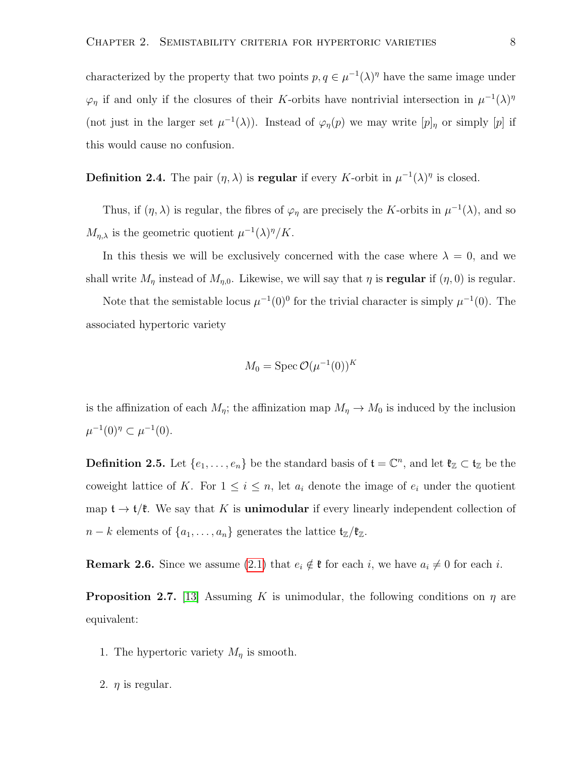characterized by the property that two points  $p, q \in \mu^{-1}(\lambda)^{\eta}$  have the same image under  $\varphi_{\eta}$  if and only if the closures of their K-orbits have nontrivial intersection in  $\mu^{-1}(\lambda)^{\eta}$ (not just in the larger set  $\mu^{-1}(\lambda)$ ). Instead of  $\varphi_{\eta}(p)$  we may write  $[p]_{\eta}$  or simply  $[p]$  if this would cause no confusion.

**Definition 2.4.** The pair  $(\eta, \lambda)$  is **regular** if every K-orbit in  $\mu^{-1}(\lambda)^{\eta}$  is closed.

Thus, if  $(\eta, \lambda)$  is regular, the fibres of  $\varphi_{\eta}$  are precisely the K-orbits in  $\mu^{-1}(\lambda)$ , and so  $M_{\eta,\lambda}$  is the geometric quotient  $\mu^{-1}(\lambda)^{\eta}/K$ .

In this thesis we will be exclusively concerned with the case where  $\lambda = 0$ , and we shall write  $M_{\eta}$  instead of  $M_{\eta,0}$ . Likewise, we will say that  $\eta$  is **regular** if  $(\eta,0)$  is regular.

Note that the semistable locus  $\mu^{-1}(0)^0$  for the trivial character is simply  $\mu^{-1}(0)$ . The associated hypertoric variety

$$
M_0 = \operatorname{Spec} \mathcal{O}(\mu^{-1}(0))^K
$$

is the affinization of each  $M_{\eta}$ ; the affinization map  $M_{\eta} \to M_0$  is induced by the inclusion  $\mu^{-1}(0)^{\eta} \subset \mu^{-1}(0).$ 

<span id="page-11-0"></span>**Definition 2.5.** Let  $\{e_1, \ldots, e_n\}$  be the standard basis of  $\mathbf{t} = \mathbb{C}^n$ , and let  $\mathfrak{k}_\mathbb{Z} \subset \mathfrak{t}_\mathbb{Z}$  be the coweight lattice of K. For  $1 \leq i \leq n$ , let  $a_i$  denote the image of  $e_i$  under the quotient map  $\mathfrak{t} \to \mathfrak{t}/\mathfrak{k}$ . We say that K is **unimodular** if every linearly independent collection of  $n - k$  elements of  $\{a_1, \ldots, a_n\}$  generates the lattice  $\mathfrak{t}_{\mathbb{Z}}/\mathfrak{k}_{\mathbb{Z}}$ .

**Remark 2.6.** Since we assume [\(2.1\)](#page-9-2) that  $e_i \notin \mathfrak{k}$  for each i, we have  $a_i \neq 0$  for each i.

**Proposition 2.7.** [\[13\]](#page-62-2) Assuming K is unimodular, the following conditions on  $\eta$  are equivalent:

- 1. The hypertoric variety  $M_{\eta}$  is smooth.
- 2.  $\eta$  is regular.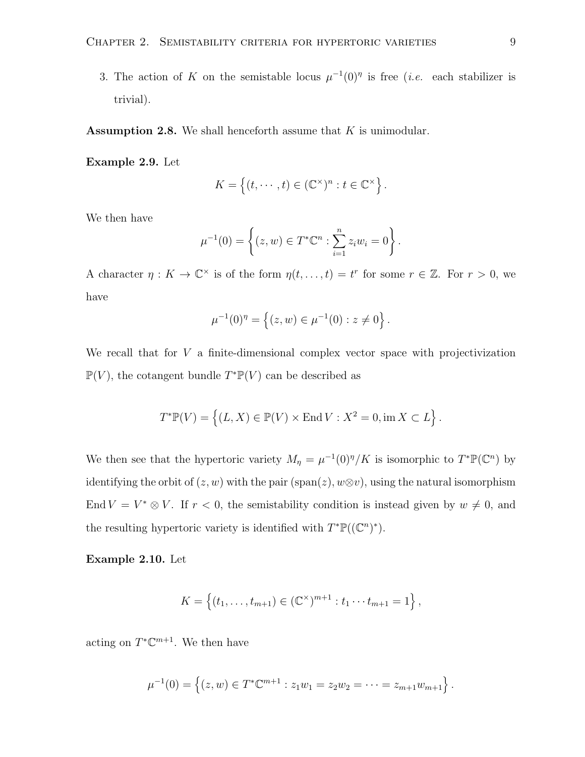3. The action of K on the semistable locus  $\mu^{-1}(0)$ <sup>n</sup> is free (*i.e.* each stabilizer is trivial).

**Assumption 2.8.** We shall henceforth assume that  $K$  is unimodular.

<span id="page-12-0"></span>Example 2.9. Let

$$
K = \left\{ (t, \dots, t) \in (\mathbb{C}^{\times})^n : t \in \mathbb{C}^{\times} \right\}.
$$

We then have

$$
\mu^{-1}(0) = \left\{ (z, w) \in T^* \mathbb{C}^n : \sum_{i=1}^n z_i w_i = 0 \right\}.
$$

A character  $\eta: K \to \mathbb{C}^\times$  is of the form  $\eta(t, \ldots, t) = t^r$  for some  $r \in \mathbb{Z}$ . For  $r > 0$ , we have

$$
\mu^{-1}(0)^{\eta} = \left\{ (z, w) \in \mu^{-1}(0) : z \neq 0 \right\}.
$$

We recall that for  $V$  a finite-dimensional complex vector space with projectivization  $\mathbb{P}(V)$ , the cotangent bundle  $T^*\mathbb{P}(V)$  can be described as

$$
T^* \mathbb{P}(V) = \left\{ (L, X) \in \mathbb{P}(V) \times \text{End}\, V : X^2 = 0, \text{im}\, X \subset L \right\}.
$$

We then see that the hypertoric variety  $M_{\eta} = \mu^{-1}(0)^{\eta}/K$  is isomorphic to  $T^* \mathbb{P}(\mathbb{C}^n)$  by identifying the orbit of  $(z, w)$  with the pair (span $(z), w \otimes v$ ), using the natural isomorphism End  $V = V^* \otimes V$ . If  $r < 0$ , the semistability condition is instead given by  $w \neq 0$ , and the resulting hypertoric variety is identified with  $T^{\ast} \mathbb{P}((\mathbb{C}^n)^{\ast})$ .

<span id="page-12-1"></span>Example 2.10. Let

$$
K = \{(t_1, \ldots, t_{m+1}) \in (\mathbb{C}^{\times})^{m+1} : t_1 \cdots t_{m+1} = 1\},\
$$

acting on  $T^{\ast} \mathbb{C}^{m+1}$ . We then have

$$
\mu^{-1}(0) = \left\{ (z, w) \in T^* \mathbb{C}^{m+1} : z_1 w_1 = z_2 w_2 = \dots = z_{m+1} w_{m+1} \right\}.
$$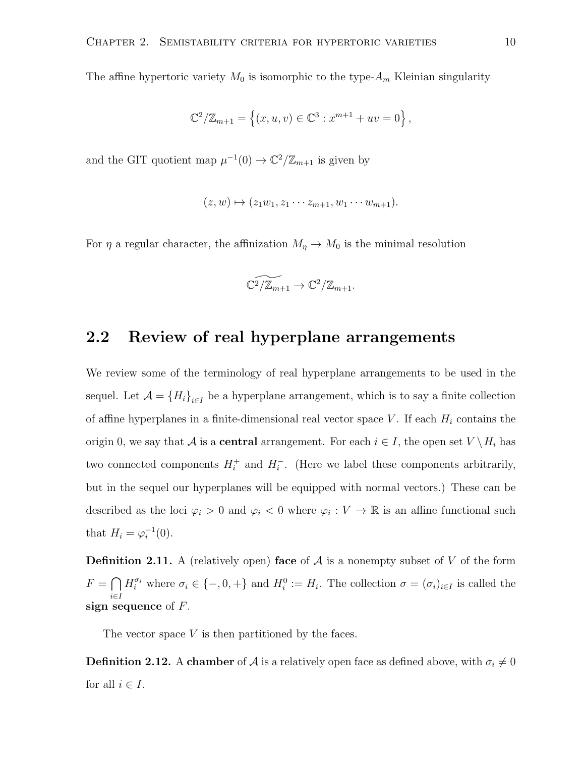The affine hypertoric variety  $M_0$  is isomorphic to the type- $A_m$  Kleinian singularity

$$
\mathbb{C}^{2}/\mathbb{Z}_{m+1} = \left\{ (x, u, v) \in \mathbb{C}^{3} : x^{m+1} + uv = 0 \right\},\
$$

and the GIT quotient map  $\mu^{-1}(0) \to \mathbb{C}^2/\mathbb{Z}_{m+1}$  is given by

$$
(z,w)\mapsto (z_1w_1,z_1\cdots z_{m+1},w_1\cdots w_{m+1}).
$$

For  $\eta$  a regular character, the affinization  $M_{\eta} \to M_0$  is the minimal resolution

$$
\widetilde{\mathbb{C}^2/\mathbb{Z}_{m+1}} \to \mathbb{C}^2/\mathbb{Z}_{m+1}.
$$

#### <span id="page-13-0"></span>2.2 Review of real hyperplane arrangements

We review some of the terminology of real hyperplane arrangements to be used in the sequel. Let  $\mathcal{A} = \{H_i\}_{i \in I}$  be a hyperplane arrangement, which is to say a finite collection of affine hyperplanes in a finite-dimensional real vector space V. If each  $H_i$  contains the origin 0, we say that A is a **central** arrangement. For each  $i \in I$ , the open set  $V \setminus H_i$  has two connected components  $H_i^+$  and  $H_i^-$ . (Here we label these components arbitrarily, but in the sequel our hyperplanes will be equipped with normal vectors.) These can be described as the loci  $\varphi_i > 0$  and  $\varphi_i < 0$  where  $\varphi_i : V \to \mathbb{R}$  is an affine functional such that  $H_i = \varphi_i^{-1}(0)$ .

**Definition 2.11.** A (relatively open) face of  $A$  is a nonempty subset of V of the form  $F = \bigcap$ i∈I  $H_i^{\sigma_i}$  where  $\sigma_i \in \{-,0,+\}$  and  $H_i^0 := H_i$ . The collection  $\sigma = (\sigma_i)_{i \in I}$  is called the sign sequence of  $F$ .

The vector space  $V$  is then partitioned by the faces.

**Definition 2.12.** A chamber of  $A$  is a relatively open face as defined above, with  $\sigma_i \neq 0$ for all  $i \in I$ .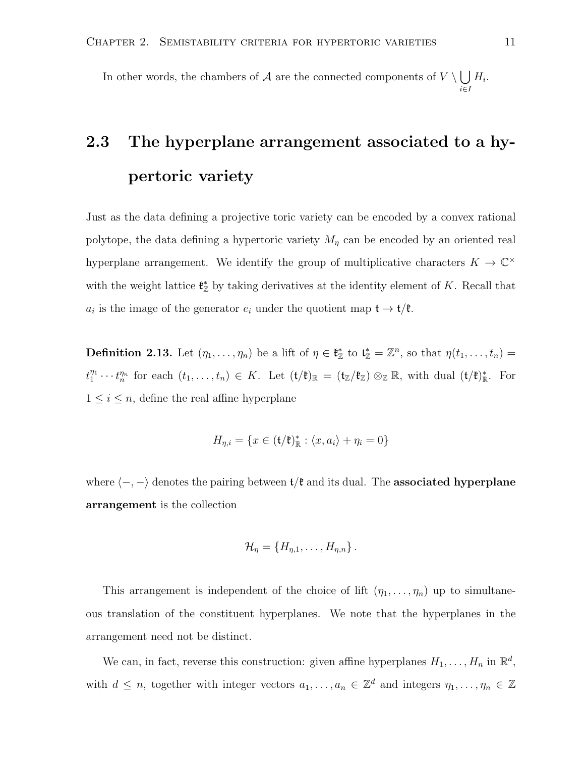In other words, the chambers of A are the connected components of  $V \setminus \Box$  $H_i$ .

## <span id="page-14-0"></span>2.3 The hyperplane arrangement associated to a hypertoric variety

Just as the data defining a projective toric variety can be encoded by a convex rational polytope, the data defining a hypertoric variety  $M_{\eta}$  can be encoded by an oriented real hyperplane arrangement. We identify the group of multiplicative characters  $K \to \mathbb{C}^{\times}$ with the weight lattice  $\mathfrak{k}_\mathbb{Z}^*$  by taking derivatives at the identity element of K. Recall that  $a_i$  is the image of the generator  $e_i$  under the quotient map  $\mathfrak{t} \to \mathfrak{t}/\mathfrak{k}$ .

**Definition 2.13.** Let  $(\eta_1, \ldots, \eta_n)$  be a lift of  $\eta \in \mathfrak{k}_{\mathbb{Z}}^*$  to  $\mathfrak{t}_{\mathbb{Z}}^* = \mathbb{Z}^n$ , so that  $\eta(t_1, \ldots, t_n) =$  $t_1^{\eta_1}\cdots t_n^{\eta_n}$  for each  $(t_1,\ldots,t_n)\in K$ . Let  $(\mathfrak{t}/\mathfrak{k})_{\mathbb{R}}=(\mathfrak{t}_{\mathbb{Z}}/\mathfrak{k}_{\mathbb{Z}})\otimes_{\mathbb{Z}}\mathbb{R}$ , with dual  $(\mathfrak{t}/\mathfrak{k})_{\mathbb{R}}^*$ . For  $1 \leq i \leq n$ , define the real affine hyperplane

$$
H_{\eta,i} = \{ x \in (\mathfrak{t}/\mathfrak{k})^*_{\mathbb{R}} : \langle x, a_i \rangle + \eta_i = 0 \}
$$

where  $\langle -, - \rangle$  denotes the pairing between  $t/\mathfrak{k}$  and its dual. The **associated hyperplane** arrangement is the collection

$$
\mathcal{H}_{\eta} = \{H_{\eta,1},\ldots,H_{\eta,n}\}.
$$

This arrangement is independent of the choice of lift  $(\eta_1, \ldots, \eta_n)$  up to simultaneous translation of the constituent hyperplanes. We note that the hyperplanes in the arrangement need not be distinct.

We can, in fact, reverse this construction: given affine hyperplanes  $H_1, \ldots, H_n$  in  $\mathbb{R}^d$ , with  $d \leq n$ , together with integer vectors  $a_1, \ldots, a_n \in \mathbb{Z}^d$  and integers  $\eta_1, \ldots, \eta_n \in \mathbb{Z}$ 

i∈I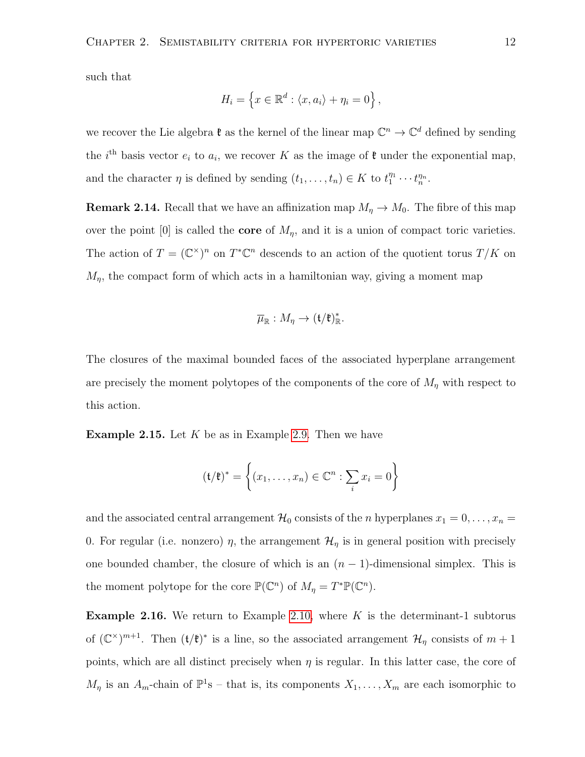such that

$$
H_i = \left\{ x \in \mathbb{R}^d : \langle x, a_i \rangle + \eta_i = 0 \right\},\
$$

we recover the Lie algebra  $\mathfrak{k}$  as the kernel of the linear map  $\mathbb{C}^n \to \mathbb{C}^d$  defined by sending the *i*<sup>th</sup> basis vector  $e_i$  to  $a_i$ , we recover K as the image of  $\mathfrak{k}$  under the exponential map, and the character  $\eta$  is defined by sending  $(t_1, \ldots, t_n) \in K$  to  $t_1^{\eta_1} \cdots t_n^{\eta_n}$ .

**Remark 2.14.** Recall that we have an affinization map  $M_{\eta} \to M_0$ . The fibre of this map over the point [0] is called the **core** of  $M_n$ , and it is a union of compact toric varieties. The action of  $T = (\mathbb{C}^{\times})^n$  on  $T^*\mathbb{C}^n$  descends to an action of the quotient torus  $T/K$  on  $M_{\eta}$ , the compact form of which acts in a hamiltonian way, giving a moment map

$$
\overline{\mu}_{\mathbb{R}}: M_{\eta} \to (\mathfrak{t}/\mathfrak{k})_{\mathbb{R}}^*.
$$

The closures of the maximal bounded faces of the associated hyperplane arrangement are precisely the moment polytopes of the components of the core of  $M<sub>n</sub>$  with respect to this action.

**Example 2.15.** Let  $K$  be as in Example [2.9.](#page-12-0) Then we have

$$
(\mathfrak{t}/\mathfrak{k})^* = \left\{ (x_1, \dots, x_n) \in \mathbb{C}^n : \sum_i x_i = 0 \right\}
$$

and the associated central arrangement  $\mathcal{H}_0$  consists of the *n* hyperplanes  $x_1 = 0, \ldots, x_n =$ 0. For regular (i.e. nonzero)  $\eta$ , the arrangement  $\mathcal{H}_{\eta}$  is in general position with precisely one bounded chamber, the closure of which is an  $(n-1)$ -dimensional simplex. This is the moment polytope for the core  $\mathbb{P}(\mathbb{C}^n)$  of  $M_{\eta} = T^* \mathbb{P}(\mathbb{C}^n)$ .

**Example 2.16.** We return to Example [2.10,](#page-12-1) where  $K$  is the determinant-1 subtorus of  $(\mathbb{C}^\times)^{m+1}$ . Then  $(\mathfrak{t}/\mathfrak{k})^*$  is a line, so the associated arrangement  $\mathcal{H}_\eta$  consists of  $m+1$ points, which are all distinct precisely when  $\eta$  is regular. In this latter case, the core of  $M_{\eta}$  is an  $A_m$ -chain of  $\mathbb{P}^1$ s – that is, its components  $X_1, \ldots, X_m$  are each isomorphic to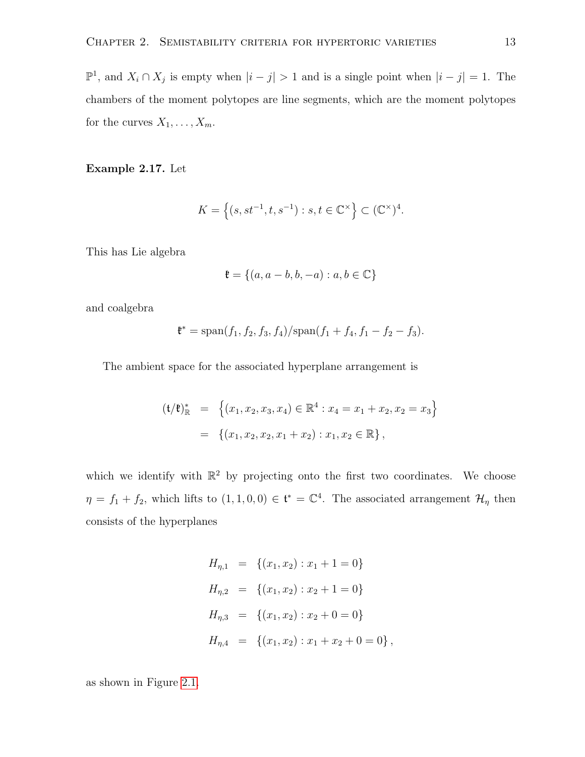$\mathbb{P}^1$ , and  $X_i \cap X_j$  is empty when  $|i - j| > 1$  and is a single point when  $|i - j| = 1$ . The chambers of the moment polytopes are line segments, which are the moment polytopes for the curves  $X_1, \ldots, X_m$ .

<span id="page-16-0"></span>Example 2.17. Let

$$
K = \left\{ (s, st^{-1}, t, s^{-1}) : s, t \in \mathbb{C}^{\times} \right\} \subset (\mathbb{C}^{\times})^4.
$$

This has Lie algebra

$$
\mathfrak{k} = \{(a, a-b, b, -a) : a, b \in \mathbb{C}\}
$$

and coalgebra

$$
\mathfrak{k}^* = \mathrm{span}(f_1, f_2, f_3, f_4) / \mathrm{span}(f_1 + f_4, f_1 - f_2 - f_3).
$$

The ambient space for the associated hyperplane arrangement is

$$
(\mathfrak{t}/\mathfrak{k})^*_{\mathbb{R}} = \left\{ (x_1, x_2, x_3, x_4) \in \mathbb{R}^4 : x_4 = x_1 + x_2, x_2 = x_3 \right\}
$$

$$
= \left\{ (x_1, x_2, x_2, x_1 + x_2) : x_1, x_2 \in \mathbb{R} \right\},
$$

which we identify with  $\mathbb{R}^2$  by projecting onto the first two coordinates. We choose  $\eta = f_1 + f_2$ , which lifts to  $(1, 1, 0, 0) \in \mathfrak{t}^* = \mathbb{C}^4$ . The associated arrangement  $\mathcal{H}_{\eta}$  then consists of the hyperplanes

$$
H_{\eta,1} = \{(x_1, x_2) : x_1 + 1 = 0\}
$$
  
\n
$$
H_{\eta,2} = \{(x_1, x_2) : x_2 + 1 = 0\}
$$
  
\n
$$
H_{\eta,3} = \{(x_1, x_2) : x_2 + 0 = 0\}
$$
  
\n
$$
H_{\eta,4} = \{(x_1, x_2) : x_1 + x_2 + 0 = 0\},
$$

as shown in Figure [2.1.](#page-17-1)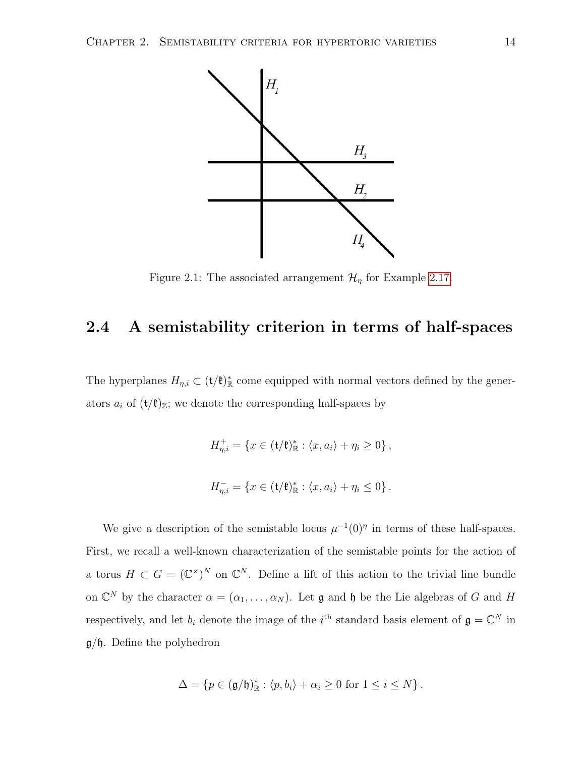

<span id="page-17-1"></span>Figure 2.1: The associated arrangement  $\mathcal{H}_{\eta}$  for Example [2.17.](#page-16-0)

## <span id="page-17-0"></span>2.4 A semistability criterion in terms of half-spaces

The hyperplanes  $H_{\eta,i} \subset (\mathfrak{t}/\mathfrak{k})_{\mathbb{R}}^*$  come equipped with normal vectors defined by the generators  $a_i$  of  $(\mathfrak{t}/\mathfrak{k})_{\mathbb{Z}}$ ; we denote the corresponding half-spaces by

$$
H_{\eta,i}^+ = \{ x \in (\mathfrak{t}/\mathfrak{k})_{\mathbb{R}}^* : \langle x, a_i \rangle + \eta_i \ge 0 \},
$$
  

$$
H_{\eta,i}^- = \{ x \in (\mathfrak{t}/\mathfrak{k})_{\mathbb{R}}^* : \langle x, a_i \rangle + \eta_i \le 0 \}.
$$

We give a description of the semistable locus  $\mu^{-1}(0)$ <sup>*n*</sup> in terms of these half-spaces. First, we recall a well-known characterization of the semistable points for the action of a torus  $H \subset G = (\mathbb{C}^{\times})^N$  on  $\mathbb{C}^N$ . Define a lift of this action to the trivial line bundle on  $\mathbb{C}^N$  by the character  $\alpha = (\alpha_1, \ldots, \alpha_N)$ . Let  $\mathfrak g$  and  $\mathfrak h$  be the Lie algebras of G and H respectively, and let  $b_i$  denote the image of the i<sup>th</sup> standard basis element of  $\mathfrak{g} = \mathbb{C}^N$  in  $g/\mathfrak{h}$ . Define the polyhedron

$$
\Delta = \{ p \in (\mathfrak{g}/\mathfrak{h})^*_{\mathbb{R}} : \langle p, b_i \rangle + \alpha_i \ge 0 \text{ for } 1 \le i \le N \}.
$$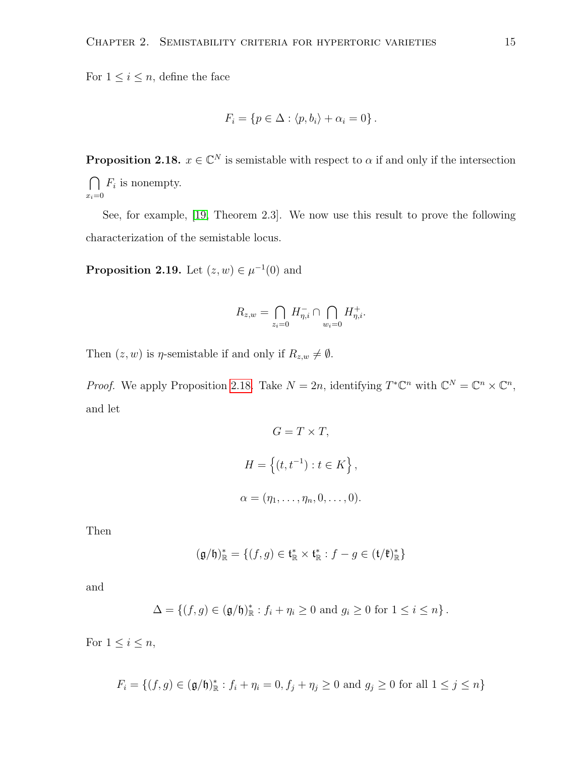For  $1 \leq i \leq n$ , define the face

$$
F_i = \{ p \in \Delta : \langle p, b_i \rangle + \alpha_i = 0 \}.
$$

<span id="page-18-0"></span>**Proposition 2.18.**  $x \in \mathbb{C}^N$  is semistable with respect to  $\alpha$  if and only if the intersection  $\cap$  $F_i$  is nonempty.

 $x_i=0$ 

See, for example, [\[19,](#page-62-4) Theorem 2.3]. We now use this result to prove the following characterization of the semistable locus.

<span id="page-18-1"></span>**Proposition 2.19.** Let  $(z, w) \in \mu^{-1}(0)$  and

$$
R_{z,w} = \bigcap_{z_i=0} H_{\eta,i}^- \cap \bigcap_{w_i=0} H_{\eta,i}^+.
$$

Then  $(z, w)$  is  $\eta$ -semistable if and only if  $R_{z,w} \neq \emptyset$ .

*Proof.* We apply Proposition [2.18.](#page-18-0) Take  $N = 2n$ , identifying  $T^*\mathbb{C}^n$  with  $\mathbb{C}^N = \mathbb{C}^n \times \mathbb{C}^n$ , and let

$$
G = T \times T,
$$
  
\n
$$
H = \{(t, t^{-1}) : t \in K\},
$$
  
\n
$$
\alpha = (\eta_1, \dots, \eta_n, 0, \dots, 0).
$$

Then

$$
(\mathfrak{g}/\mathfrak{h})^*_{\mathbb{R}}=\{(f,g)\in \mathfrak{t}^*_{\mathbb{R}}\times \mathfrak{t}^*_{\mathbb{R}}: f-g\in (\mathfrak{t}/\mathfrak{k})^*_{\mathbb{R}}\}
$$

and

$$
\Delta = \left\{ (f,g) \in (\mathfrak{g}/\mathfrak{h})^*_{\mathbb{R}} : f_i + \eta_i \ge 0 \text{ and } g_i \ge 0 \text{ for } 1 \le i \le n \right\}.
$$

For  $1 \leq i \leq n$ ,

$$
F_i = \{(f, g) \in (\mathfrak{g}/\mathfrak{h})^*_{\mathbb{R}} : f_i + \eta_i = 0, f_j + \eta_j \ge 0 \text{ and } g_j \ge 0 \text{ for all } 1 \le j \le n\}
$$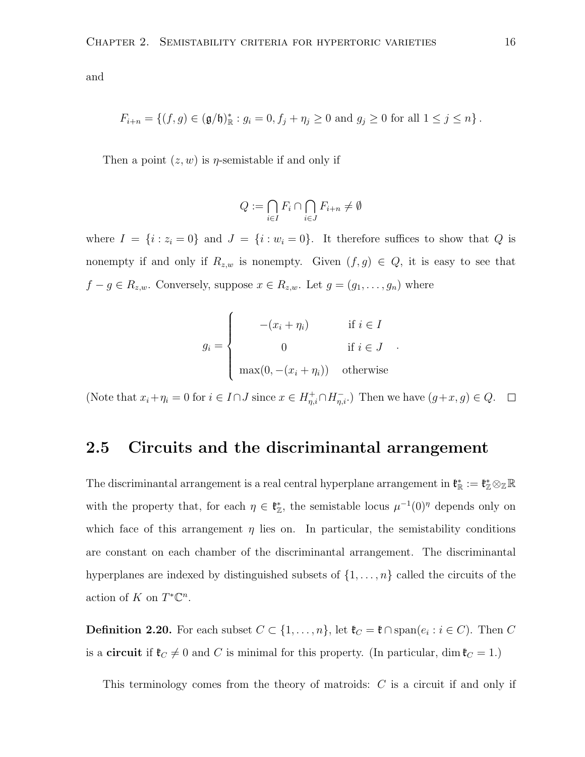and

$$
F_{i+n} = \{ (f,g) \in (\mathfrak{g}/\mathfrak{h})^*_{\mathbb{R}} : g_i = 0, f_j + \eta_j \ge 0 \text{ and } g_j \ge 0 \text{ for all } 1 \le j \le n \}.
$$

Then a point  $(z, w)$  is *η*-semistable if and only if

$$
Q := \bigcap_{i \in I} F_i \cap \bigcap_{i \in J} F_{i+n} \neq \emptyset
$$

where  $I = \{i : z_i = 0\}$  and  $J = \{i : w_i = 0\}$ . It therefore suffices to show that Q is nonempty if and only if  $R_{z,w}$  is nonempty. Given  $(f,g) \in Q$ , it is easy to see that  $f - g \in R_{z,w}$ . Conversely, suppose  $x \in R_{z,w}$ . Let  $g = (g_1, \ldots, g_n)$  where

$$
g_i = \begin{cases} -(x_i + \eta_i) & \text{if } i \in I \\ 0 & \text{if } i \in J \\ \max(0, -(x_i + \eta_i)) & \text{otherwise} \end{cases}
$$

.

(Note that  $x_i + \eta_i = 0$  for  $i \in I \cap J$  since  $x \in H_{\eta,i}^+ \cap H_{\eta,i}^-$ ) Then we have  $(g+x, g) \in Q$ .

#### <span id="page-19-0"></span>2.5 Circuits and the discriminantal arrangement

The discriminantal arrangement is a real central hyperplane arrangement in  $\mathfrak{k}_{\mathbb{R}}^* := \mathfrak{k}_{\mathbb{Z}}^* \otimes_{\mathbb{Z}} \mathbb{R}$ with the property that, for each  $\eta \in \mathfrak{k}_{\mathbb{Z}}^*$ , the semistable locus  $\mu^{-1}(0)^\eta$  depends only on which face of this arrangement  $\eta$  lies on. In particular, the semistability conditions are constant on each chamber of the discriminantal arrangement. The discriminantal hyperplanes are indexed by distinguished subsets of  $\{1, \ldots, n\}$  called the circuits of the action of K on  $T^*\mathbb{C}^n$ .

**Definition 2.20.** For each subset  $C \subset \{1, \ldots, n\}$ , let  $\mathfrak{k}_C = \mathfrak{k} \cap \text{span}(e_i : i \in C)$ . Then C is a **circuit** if  $\mathfrak{k}_C \neq 0$  and C is minimal for this property. (In particular, dim  $\mathfrak{k}_C = 1$ .)

This terminology comes from the theory of matroids: C is a circuit if and only if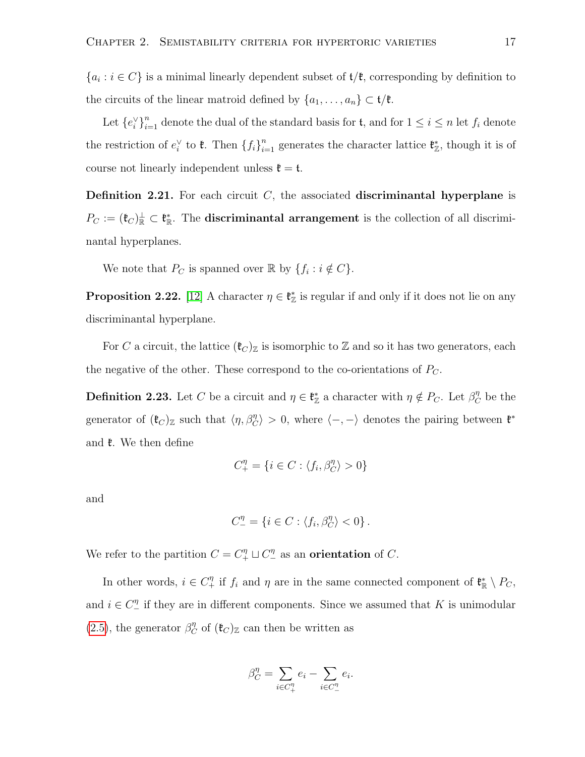${a_i : i \in C}$  is a minimal linearly dependent subset of  $t/\ell$ , corresponding by definition to the circuits of the linear matroid defined by  $\{a_1, \ldots, a_n\} \subset \mathfrak{t}/\mathfrak{k}$ .

Let  ${e_i^{\vee}}_{i=1}^n$  denote the dual of the standard basis for  $\mathfrak{t}$ , and for  $1 \leq i \leq n$  let  $f_i$  denote the restriction of  $e_i^{\vee}$  to  $\mathfrak{k}$ . Then  $\{f_i\}_{i=1}^n$  generates the character lattice  $\mathfrak{k}_{\mathbb{Z}}^*$ , though it is of course not linearly independent unless  $\mathfrak{k} = \mathfrak{t}$ .

**Definition 2.21.** For each circuit  $C$ , the associated discriminantal hyperplane is  $P_C := (\mathfrak{k}_C)_{\mathbb{R}}^{\perp} \subset \mathfrak{k}_{\mathbb{R}}^*$ . The **discriminantal arrangement** is the collection of all discriminantal hyperplanes.

We note that  $P_C$  is spanned over  $\mathbb R$  by  $\{f_i : i \notin C\}$ .

**Proposition 2.22.** [\[12\]](#page-62-5) A character  $\eta \in \mathfrak{k}_{\mathbb{Z}}^*$  is regular if and only if it does not lie on any discriminantal hyperplane.

For C a circuit, the lattice  $(\mathfrak{k}_C)_{\mathbb{Z}}$  is isomorphic to Z and so it has two generators, each the negative of the other. These correspond to the co-orientations of  $P_{\mathcal{C}}$ .

**Definition 2.23.** Let C be a circuit and  $\eta \in \mathfrak{k}_{\mathbb{Z}}^*$  a character with  $\eta \notin P_C$ . Let  $\beta_C^{\eta}$  be the generator of  $(\mathfrak{k}_C)_{\mathbb{Z}}$  such that  $\langle \eta, \beta_C^{\eta} \rangle > 0$ , where  $\langle -, - \rangle$  denotes the pairing between  $\mathfrak{k}^*$ and  $\ell$ . We then define

$$
C_+^\eta=\{i\in C:\langle f_i,\beta_C^\eta\rangle>0\}
$$

and

$$
C_{-}^{\eta} = \{ i \in C : \langle f_i, \beta_C^{\eta} \rangle < 0 \}.
$$

We refer to the partition  $C = C_+^{\eta} \sqcup C_-^{\eta}$  as an **orientation** of C.

In other words,  $i \in C_+^{\eta}$  if  $f_i$  and  $\eta$  are in the same connected component of  $\mathfrak{k}_{\mathbb{R}}^* \setminus P_C$ , and  $i \in C_{-}^{\eta}$  if they are in different components. Since we assumed that K is unimodular [\(2.5\)](#page-11-0), the generator  $\beta_C^{\eta}$  of  $(\mathfrak{k}_C)_{\mathbb{Z}}$  can then be written as

$$
\beta_C^{\eta} = \sum_{i \in C_+^{\eta}} e_i - \sum_{i \in C_-^{\eta}} e_i.
$$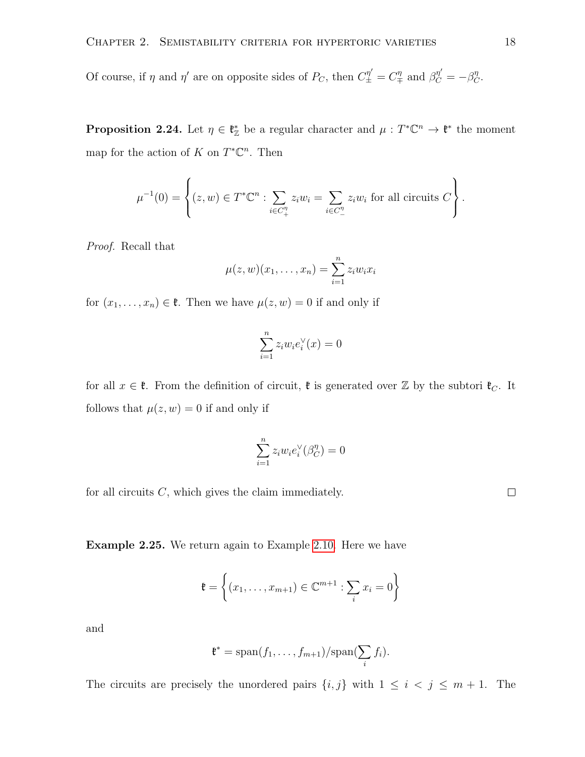<span id="page-21-0"></span>Of course, if  $\eta$  and  $\eta'$  are on opposite sides of  $P_C$ , then  $C^{\eta'}_{\pm} = C^{\eta}_{\mp}$  and  $\beta^{\eta'}_C = -\beta^{\eta}_C$ .

**Proposition 2.24.** Let  $\eta \in \mathfrak{k}_{\mathbb{Z}}^*$  be a regular character and  $\mu : T^* \mathbb{C}^n \to \mathfrak{k}^*$  the moment map for the action of K on  $T^{\ast} \mathbb{C}^n$ . Then

$$
\mu^{-1}(0) = \left\{ (z, w) \in T^* \mathbb{C}^n : \sum_{i \in C_+^{\eta}} z_i w_i = \sum_{i \in C_-^{\eta}} z_i w_i \text{ for all circuits } C \right\}.
$$

Proof. Recall that

$$
\mu(z,w)(x_1,\ldots,x_n)=\sum_{i=1}^nz_iw_ix_i
$$

for  $(x_1, \ldots, x_n) \in \mathfrak{k}$ . Then we have  $\mu(z, w) = 0$  if and only if

$$
\sum_{i=1}^{n} z_i w_i e_i^{\vee}(x) = 0
$$

for all  $x \in \mathfrak{k}$ . From the definition of circuit,  $\mathfrak{k}$  is generated over  $\mathbb{Z}$  by the subtori  $\mathfrak{k}_C$ . It follows that  $\mu(z, w) = 0$  if and only if

$$
\sum_{i=1}^{n} z_i w_i e_i^{\vee}(\beta_C^{\eta}) = 0
$$

for all circuits  $C$ , which gives the claim immediately.

Example 2.25. We return again to Example [2.10.](#page-12-1) Here we have

$$
\mathfrak{k} = \left\{ (x_1, \dots, x_{m+1}) \in \mathbb{C}^{m+1} : \sum_i x_i = 0 \right\}
$$

and

$$
\mathfrak{k}^* = \mathrm{span}(f_1,\ldots,f_{m+1})/\mathrm{span}(\sum_i f_i).
$$

The circuits are precisely the unordered pairs  $\{i, j\}$  with  $1 \leq i \leq j \leq m + 1$ . The

 $\Box$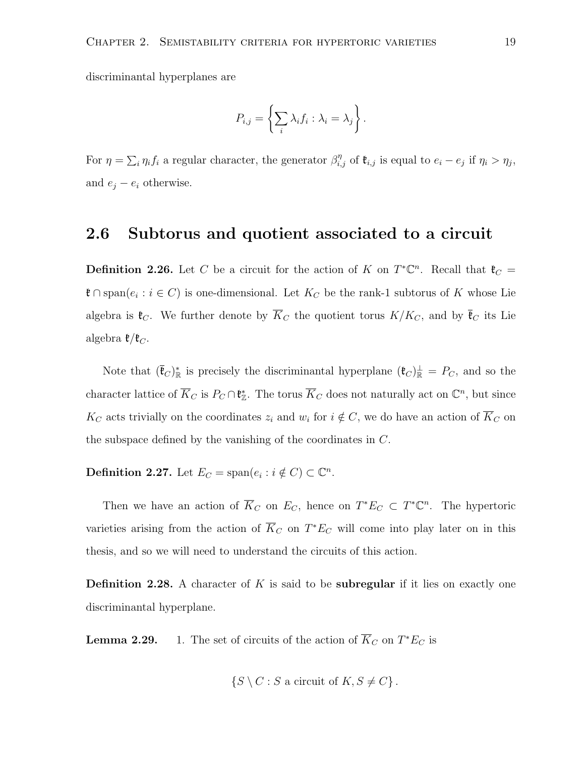discriminantal hyperplanes are

$$
P_{i,j} = \left\{ \sum_i \lambda_i f_i : \lambda_i = \lambda_j \right\}.
$$

For  $\eta = \sum_i \eta_i f_i$  a regular character, the generator  $\beta_{i,j}^{\eta}$  of  $\mathfrak{k}_{i,j}$  is equal to  $e_i - e_j$  if  $\eta_i > \eta_j$ , and  $e_j - e_i$  otherwise.

### <span id="page-22-0"></span>2.6 Subtorus and quotient associated to a circuit

**Definition 2.26.** Let C be a circuit for the action of K on  $T^*\mathbb{C}^n$ . Recall that  $\mathfrak{k}_C =$  $\mathfrak{k} \cap \mathrm{span}(e_i : i \in C)$  is one-dimensional. Let  $K_C$  be the rank-1 subtorus of K whose Lie algebra is  $\mathfrak{k}_C$ . We further denote by  $\overline{K}_C$  the quotient torus  $K/K_C$ , and by  $\overline{\mathfrak{k}}_C$  its Lie algebra  $\mathfrak{k}/\mathfrak{k}_C$ .

Note that  $(\bar{\mathfrak{e}}_C)^*_{\mathbb{R}}$  is precisely the discriminantal hyperplane  $(\mathfrak{e}_C)^{\perp}_{\mathbb{R}} = P_C$ , and so the character lattice of  $\overline{K}_C$  is  $P_C \cap \mathfrak{k}^*_{\mathbb{Z}}$ . The torus  $\overline{K}_C$  does not naturally act on  $\mathbb{C}^n$ , but since  $K_C$  acts trivially on the coordinates  $z_i$  and  $w_i$  for  $i \notin C$ , we do have an action of  $\overline{K}_C$  on the subspace defined by the vanishing of the coordinates in C.

**Definition 2.27.** Let  $E_C = \text{span}(e_i : i \notin C) \subset \mathbb{C}^n$ .

Then we have an action of  $\overline{K}_C$  on  $E_C$ , hence on  $T^*E_C \subset T^*\mathbb{C}^n$ . The hypertoric varieties arising from the action of  $\overline{K}_C$  on  $T^*E_C$  will come into play later on in this thesis, and so we will need to understand the circuits of this action.

**Definition 2.28.** A character of K is said to be **subregular** if it lies on exactly one discriminantal hyperplane.

**Lemma 2.29.** 1. The set of circuits of the action of  $\overline{K}_C$  on  $T^*E_C$  is

$$
\{S \setminus C : S \text{ a circuit of } K, S \neq C\}.
$$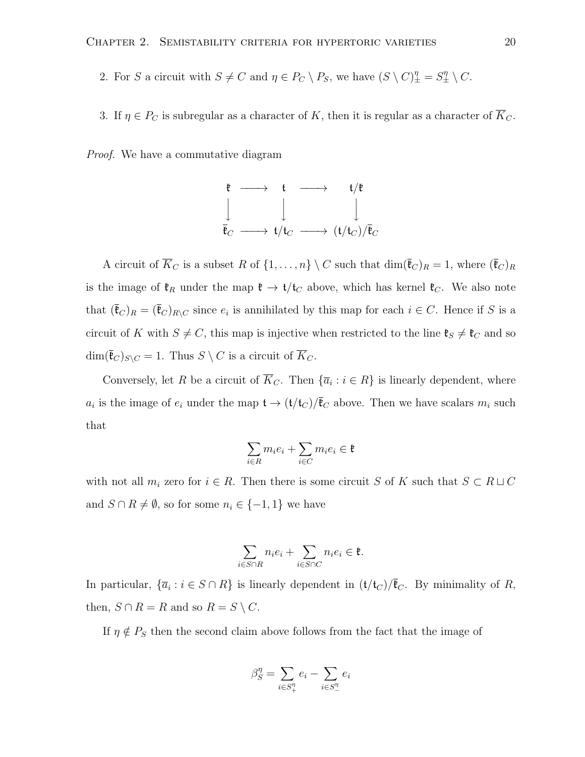- 2. For S a circuit with  $S \neq C$  and  $\eta \in P_C \setminus P_S$ , we have  $(S \setminus C)^{\eta}_{\pm} = S^{\eta}_{\pm} \setminus C$ .
- 3. If  $\eta \in P_C$  is subregular as a character of K, then it is regular as a character of  $\overline{K}_C$ .

Proof. We have a commutative diagram



A circuit of  $\overline{K}_C$  is a subset R of  $\{1,\ldots,n\}\setminus C$  such that  $\dim(\overline{\mathfrak{k}}_C)_R = 1$ , where  $(\overline{\mathfrak{k}}_C)_R$ is the image of  $\mathfrak{k}_R$  under the map  $\mathfrak{k} \to \mathfrak{t}/\mathfrak{t}_C$  above, which has kernel  $\mathfrak{k}_C$ . We also note that  $(\bar{\mathfrak{k}}_C)_R = (\bar{\mathfrak{k}}_C)_{R\setminus C}$  since  $e_i$  is annihilated by this map for each  $i \in C$ . Hence if S is a circuit of K with  $S \neq C$ , this map is injective when restricted to the line  $\mathfrak{k}_S \neq \mathfrak{k}_C$  and so  $\dim(\overline{\mathfrak{k}}_C)_{S\setminus C} = 1$ . Thus  $S \setminus C$  is a circuit of  $\overline{K}_C$ .

Conversely, let R be a circuit of  $\overline{K}_C$ . Then  $\{\overline{a}_i : i \in R\}$  is linearly dependent, where  $a_i$  is the image of  $e_i$  under the map  $\mathfrak{t} \to (\mathfrak{t}/\mathfrak{t}_C)/\overline{\mathfrak{k}}_C$  above. Then we have scalars  $m_i$  such that

$$
\sum_{i\in R}m_ie_i+\sum_{i\in C}m_ie_i\in\mathfrak{k}
$$

with not all  $m_i$  zero for  $i \in R$ . Then there is some circuit S of K such that  $S \subset R \sqcup C$ and  $S \cap R \neq \emptyset$ , so for some  $n_i \in \{-1, 1\}$  we have

$$
\sum_{i \in S \cap R} n_i e_i + \sum_{i \in S \cap C} n_i e_i \in \mathfrak{k}.
$$

In particular,  $\{\overline{a}_i : i \in S \cap R\}$  is linearly dependent in  $(\mathfrak{t}/\mathfrak{t}_C)/\overline{\mathfrak{k}}_C$ . By minimality of R, then,  $S \cap R = R$  and so  $R = S \setminus C$ .

If  $\eta \notin P_S$  then the second claim above follows from the fact that the image of

$$
\beta_S^{\eta} = \sum_{i \in S_+^{\eta}} e_i - \sum_{i \in S_-^{\eta}} e_i
$$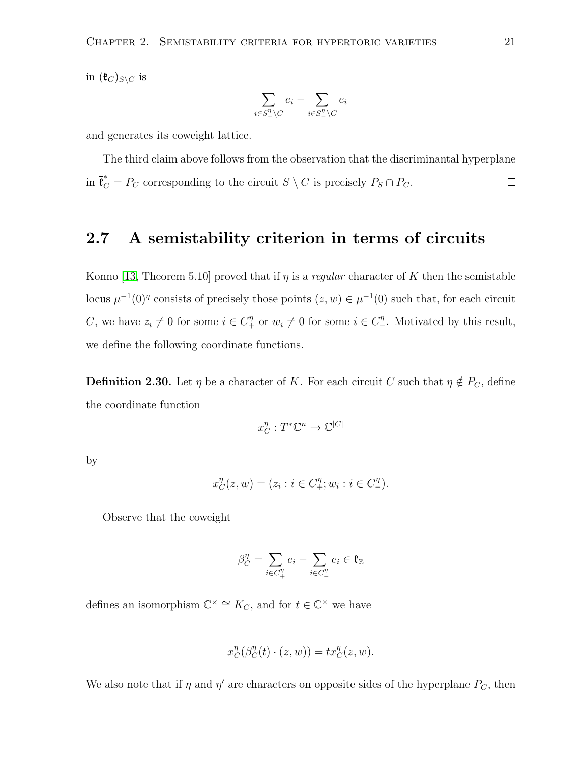in  $(\bar{\mathfrak{k}}_C)_{S\setminus C}$  is

$$
\sum_{i \in S^{\eta}_+ \backslash C} e_i - \sum_{i \in S^{\eta}_- \backslash C} e_i
$$

and generates its coweight lattice.

The third claim above follows from the observation that the discriminantal hyperplane in  $\bar{\mathfrak{k}}_C^* = P_C$  corresponding to the circuit  $S \setminus C$  is precisely  $P_S \cap P_C$ .  $\Box$ 

#### <span id="page-24-0"></span>2.7 A semistability criterion in terms of circuits

Konno [\[13,](#page-62-2) Theorem 5.10] proved that if  $\eta$  is a *regular* character of K then the semistable locus  $\mu^{-1}(0)$ <sup>n</sup> consists of precisely those points  $(z, w) \in \mu^{-1}(0)$  such that, for each circuit C, we have  $z_i \neq 0$  for some  $i \in C_+^{\eta}$  or  $w_i \neq 0$  for some  $i \in C_-^{\eta}$ . Motivated by this result, we define the following coordinate functions.

**Definition 2.30.** Let  $\eta$  be a character of K. For each circuit C such that  $\eta \notin P_C$ , define the coordinate function

$$
x_C^\eta:T^*\mathbb{C}^n\to\mathbb{C}^{|C|}
$$

by

$$
x_C^{\eta}(z, w) = (z_i : i \in C_+^{\eta}; w_i : i \in C_-^{\eta}).
$$

Observe that the coweight

$$
\beta_C^\eta = \sum_{i \in C_+^\eta} e_i - \sum_{i \in C_-^\eta} e_i \in \mathfrak{k}_{\mathbb{Z}}
$$

defines an isomorphism  $\mathbb{C}^{\times} \cong K_C$ , and for  $t \in \mathbb{C}^{\times}$  we have

$$
x_C^{\eta}(\beta_C^{\eta}(t) \cdot (z, w)) = tx_C^{\eta}(z, w).
$$

We also note that if  $\eta$  and  $\eta'$  are characters on opposite sides of the hyperplane  $P_C$ , then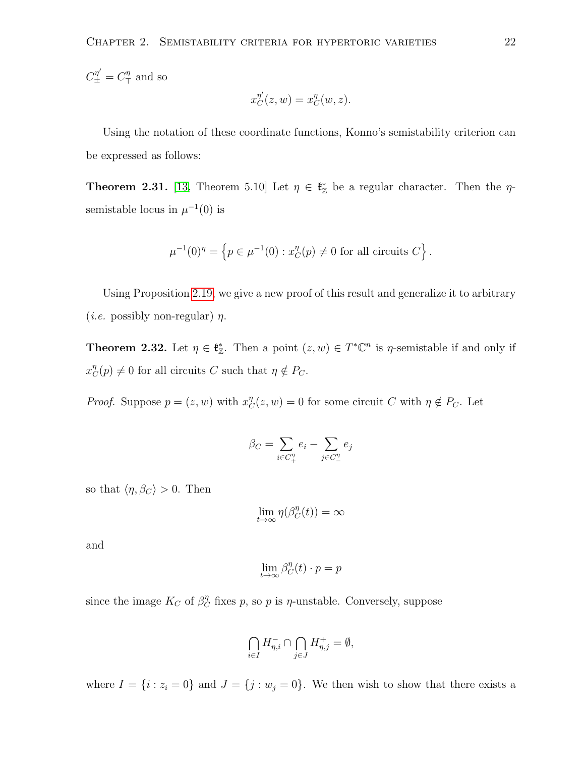$C^{\eta'}_{\pm} = C^{\eta}_{\mp}$  and so

$$
x_C^{\eta'}(z,w) = x_C^{\eta}(w,z).
$$

Using the notation of these coordinate functions, Konno's semistability criterion can be expressed as follows:

**Theorem 2.31.** [\[13,](#page-62-2) Theorem 5.10] Let  $\eta \in \mathfrak{k}_\mathbb{Z}^*$  be a regular character. Then the  $\eta$ semistable locus in  $\mu^{-1}(0)$  is

$$
\mu^{-1}(0)^{\eta} = \left\{ p \in \mu^{-1}(0) : x_C^{\eta}(p) \neq 0 \text{ for all circuits } C \right\}.
$$

Using Proposition [2.19,](#page-18-1) we give a new proof of this result and generalize it to arbitrary (*i.e.* possibly non-regular)  $\eta$ .

<span id="page-25-0"></span>**Theorem 2.32.** Let  $\eta \in \mathfrak{k}_{\mathbb{Z}}^*$ . Then a point  $(z, w) \in T^* \mathbb{C}^n$  is  $\eta$ -semistable if and only if  $x_C^{\eta}(p) \neq 0$  for all circuits C such that  $\eta \notin P_C$ .

*Proof.* Suppose  $p = (z, w)$  with  $x_C^n(z, w) = 0$  for some circuit C with  $\eta \notin P_C$ . Let

$$
\beta_C = \sum_{i \in C_+^{\eta}} e_i - \sum_{j \in C_-^{\eta}} e_j
$$

so that  $\langle \eta, \beta_C \rangle > 0$ . Then

$$
\lim_{t\to\infty}\eta(\beta_C^{\eta}(t))=\infty
$$

and

$$
\lim_{t \to \infty} \beta_C^{\eta}(t) \cdot p = p
$$

since the image  $K_C$  of  $\beta_C^{\eta}$  fixes p, so p is  $\eta$ -unstable. Conversely, suppose

$$
\bigcap_{i\in I}H_{\eta,i}^-\cap\bigcap_{j\in J}H_{\eta,j}^+=\emptyset,
$$

where  $I = \{i : z_i = 0\}$  and  $J = \{j : w_j = 0\}$ . We then wish to show that there exists a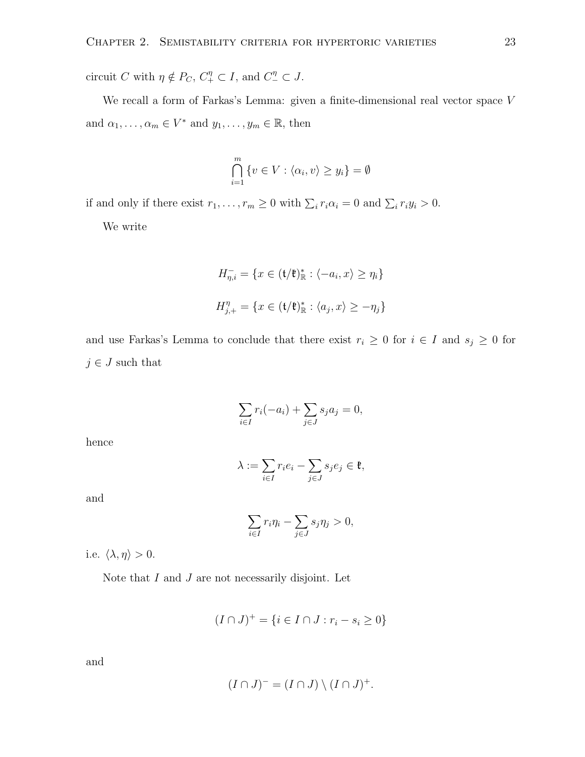circuit C with  $\eta \notin P_C$ ,  $C_+^{\eta} \subset I$ , and  $C_-^{\eta} \subset J$ .

We recall a form of Farkas's Lemma: given a finite-dimensional real vector space V and  $\alpha_1, \ldots, \alpha_m \in V^*$  and  $y_1, \ldots, y_m \in \mathbb{R}$ , then

$$
\bigcap_{i=1}^{m} \{v \in V : \langle \alpha_i, v \rangle \ge y_i\} = \emptyset
$$

if and only if there exist  $r_1, \ldots, r_m \geq 0$  with  $\sum_i r_i \alpha_i = 0$  and  $\sum_i r_i y_i > 0$ .

We write

$$
H_{\eta,i}^- = \{ x \in (\mathfrak{t}/\mathfrak{k})_{\mathbb{R}}^* : \langle -a_i, x \rangle \ge \eta_i \}
$$
  

$$
H_{j,+}^{\eta} = \{ x \in (\mathfrak{t}/\mathfrak{k})_{\mathbb{R}}^* : \langle a_j, x \rangle \ge -\eta_j \}
$$

and use Farkas's Lemma to conclude that there exist  $r_i \geq 0$  for  $i \in I$  and  $s_j \geq 0$  for  $j \in J$  such that

$$
\sum_{i \in I} r_i(-a_i) + \sum_{j \in J} s_j a_j = 0,
$$

hence

$$
\lambda := \sum_{i \in I} r_i e_i - \sum_{j \in J} s_j e_j \in \mathfrak{k},
$$

and

$$
\sum_{i\in I} r_i \eta_i - \sum_{j\in J} s_j \eta_j > 0,
$$

i.e.  $\langle \lambda, \eta \rangle > 0$ .

Note that  $I$  and  $J$  are not necessarily disjoint. Let

$$
(I \cap J)^+ = \{ i \in I \cap J : r_i - s_i \ge 0 \}
$$

and

$$
(I \cap J)^{-} = (I \cap J) \setminus (I \cap J)^{+}.
$$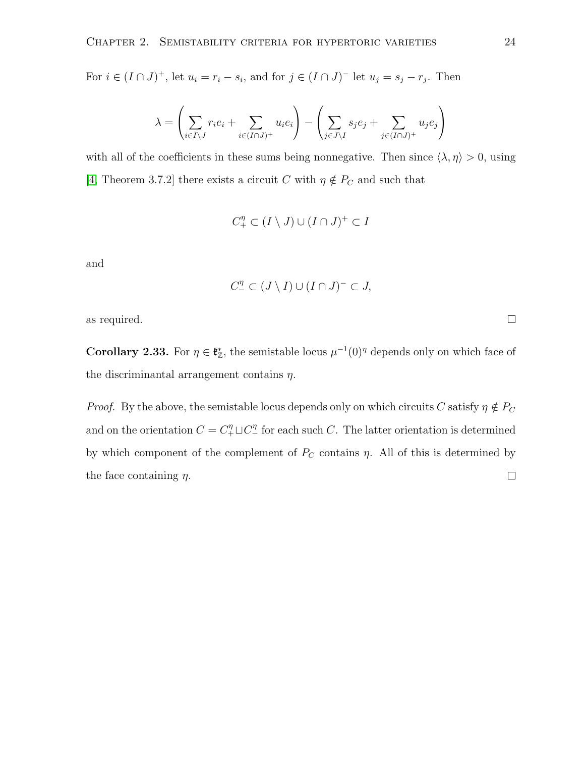For  $i \in (I \cap J)^+$ , let  $u_i = r_i - s_i$ , and for  $j \in (I \cap J)^-$  let  $u_j = s_j - r_j$ . Then

$$
\lambda = \left(\sum_{i \in I \backslash J} r_i e_i + \sum_{i \in (I \cap J)^+} u_i e_i \right) - \left(\sum_{j \in J \backslash I} s_j e_j + \sum_{j \in (I \cap J)^+} u_j e_j \right)
$$

with all of the coefficients in these sums being nonnegative. Then since  $\langle \lambda, \eta \rangle > 0$ , using [\[4,](#page-61-0) Theorem 3.7.2] there exists a circuit C with  $\eta \notin P_C$  and such that

$$
C_+^{\eta} \subset (I \setminus J) \cup (I \cap J)^+ \subset I
$$

and

$$
C_{-}^{\eta} \subset (J \setminus I) \cup (I \cap J)^{-} \subset J,
$$

as required.

<span id="page-27-0"></span>**Corollary 2.33.** For  $\eta \in \mathfrak{k}_{\mathbb{Z}}^*$ , the semistable locus  $\mu^{-1}(0)^{\eta}$  depends only on which face of the discriminantal arrangement contains  $\eta$ .

*Proof.* By the above, the semistable locus depends only on which circuits C satisfy  $\eta \notin P_C$ and on the orientation  $C = C_+^{\eta} \sqcup C_-^{\eta}$  for each such C. The latter orientation is determined by which component of the complement of  $P_C$  contains  $\eta$ . All of this is determined by the face containing  $\eta$ .  $\Box$ 

 $\Box$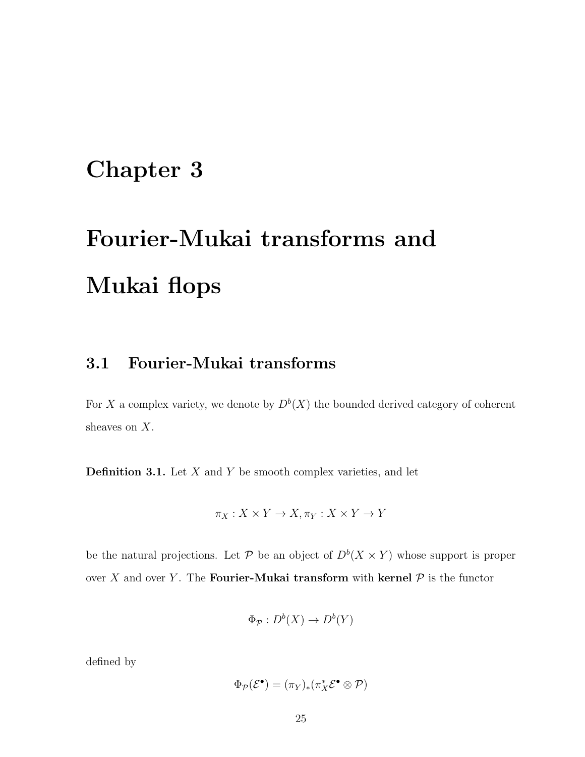## <span id="page-28-0"></span>Chapter 3

# Fourier-Mukai transforms and Mukai flops

#### <span id="page-28-1"></span>3.1 Fourier-Mukai transforms

For X a complex variety, we denote by  $D^b(X)$  the bounded derived category of coherent sheaves on X.

**Definition 3.1.** Let  $X$  and  $Y$  be smooth complex varieties, and let

$$
\pi_X:X\times Y\to X,\pi_Y:X\times Y\to Y
$$

be the natural projections. Let P be an object of  $D^b(X \times Y)$  whose support is proper over X and over Y. The **Fourier-Mukai transform** with **kernel**  $P$  is the functor

$$
\Phi_{\mathcal{P}}: D^b(X) \to D^b(Y)
$$

defined by

$$
\Phi_{\mathcal{P}}(\mathcal{E}^{\bullet}) = (\pi_{Y})_{*}(\pi_{X}^{*}\mathcal{E}^{\bullet} \otimes \mathcal{P})
$$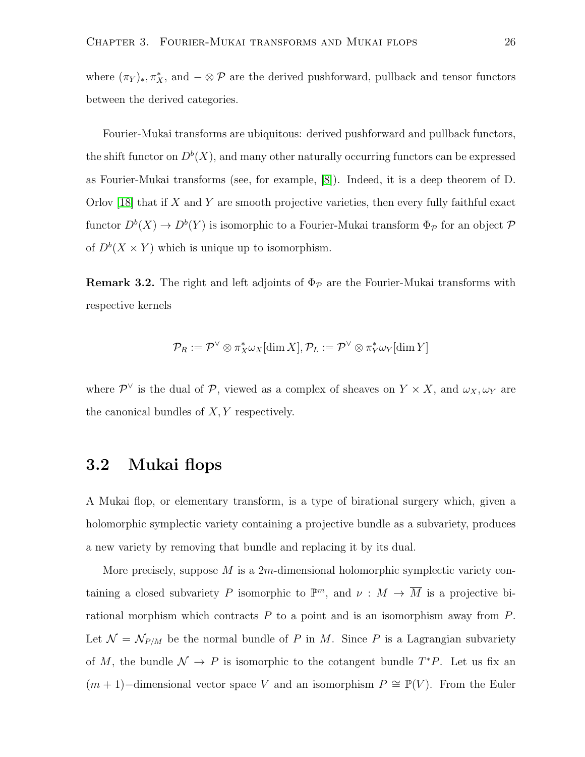where  $(\pi_Y)_*, \pi_X^*$ , and  $-\otimes \mathcal{P}$  are the derived pushforward, pullback and tensor functors between the derived categories.

Fourier-Mukai transforms are ubiquitous: derived pushforward and pullback functors, the shift functor on  $D^b(X)$ , and many other naturally occurring functors can be expressed as Fourier-Mukai transforms (see, for example, [\[8\]](#page-61-1)). Indeed, it is a deep theorem of D. Orlov  $[18]$  that if X and Y are smooth projective varieties, then every fully faithful exact functor  $D^b(X) \to D^b(Y)$  is isomorphic to a Fourier-Mukai transform  $\Phi_{\mathcal{P}}$  for an object  $\mathcal{P}$ of  $D^b(X \times Y)$  which is unique up to isomorphism.

<span id="page-29-1"></span>**Remark 3.2.** The right and left adjoints of  $\Phi_{\mathcal{P}}$  are the Fourier-Mukai transforms with respective kernels

$$
\mathcal{P}_R := \mathcal{P}^{\vee} \otimes \pi_X^* \omega_X[\dim X], \mathcal{P}_L := \mathcal{P}^{\vee} \otimes \pi_Y^* \omega_Y[\dim Y]
$$

where  $\mathcal{P}^{\vee}$  is the dual of  $\mathcal{P}$ , viewed as a complex of sheaves on  $Y \times X$ , and  $\omega_X, \omega_Y$  are the canonical bundles of  $X, Y$  respectively.

#### <span id="page-29-0"></span>3.2 Mukai flops

A Mukai flop, or elementary transform, is a type of birational surgery which, given a holomorphic symplectic variety containing a projective bundle as a subvariety, produces a new variety by removing that bundle and replacing it by its dual.

More precisely, suppose  $M$  is a 2m-dimensional holomorphic symplectic variety containing a closed subvariety P isomorphic to  $\mathbb{P}^m$ , and  $\nu : M \to \overline{M}$  is a projective birational morphism which contracts  $P$  to a point and is an isomorphism away from  $P$ . Let  $\mathcal{N} = \mathcal{N}_{P/M}$  be the normal bundle of P in M. Since P is a Lagrangian subvariety of M, the bundle  $\mathcal{N} \to P$  is isomorphic to the cotangent bundle  $T^*P$ . Let us fix an  $(m + 1)$ –dimensional vector space V and an isomorphism  $P \cong \mathbb{P}(V)$ . From the Euler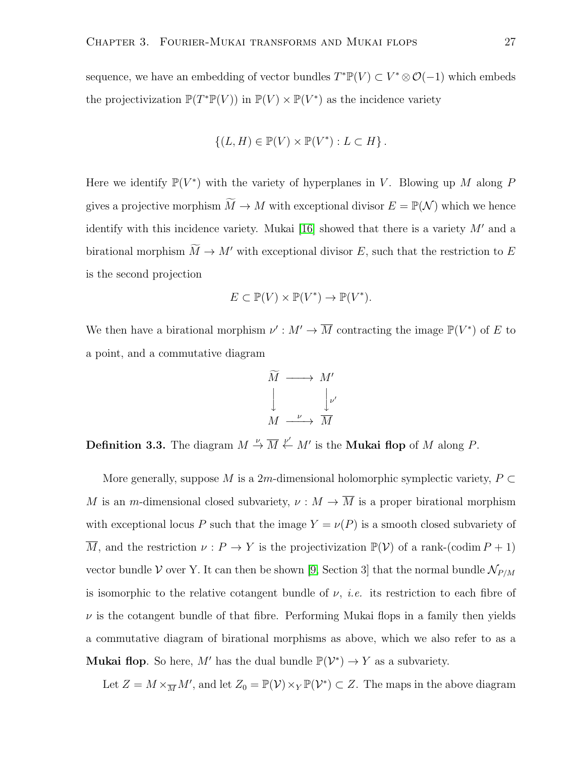sequence, we have an embedding of vector bundles  $T^{\ast} \mathbb{P}(V) \subset V^{\ast} \otimes \mathcal{O}(-1)$  which embeds the projectivization  $\mathbb{P}(T^*\mathbb{P}(V))$  in  $\mathbb{P}(V) \times \mathbb{P}(V^*)$  as the incidence variety

$$
\{(L, H) \in \mathbb{P}(V) \times \mathbb{P}(V^*) : L \subset H\}.
$$

Here we identify  $\mathbb{P}(V^*)$  with the variety of hyperplanes in V. Blowing up M along P gives a projective morphism  $\widetilde{M} \to M$  with exceptional divisor  $E = \mathbb{P}(\mathcal{N})$  which we hence identify with this incidence variety. Mukai [\[16\]](#page-62-7) showed that there is a variety  $M'$  and a birational morphism  $\widetilde{M} \to M'$  with exceptional divisor E, such that the restriction to E is the second projection

$$
E \subset \mathbb{P}(V) \times \mathbb{P}(V^*) \to \mathbb{P}(V^*).
$$

We then have a birational morphism  $\nu' : M' \to \overline{M}$  contracting the image  $\mathbb{P}(V^*)$  of E to a point, and a commutative diagram

$$
\widetilde{M} \longrightarrow M'
$$
\n
$$
\downarrow \qquad \qquad \downarrow \nu'
$$
\n
$$
M \longrightarrow \overline{M}
$$

**Definition 3.3.** The diagram  $M \stackrel{\nu}{\to} \overline{M} \stackrel{\nu'}{\leftarrow} M'$  is the **Mukai flop** of M along P.

More generally, suppose M is a 2m-dimensional holomorphic symplectic variety,  $P \subset$ M is an m-dimensional closed subvariety,  $\nu : M \to \overline{M}$  is a proper birational morphism with exceptional locus P such that the image  $Y = \nu(P)$  is a smooth closed subvariety of  $\overline{M}$ , and the restriction  $\nu : P \to Y$  is the projectivization  $\mathbb{P}(\mathcal{V})$  of a rank-(codim  $P + 1$ ) vector bundle  $V$  over Y. It can then be shown [\[9,](#page-61-2) Section 3] that the normal bundle  $\mathcal{N}_{P/M}$ is isomorphic to the relative cotangent bundle of  $\nu$ , *i.e.* its restriction to each fibre of  $\nu$  is the cotangent bundle of that fibre. Performing Mukai flops in a family then yields a commutative diagram of birational morphisms as above, which we also refer to as a **Mukai flop.** So here, M' has the dual bundle  $\mathbb{P}(\mathcal{V}^*) \to Y$  as a subvariety.

Let  $Z = M \times_{\overline{M}} M'$ , and let  $Z_0 = \mathbb{P}(\mathcal{V}) \times_Y \mathbb{P}(\mathcal{V}^*) \subset Z$ . The maps in the above diagram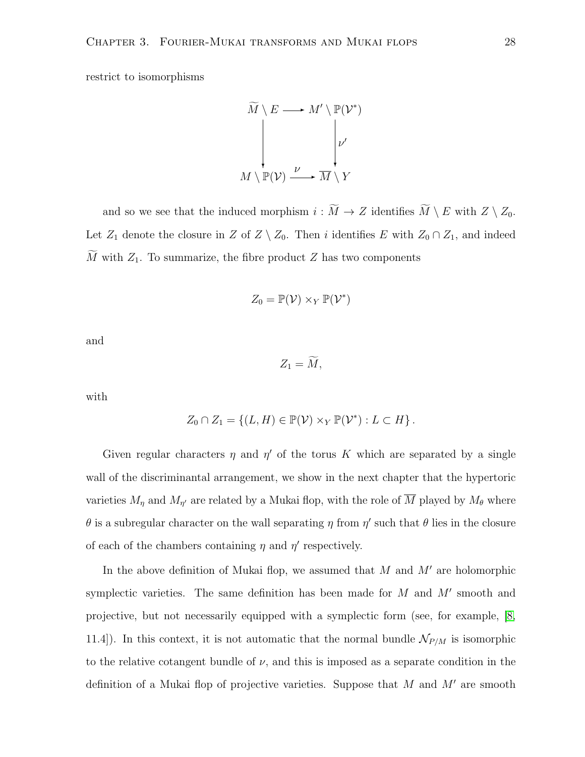restrict to isomorphisms

$$
\widetilde{M} \setminus E \longrightarrow M' \setminus \mathbb{P}(\mathcal{V}^*)
$$
\n
$$
\downarrow \qquad \qquad \downarrow \qquad \qquad \downarrow \qquad \downarrow \qquad \downarrow \qquad \downarrow \qquad \downarrow \qquad \downarrow \qquad \downarrow
$$
\n
$$
M \setminus \mathbb{P}(\mathcal{V}) \xrightarrow{\nu} \overline{M} \setminus Y
$$

and so we see that the induced morphism  $i : \widetilde{M} \to Z$  identifies  $\widetilde{M} \setminus E$  with  $Z \setminus Z_0$ . Let  $Z_1$  denote the closure in Z of  $Z \setminus Z_0$ . Then i identifies E with  $Z_0 \cap Z_1$ , and indeed  $\widetilde{M}$  with  $Z_1$ . To summarize, the fibre product Z has two components

$$
Z_0 = \mathbb{P}(\mathcal{V}) \times_Y \mathbb{P}(\mathcal{V}^*)
$$

and

 $Z_1 = \widetilde{M}$ ,

with

$$
Z_0 \cap Z_1 = \{ (L, H) \in \mathbb{P}(\mathcal{V}) \times_Y \mathbb{P}(\mathcal{V}^*) : L \subset H \}.
$$

Given regular characters  $\eta$  and  $\eta'$  of the torus K which are separated by a single wall of the discriminantal arrangement, we show in the next chapter that the hypertoric varieties  $M_{\eta}$  and  $M_{\eta'}$  are related by a Mukai flop, with the role of  $\overline{M}$  played by  $M_{\theta}$  where  $\theta$  is a subregular character on the wall separating  $\eta$  from  $\eta'$  such that  $\theta$  lies in the closure of each of the chambers containing  $\eta$  and  $\eta'$  respectively.

In the above definition of Mukai flop, we assumed that  $M$  and  $M'$  are holomorphic symplectic varieties. The same definition has been made for  $M$  and  $M'$  smooth and projective, but not necessarily equipped with a symplectic form (see, for example, [\[8,](#page-61-1) 11.4]). In this context, it is not automatic that the normal bundle  $\mathcal{N}_{P/M}$  is isomorphic to the relative cotangent bundle of  $\nu$ , and this is imposed as a separate condition in the definition of a Mukai flop of projective varieties. Suppose that  $M$  and  $M'$  are smooth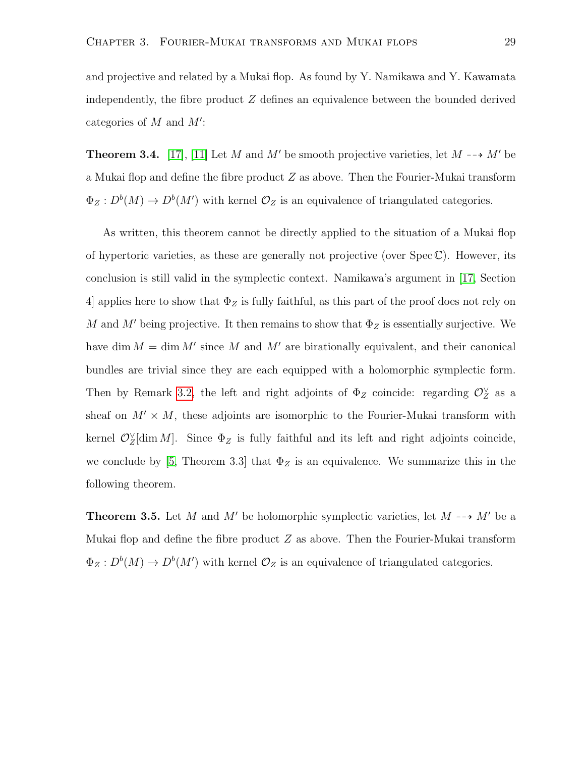and projective and related by a Mukai flop. As found by Y. Namikawa and Y. Kawamata independently, the fibre product Z defines an equivalence between the bounded derived categories of  $M$  and  $M'$ :

**Theorem 3.4.** [\[17\]](#page-62-1), [\[11\]](#page-62-0) Let M and M' be smooth projective varieties, let  $M \rightarrow M'$  be a Mukai flop and define the fibre product Z as above. Then the Fourier-Mukai transform  $\Phi_Z: D^b(M) \to D^b(M')$  with kernel  $\mathcal{O}_Z$  is an equivalence of triangulated categories.

As written, this theorem cannot be directly applied to the situation of a Mukai flop of hypertoric varieties, as these are generally not projective (over  $Spec \mathbb{C}$ ). However, its conclusion is still valid in the symplectic context. Namikawa's argument in [\[17,](#page-62-1) Section 4] applies here to show that  $\Phi_Z$  is fully faithful, as this part of the proof does not rely on M and M' being projective. It then remains to show that  $\Phi_Z$  is essentially surjective. We have dim  $M = \dim M'$  since M and M' are birationally equivalent, and their canonical bundles are trivial since they are each equipped with a holomorphic symplectic form. Then by Remark [3.2,](#page-29-1) the left and right adjoints of  $\Phi_Z$  coincide: regarding  $\mathcal{O}_Z^{\vee}$  as a sheaf on  $M' \times M$ , these adjoints are isomorphic to the Fourier-Mukai transform with kernel  $\mathcal{O}_Z^{\vee}[\dim M]$ . Since  $\Phi_Z$  is fully faithful and its left and right adjoints coincide, we conclude by [\[5,](#page-61-3) Theorem 3.3] that  $\Phi_Z$  is an equivalence. We summarize this in the following theorem.

<span id="page-32-0"></span>**Theorem 3.5.** Let M and M' be holomorphic symplectic varieties, let  $M \rightarrow M'$  be a Mukai flop and define the fibre product  $Z$  as above. Then the Fourier-Mukai transform  $\Phi_Z: D^b(M) \to D^b(M')$  with kernel  $\mathcal{O}_Z$  is an equivalence of triangulated categories.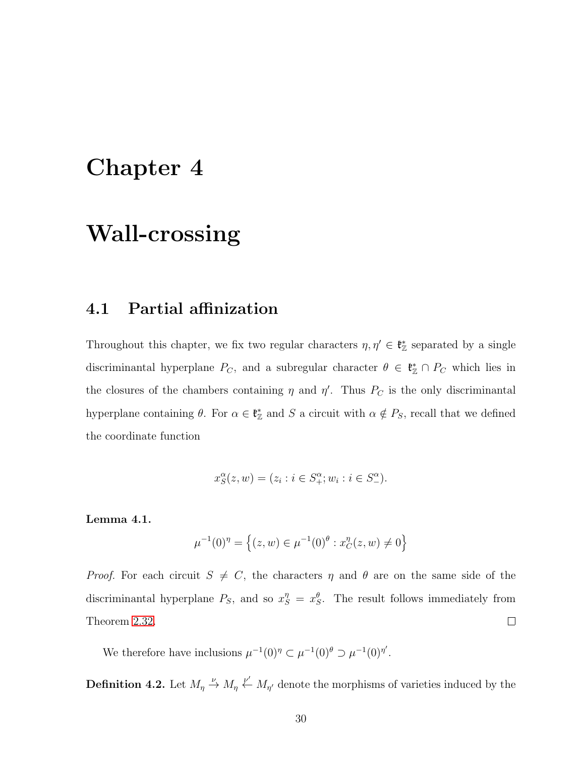## <span id="page-33-0"></span>Chapter 4

## Wall-crossing

#### <span id="page-33-1"></span>4.1 Partial affinization

Throughout this chapter, we fix two regular characters  $\eta, \eta' \in \mathfrak{k}_\mathbb{Z}^*$  separated by a single discriminantal hyperplane  $P_C$ , and a subregular character  $\theta \in \mathfrak{k}_\mathbb{Z}^* \cap P_C$  which lies in the closures of the chambers containing  $\eta$  and  $\eta'$ . Thus  $P_C$  is the only discriminantal hyperplane containing  $\theta$ . For  $\alpha \in \mathfrak{k}_{\mathbb{Z}}^*$  and S a circuit with  $\alpha \notin P_S$ , recall that we defined the coordinate function

$$
x_S^{\alpha}(z, w) = (z_i : i \in S_+^{\alpha}; w_i : i \in S_-^{\alpha}).
$$

#### Lemma 4.1.

$$
\mu^{-1}(0)^{\eta} = \left\{ (z, w) \in \mu^{-1}(0)^{\theta} : x_C^{\eta}(z, w) \neq 0 \right\}
$$

*Proof.* For each circuit  $S \neq C$ , the characters  $\eta$  and  $\theta$  are on the same side of the discriminantal hyperplane  $P_S$ , and so  $x_S^{\eta} = x_S^{\theta}$ . The result follows immediately from  $\Box$ Theorem [2.32.](#page-25-0)

We therefore have inclusions  $\mu^{-1}(0)^{\eta} \subset \mu^{-1}(0)^{\theta} \supset \mu^{-1}(0)^{\eta'}$ .

**Definition 4.2.** Let  $M_{\eta} \stackrel{\nu}{\leftrightarrow} M_{\eta'} \stackrel{\nu'}{\longleftarrow} M_{\eta'}$  denote the morphisms of varieties induced by the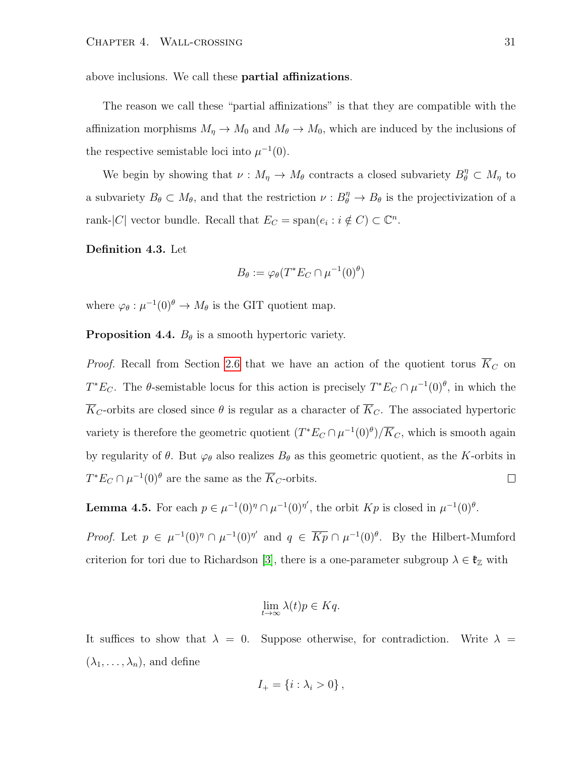above inclusions. We call these partial affinizations.

The reason we call these "partial affinizations" is that they are compatible with the affinization morphisms  $M_{\eta} \to M_0$  and  $M_{\theta} \to M_0$ , which are induced by the inclusions of the respective semistable loci into  $\mu^{-1}(0)$ .

We begin by showing that  $\nu : M_{\eta} \to M_{\theta}$  contracts a closed subvariety  $B_{\theta}^{\eta} \subset M_{\eta}$  to a subvariety  $B_{\theta} \subset M_{\theta}$ , and that the restriction  $\nu : B_{\theta}^{\eta} \to B_{\theta}$  is the projectivization of a rank-|C| vector bundle. Recall that  $E_C = \text{span}(e_i : i \notin C) \subset \mathbb{C}^n$ .

Definition 4.3. Let

$$
B_{\theta} := \varphi_{\theta}(T^* E_C \cap \mu^{-1}(0)^{\theta})
$$

where  $\varphi_{\theta}: \mu^{-1}(0)^{\theta} \to M_{\theta}$  is the GIT quotient map.

**Proposition 4.4.**  $B_{\theta}$  is a smooth hypertoric variety.

*Proof.* Recall from Section [2.6](#page-22-0) that we have an action of the quotient torus  $\overline{K}_C$  on  $T^*E_C$ . The  $\theta$ -semistable locus for this action is precisely  $T^*E_C \cap \mu^{-1}(0)^{\theta}$ , in which the  $\overline{K}_C$ -orbits are closed since  $\theta$  is regular as a character of  $\overline{K}_C$ . The associated hypertoric variety is therefore the geometric quotient  $(T^*E_C \cap \mu^{-1}(0)^{\theta})/\overline{K}_C$ , which is smooth again by regularity of  $\theta$ . But  $\varphi_{\theta}$  also realizes  $B_{\theta}$  as this geometric quotient, as the K-orbits in  $T^*E_C \cap \mu^{-1}(0)^\theta$  are the same as the  $\overline{K}_C$ -orbits.  $\Box$ 

<span id="page-34-0"></span>**Lemma 4.5.** For each  $p \in \mu^{-1}(0)^\eta \cap \mu^{-1}(0)^\eta'$ , the orbit  $Kp$  is closed in  $\mu^{-1}(0)^\theta$ .

*Proof.* Let  $p \in \mu^{-1}(0)^\eta \cap \mu^{-1}(0)^\eta'$  and  $q \in \overline{Kp} \cap \mu^{-1}(0)^\theta$ . By the Hilbert-Mumford criterion for tori due to Richardson [\[3\]](#page-61-4), there is a one-parameter subgroup  $\lambda \in \mathfrak{k}_{\mathbb{Z}}$  with

$$
\lim_{t \to \infty} \lambda(t)p \in Kq.
$$

It suffices to show that  $\lambda = 0$ . Suppose otherwise, for contradiction. Write  $\lambda =$  $(\lambda_1, \ldots, \lambda_n)$ , and define

$$
I_+ = \{i : \lambda_i > 0\}\,,
$$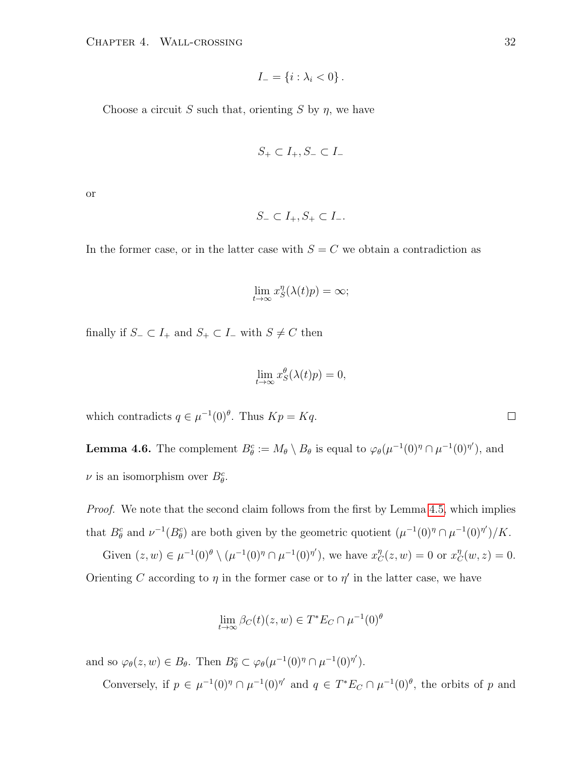$$
I_{-} = \{i : \lambda_i < 0\}.
$$

Choose a circuit S such that, orienting S by  $\eta$ , we have

$$
S_+ \subset I_+, S_- \subset I_-
$$

or

$$
S_- \subset I_+, S_+ \subset I_-.
$$

In the former case, or in the latter case with  $S = C$  we obtain a contradiction as

$$
\lim_{t \to \infty} x_S^{\eta}(\lambda(t)p) = \infty;
$$

finally if  $S_-\subset I_+$  and  $S_+\subset I_-\,$  with  $S\neq C$  then

$$
\lim_{t \to \infty} x_S^{\theta}(\lambda(t)p) = 0,
$$

which contradicts  $q \in \mu^{-1}(0)^{\theta}$ . Thus  $Kp = Kq$ .

<span id="page-35-0"></span>**Lemma 4.6.** The complement  $B_{\theta}^c := M_{\theta} \setminus B_{\theta}$  is equal to  $\varphi_{\theta}(\mu^{-1}(0)^{\eta} \cap \mu^{-1}(0)^{\eta'})$ , and  $\nu$  is an isomorphism over  $B_{\theta}^{c}$ .

Proof. We note that the second claim follows from the first by Lemma [4.5,](#page-34-0) which implies that  $B_{\theta}^c$  and  $\nu^{-1}(B_{\theta}^c)$  are both given by the geometric quotient  $(\mu^{-1}(0)^{\eta} \cap \mu^{-1}(0)^{\eta'})/K$ .

Given  $(z, w) \in \mu^{-1}(0)^{\theta} \setminus (\mu^{-1}(0)^{\eta} \cap \mu^{-1}(0)^{\eta'}),$  we have  $x_C^{\eta}(z, w) = 0$  or  $x_C^{\eta}(w, z) = 0.$ Orienting C according to  $\eta$  in the former case or to  $\eta'$  in the latter case, we have

$$
\lim_{t \to \infty} \beta_C(t)(z, w) \in T^* E_C \cap \mu^{-1}(0)^{\theta}
$$

and so  $\varphi_{\theta}(z, w) \in B_{\theta}$ . Then  $B_{\theta}^{c} \subset \varphi_{\theta}(\mu^{-1}(0)^{\eta} \cap \mu^{-1}(0)^{\eta'})$ .

Conversely, if  $p \in \mu^{-1}(0)^{\eta} \cap \mu^{-1}(0)^{\eta'}$  and  $q \in T^*E_C \cap \mu^{-1}(0)^{\theta}$ , the orbits of p and

 $\Box$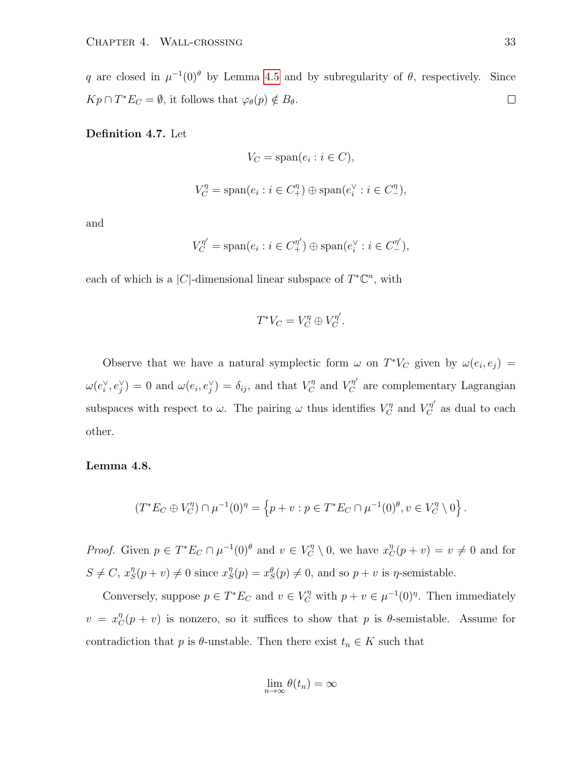q are closed in  $\mu^{-1}(0)^\theta$  by Lemma [4.5](#page-34-0) and by subregularity of  $\theta$ , respectively. Since  $Kp \cap T^*E_C = \emptyset$ , it follows that  $\varphi_\theta(p) \notin B_\theta$ .  $\Box$ 

Definition 4.7. Let

$$
V_C = \text{span}(e_i : i \in C),
$$

$$
V_C^{\eta} = \text{span}(e_i : i \in C_+^{\eta}) \oplus \text{span}(e_i^{\vee} : i \in C_-^{\eta}),
$$

and

$$
V_C^{\eta'} = \text{span}(e_i : i \in C_+^{\eta'}) \oplus \text{span}(e_i^{\vee} : i \in C_-^{\eta'}),
$$

each of which is a |C|-dimensional linear subspace of  $T^{\ast} \mathbb{C}^{n}$ , with

$$
T^*V_C = V_C^{\eta} \oplus V_C^{\eta'}.
$$

Observe that we have a natural symplectic form  $\omega$  on  $T^*V_C$  given by  $\omega(e_i, e_j)$  =  $\omega(e_i^{\vee}, e_j^{\vee}) = 0$  and  $\omega(e_i, e_j^{\vee}) = \delta_{ij}$ , and that  $V_C^{\eta}$  and  $V_C^{\eta'}$  are complementary Lagrangian subspaces with respect to  $\omega$ . The pairing  $\omega$  thus identifies  $V_C^{\eta}$  and  $V_C^{\eta'}$  as dual to each other.

#### <span id="page-36-0"></span>Lemma 4.8.

$$
(T^*E_C \oplus V_C^{\eta}) \cap \mu^{-1}(0)^{\eta} = \left\{ p + v : p \in T^*E_C \cap \mu^{-1}(0)^{\theta}, v \in V_C^{\eta} \setminus 0 \right\}.
$$

*Proof.* Given  $p \in T^*E_C \cap \mu^{-1}(0)^{\theta}$  and  $v \in V_C^{\eta} \setminus 0$ , we have  $x_C^{\eta}(p+v) = v \neq 0$  and for  $S \neq C, x_S^{\eta}$  $S_{S}^{\eta}(p+v) \neq 0$  since  $x_{S}^{\eta}$  $S_{S}(p) = x_{S}^{\theta}(p) \neq 0$ , and so  $p + v$  is  $\eta$ -semistable.

Conversely, suppose  $p \in T^*E_C$  and  $v \in V_C^{\eta}$  with  $p + v \in \mu^{-1}(0)^{\eta}$ . Then immediately  $v = x_C^{\eta}$  ( $p + v$ ) is nonzero, so it suffices to show that p is  $\theta$ -semistable. Assume for contradiction that p is  $\theta$ -unstable. Then there exist  $t_n \in K$  such that

$$
\lim_{n\to\infty}\theta(t_n)=\infty
$$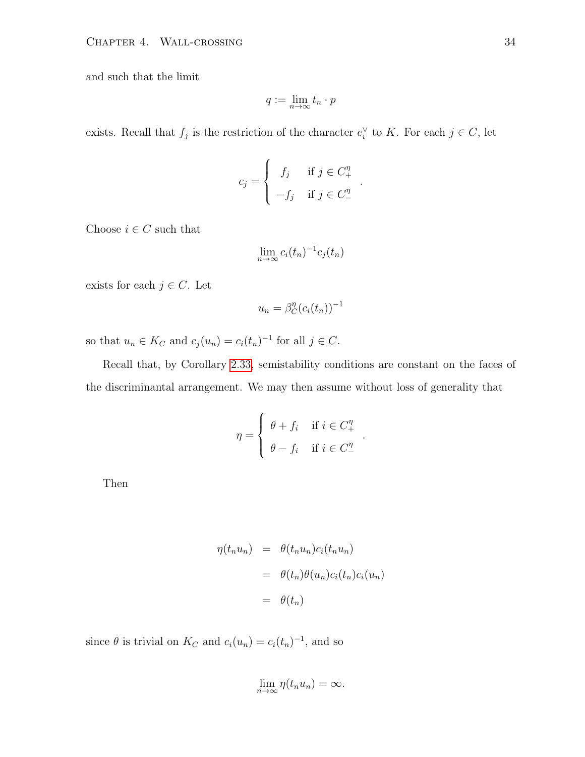and such that the limit

$$
q := \lim_{n \to \infty} t_n \cdot p
$$

exists. Recall that  $f_j$  is the restriction of the character  $e_i^{\vee}$  to K. For each  $j \in C$ , let

$$
c_j = \begin{cases} f_j & \text{if } j \in C_+^{\eta} \\ -f_j & \text{if } j \in C_-^{\eta} \end{cases}
$$

.

.

Choose  $i \in C$  such that

$$
\lim_{n \to \infty} c_i(t_n)^{-1} c_j(t_n)
$$

exists for each  $j \in C$ . Let

$$
u_n = \beta_C^n(c_i(t_n))^{-1}
$$

so that  $u_n \in K_C$  and  $c_j(u_n) = c_i(t_n)^{-1}$  for all  $j \in C$ .

Recall that, by Corollary [2.33,](#page-27-0) semistability conditions are constant on the faces of the discriminantal arrangement. We may then assume without loss of generality that

$$
\eta = \begin{cases} \theta + f_i & \text{if } i \in C_+^{\eta} \\ \theta - f_i & \text{if } i \in C_-^{\eta} \end{cases}
$$

Then

$$
\eta(t_n u_n) = \theta(t_n u_n) c_i(t_n u_n)
$$
  
= 
$$
\theta(t_n) \theta(u_n) c_i(t_n) c_i(u_n)
$$
  
= 
$$
\theta(t_n)
$$

since  $\theta$  is trivial on  $K_C$  and  $c_i(u_n) = c_i(t_n)^{-1}$ , and so

$$
\lim_{n\to\infty}\eta(t_nu_n)=\infty.
$$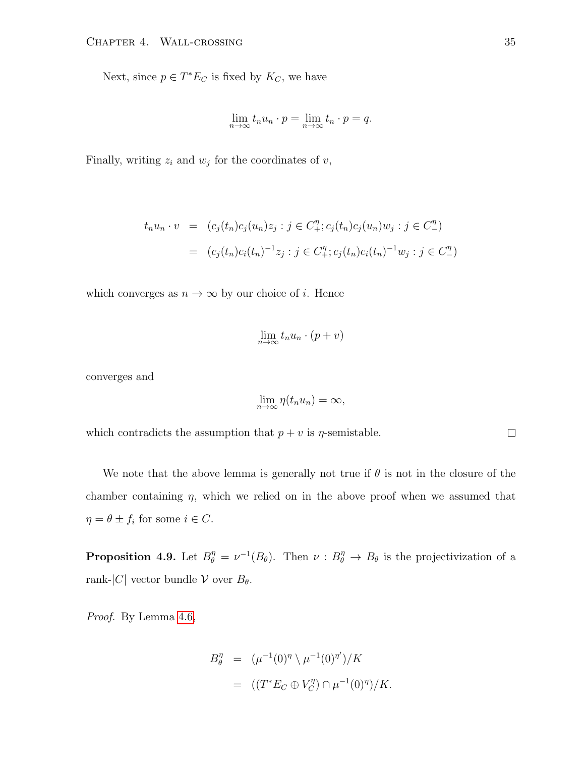Next, since  $p \in T^*E_C$  is fixed by  $K_C$ , we have

$$
\lim_{n \to \infty} t_n u_n \cdot p = \lim_{n \to \infty} t_n \cdot p = q.
$$

Finally, writing  $z_i$  and  $w_j$  for the coordinates of  $v$ ,

$$
t_n u_n \cdot v = (c_j(t_n)c_j(u_n)z_j : j \in C_+^{\eta}; c_j(t_n)c_j(u_n)w_j : j \in C_-^{\eta})
$$
  
=  $(c_j(t_n)c_i(t_n)^{-1}z_j : j \in C_+^{\eta}; c_j(t_n)c_i(t_n)^{-1}w_j : j \in C_-^{\eta})$ 

which converges as  $n \to \infty$  by our choice of *i*. Hence

$$
\lim_{n \to \infty} t_n u_n \cdot (p + v)
$$

converges and

$$
\lim_{n\to\infty}\eta(t_nu_n)=\infty,
$$

which contradicts the assumption that  $p + v$  is  $\eta$ -semistable.

We note that the above lemma is generally not true if  $\theta$  is not in the closure of the chamber containing  $\eta$ , which we relied on in the above proof when we assumed that  $\eta = \theta \pm f_i$  for some  $i \in C$ .

<span id="page-38-0"></span>**Proposition 4.9.** Let  $B_{\theta}^{\eta} = \nu^{-1}(B_{\theta})$ . Then  $\nu : B_{\theta}^{\eta} \to B_{\theta}$  is the projectivization of a rank- $|C|$  vector bundle  $\mathcal V$  over  $B_\theta$ .

Proof. By Lemma [4.6,](#page-35-0)

$$
B_{\theta}^{\eta} = (\mu^{-1}(0)^{\eta} \setminus \mu^{-1}(0)^{\eta'})/K
$$
  
= ((T^\*E\_C \oplus V\_C^{\eta}) \cap \mu^{-1}(0)^{\eta})/K.

 $\Box$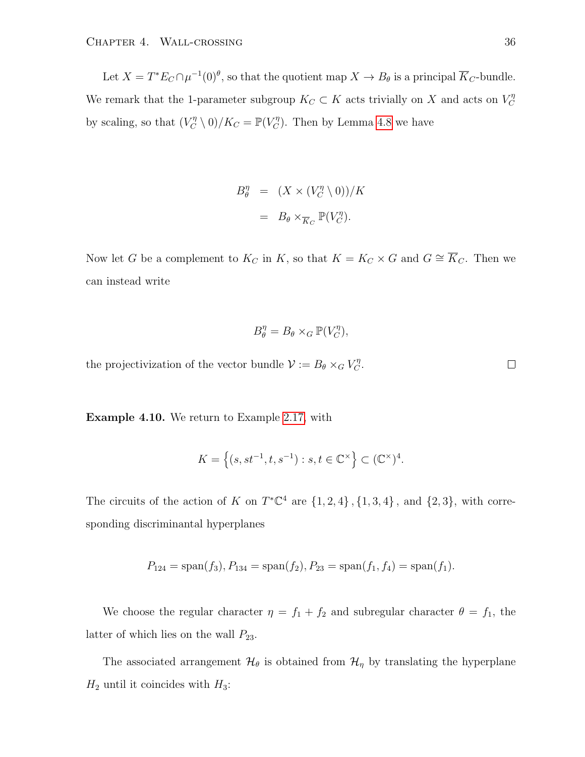Let  $X = T^* E_C \cap \mu^{-1}(0)^\theta$ , so that the quotient map  $X \to B_\theta$  is a principal  $\overline{K}_C$ -bundle. We remark that the 1-parameter subgroup  $K_C \subset K$  acts trivially on X and acts on  $V_C^{\eta}$  $\mathcal{C}_{0}^{(n)}$ by scaling, so that  $(V_C^{\eta} \setminus 0)/K_C = \mathbb{P}(V_C^{\eta})$ . Then by Lemma [4.8](#page-36-0) we have

$$
B_{\theta}^{\eta} = (X \times (V_C^{\eta} \setminus 0))/K
$$

$$
= B_{\theta} \times_{\overline{K}_C} \mathbb{P}(V_C^{\eta}).
$$

Now let G be a complement to  $K_C$  in K, so that  $K = K_C \times G$  and  $G \cong \overline{K}_C$ . Then we can instead write

$$
B_{\theta}^{\eta} = B_{\theta} \times_G \mathbb{P}(V_C^{\eta}),
$$

the projectivization of the vector bundle  $\mathcal{V} := B_{\theta} \times_G V_C^{\eta}$ .

<span id="page-39-0"></span>Example 4.10. We return to Example [2.17,](#page-16-0) with

$$
K = \left\{ (s, st^{-1}, t, s^{-1}) : s, t \in \mathbb{C}^{\times} \right\} \subset (\mathbb{C}^{\times})^4.
$$

The circuits of the action of K on  $T^{\ast} \mathbb{C}^{4}$  are  $\{1,2,4\}$ ,  $\{1,3,4\}$ , and  $\{2,3\}$ , with corresponding discriminantal hyperplanes

$$
P_{124} = \text{span}(f_3), P_{134} = \text{span}(f_2), P_{23} = \text{span}(f_1, f_4) = \text{span}(f_1).
$$

We choose the regular character  $\eta = f_1 + f_2$  and subregular character  $\theta = f_1$ , the latter of which lies on the wall  $P_{23}$ .

The associated arrangement  $\mathcal{H}_{\theta}$  is obtained from  $\mathcal{H}_{\eta}$  by translating the hyperplane  $H_2$  until it coincides with  $H_3$ :

 $\Box$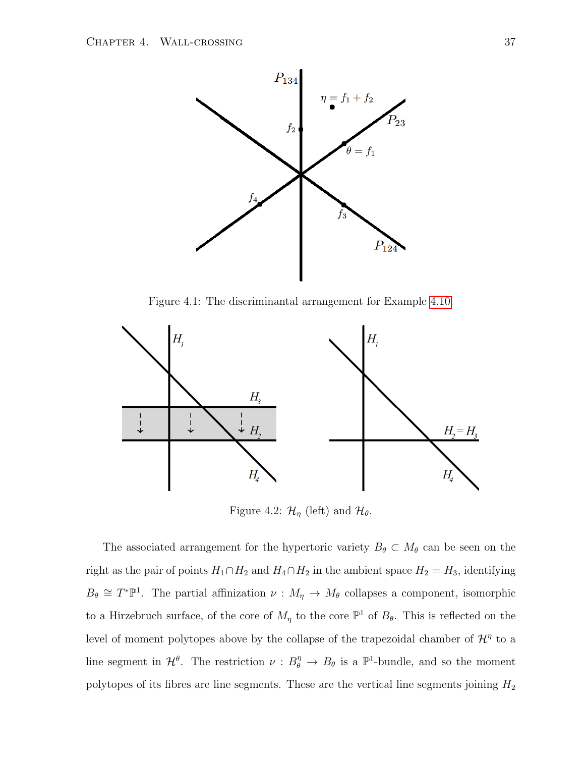

Figure 4.1: The discriminantal arrangement for Example [4.10.](#page-39-0)



Figure 4.2:  $\mathcal{H}_{\eta}$  (left) and  $\mathcal{H}_{\theta}$ .

The associated arrangement for the hypertoric variety  $B_{\theta} \subset M_{\theta}$  can be seen on the right as the pair of points  $H_1 \cap H_2$  and  $H_4 \cap H_2$  in the ambient space  $H_2 = H_3$ , identifying  $B_{\theta} \cong T^*\mathbb{P}^1$ . The partial affinization  $\nu : M_{\eta} \to M_{\theta}$  collapses a component, isomorphic to a Hirzebruch surface, of the core of  $M_{\eta}$  to the core  $\mathbb{P}^{1}$  of  $B_{\theta}$ . This is reflected on the level of moment polytopes above by the collapse of the trapezoidal chamber of  $\mathcal{H}^{\eta}$  to a line segment in  $\mathcal{H}^{\theta}$ . The restriction  $\nu : B_{\theta}^{\eta} \to B_{\theta}$  is a  $\mathbb{P}^1$ -bundle, and so the moment polytopes of its fibres are line segments. These are the vertical line segments joining  $H_2$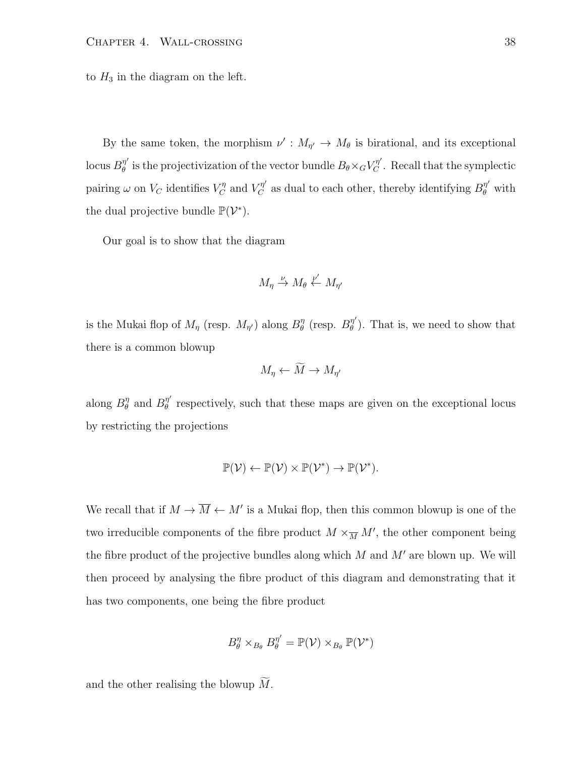to  $H_3$  in the diagram on the left.

By the same token, the morphism  $\nu' : M_{\eta'} \to M_\theta$  is birational, and its exceptional locus  $B^{\eta'}_{\theta}$  $\theta_{\theta}''$  is the projectivization of the vector bundle  $B_{\theta} \times {}_{G}V^{\eta'}_{C}$ . Recall that the symplectic pairing  $\omega$  on  $V_C$  identifies  $V_C^{\eta}$  and  $V_C^{\eta'}$  as dual to each other, thereby identifying  $B_{\theta}^{\eta'}$  with the dual projective bundle  $\mathbb{P}(\mathcal{V}^*)$ .

Our goal is to show that the diagram

$$
M_{\eta} \xrightarrow{\nu} M_{\theta} \xleftarrow{\nu'} M_{\eta'}
$$

is the Mukai flop of  $M_{\eta}$  (resp.  $M_{\eta'}$ ) along  $B_{\theta}^{\eta}$ <sup>η</sup> (resp.  $B^{\eta'}_{\theta}$  $\eta''_{\theta}$ ). That is, we need to show that there is a common blowup

$$
M_{\eta} \leftarrow \tilde{M} \rightarrow M_{\eta'}
$$

along  $B_{\theta}^{\eta}$  $\frac{\eta}{\theta}$  and  $B^{\eta'}_{\theta}$  $\theta$ <sup>*n*</sup> respectively, such that these maps are given on the exceptional locus by restricting the projections

$$
\mathbb{P}(\mathcal{V}) \leftarrow \mathbb{P}(\mathcal{V}) \times \mathbb{P}(\mathcal{V}^*) \rightarrow \mathbb{P}(\mathcal{V}^*).
$$

We recall that if  $M \to \overline{M} \leftarrow M'$  is a Mukai flop, then this common blowup is one of the two irreducible components of the fibre product  $M \times_{\overline{M}} M'$ , the other component being the fibre product of the projective bundles along which  $M$  and  $M'$  are blown up. We will then proceed by analysing the fibre product of this diagram and demonstrating that it has two components, one being the fibre product

$$
B_{\theta}^{\eta} \times_{B_{\theta}} B_{\theta}^{\eta'} = \mathbb{P}(\mathcal{V}) \times_{B_{\theta}} \mathbb{P}(\mathcal{V}^*)
$$

and the other realising the blowup  $\widetilde{M}$ .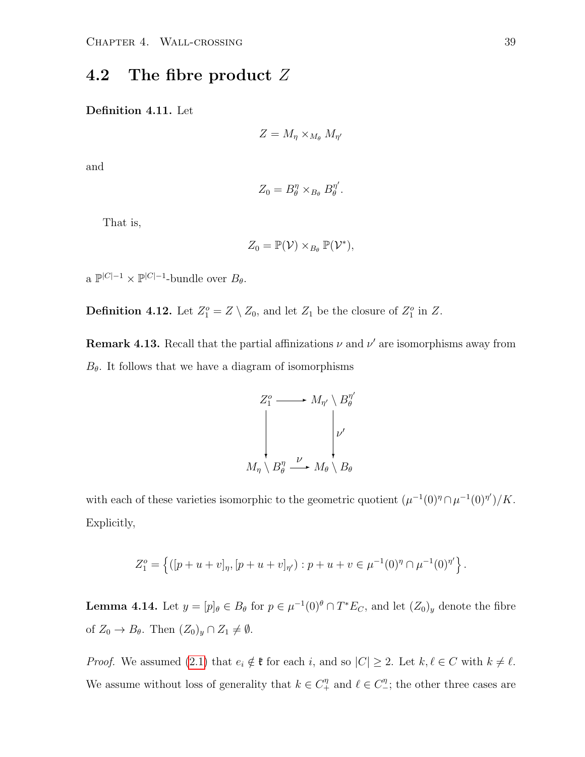#### <span id="page-42-0"></span>4.2 The fibre product Z

Definition 4.11. Let

$$
Z = M_{\eta} \times_{M_{\theta}} M_{\eta'}
$$

and

$$
Z_0=B^\eta_\theta\times_{B_\theta}B^{\eta'}_\theta
$$

.

That is,

$$
Z_0 = \mathbb{P}(\mathcal{V}) \times_{B_\theta} \mathbb{P}(\mathcal{V}^*),
$$

a  $\mathbb{P}^{|C|-1} \times \mathbb{P}^{|C|-1}$ -bundle over  $B_{\theta}$ .

**Definition 4.12.** Let  $Z_1^o = Z \setminus Z_0$ , and let  $Z_1$  be the closure of  $Z_1^o$  in  $Z$ .

<span id="page-42-2"></span>**Remark 4.13.** Recall that the partial affinizations  $\nu$  and  $\nu'$  are isomorphisms away from  $B_{\theta}$ . It follows that we have a diagram of isomorphisms



with each of these varieties isomorphic to the geometric quotient  $(\mu^{-1}(0)^{\eta} \cap \mu^{-1}(0)^{\eta'})/K$ . Explicitly,

$$
Z_1^o = \left\{ ([p+u+v]_{\eta}, [p+u+v]_{\eta'}) : p+u+v \in \mu^{-1}(0)^{\eta} \cap \mu^{-1}(0)^{\eta'} \right\}.
$$

<span id="page-42-1"></span>**Lemma 4.14.** Let  $y = [p]_\theta \in B_\theta$  for  $p \in \mu^{-1}(0)^\theta \cap T^*E_C$ , and let  $(Z_0)_y$  denote the fibre of  $Z_0 \to B_\theta$ . Then  $(Z_0)_y \cap Z_1 \neq \emptyset$ .

*Proof.* We assumed [\(2.1\)](#page-9-2) that  $e_i \notin \mathfrak{k}$  for each i, and so  $|C| \geq 2$ . Let  $k, \ell \in C$  with  $k \neq \ell$ . We assume without loss of generality that  $k \in C_+^{\eta}$  and  $\ell \in C_-^{\eta}$ ; the other three cases are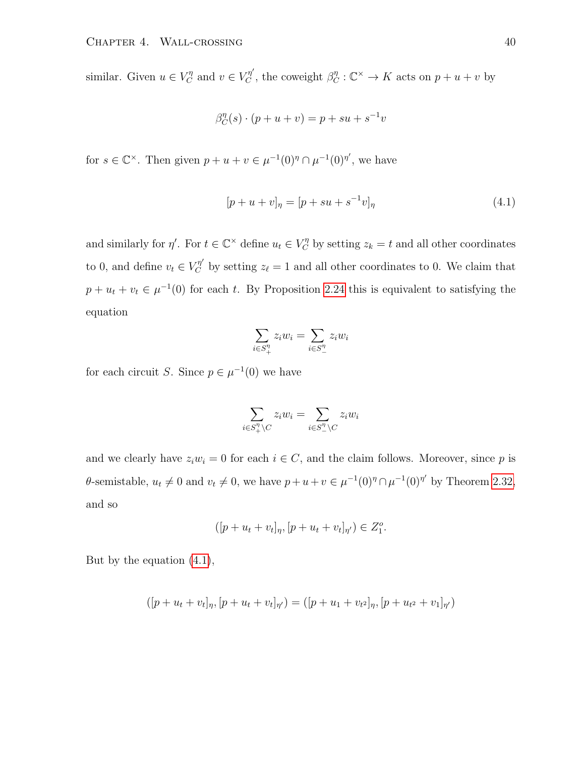similar. Given  $u \in V_C^{\eta}$  and  $v \in V_C^{\eta'}$ , the coweight  $\beta_C^{\eta} : \mathbb{C}^{\times} \to K$  acts on  $p + u + v$  by

$$
\beta_C^{\eta}(s) \cdot (p+u+v) = p + su + s^{-1}v
$$

for  $s \in \mathbb{C}^{\times}$ . Then given  $p + u + v \in \mu^{-1}(0)^{\eta} \cap \mu^{-1}(0)^{\eta'}$ , we have

<span id="page-43-0"></span>
$$
[p + u + v]_{\eta} = [p + su + s^{-1}v]_{\eta}
$$
\n(4.1)

and similarly for  $\eta'$ . For  $t \in \mathbb{C}^\times$  define  $u_t \in V_C^{\eta}$  by setting  $z_k = t$  and all other coordinates to 0, and define  $v_t \in V_C^{\eta'}$  by setting  $z_{\ell} = 1$  and all other coordinates to 0. We claim that  $p + u_t + v_t \in \mu^{-1}(0)$  for each t. By Proposition [2.24](#page-21-0) this is equivalent to satisfying the equation

$$
\sum_{i \in S_+^{\eta}} z_i w_i = \sum_{i \in S_-^{\eta}} z_i w_i
$$

for each circuit S. Since  $p \in \mu^{-1}(0)$  we have

$$
\sum_{i \in S^n_+ \setminus C} z_i w_i = \sum_{i \in S^n_- \setminus C} z_i w_i
$$

and we clearly have  $z_iw_i = 0$  for each  $i \in C$ , and the claim follows. Moreover, since p is  $\theta$ -semistable,  $u_t \neq 0$  and  $v_t \neq 0$ , we have  $p+u+v \in \mu^{-1}(0)^{\eta} \cap \mu^{-1}(0)^{\eta'}$  by Theorem [2.32,](#page-25-0) and so

$$
([p + u_t + v_t]_{\eta}, [p + u_t + v_t]_{\eta'}) \in Z_1^o.
$$

But by the equation [\(4.1\)](#page-43-0),

$$
([p + u_t + v_t]_{\eta}, [p + u_t + v_t]_{\eta'}) = ([p + u_1 + v_t^2]_{\eta}, [p + u_t^2 + v_1]_{\eta'})
$$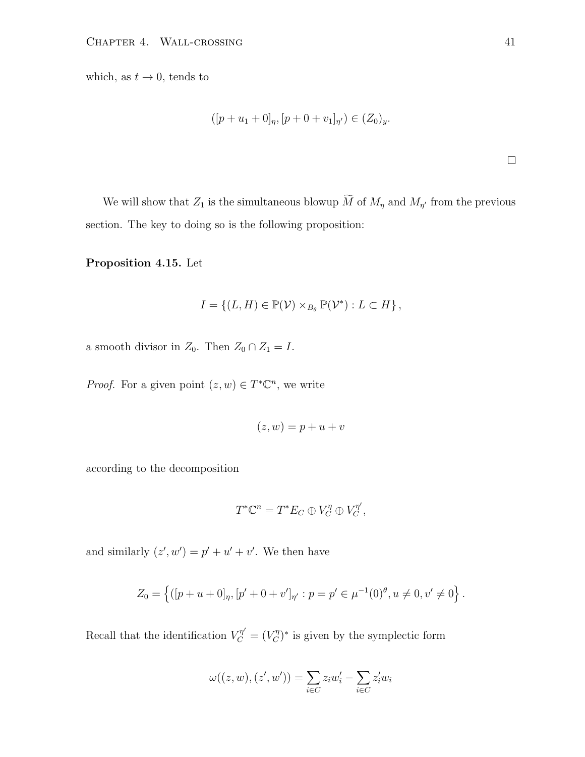which, as  $t \to 0$ , tends to

$$
([p+u_1+0]_{\eta}, [p+0+v_1]_{\eta'}) \in (Z_0)_y.
$$

 $\hfill \square$ 

We will show that  $Z_1$  is the simultaneous blowup M of  $M_{\eta}$  and  $M_{\eta'}$  from the previous section. The key to doing so is the following proposition:

<span id="page-44-0"></span>Proposition 4.15. Let

$$
I = \{ (L, H) \in \mathbb{P}(\mathcal{V}) \times_{B_{\theta}} \mathbb{P}(\mathcal{V}^*) : L \subset H \},\
$$

a smooth divisor in  $Z_0$ . Then  $Z_0 \cap Z_1 = I$ .

*Proof.* For a given point  $(z, w) \in T^*{\mathbb{C}}^n$ , we write

$$
(z, w) = p + u + v
$$

according to the decomposition

$$
T^*\mathbb{C}^n = T^*E_C \oplus V_C^{\eta} \oplus V_C^{\eta'},
$$

and similarly  $(z', w') = p' + u' + v'$ . We then have

$$
Z_0 = \left\{ ([p + u + 0]_{\eta}, [p' + 0 + v']_{\eta'} : p = p' \in \mu^{-1}(0)^{\theta}, u \neq 0, v' \neq 0 \right\}.
$$

Recall that the identification  $V_C^{\eta'} = (V_C^{\eta})^*$  is given by the symplectic form

$$
\omega((z,w),(z',w')) = \sum_{i \in C} z_i w'_i - \sum_{i \in C} z'_i w_i
$$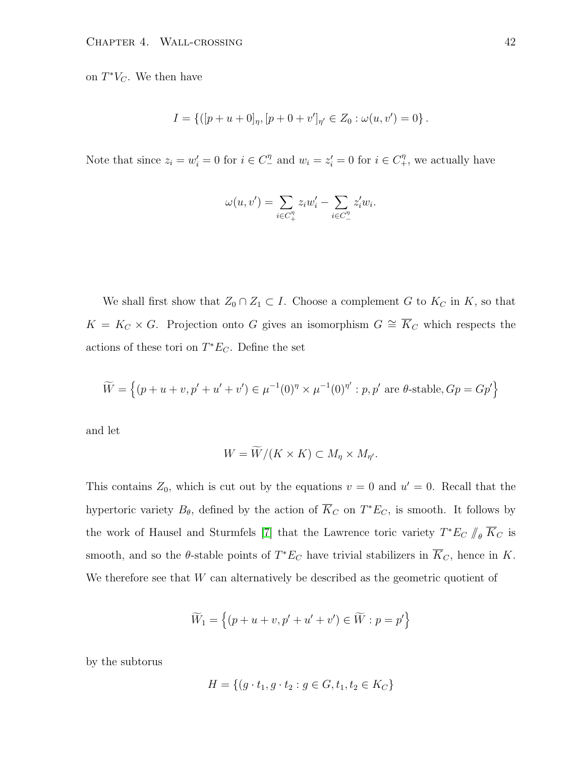on  $T^*V_C$ . We then have

$$
I = \{([p+u+0]_{\eta}, [p+0+v']_{\eta'} \in Z_0 : \omega(u, v') = 0\}.
$$

Note that since  $z_i = w'_i = 0$  for  $i \in C_-^{\eta}$  and  $w_i = z'_i = 0$  for  $i \in C_+^{\eta}$ , we actually have

$$
\omega(u,v')=\sum_{i\in C_+^{\eta}}z_iw_i'-\sum_{i\in C_-^{\eta}}z_i'w_i.
$$

We shall first show that  $Z_0 \cap Z_1 \subset I$ . Choose a complement G to  $K_C$  in K, so that  $K = K_C \times G$ . Projection onto G gives an isomorphism  $G \cong \overline{K}_C$  which respects the actions of these tori on  $T^*E_C$ . Define the set

$$
\widetilde{W} = \left\{ (p + u + v, p' + u' + v') \in \mu^{-1}(0)^{\eta} \times \mu^{-1}(0)^{\eta'} : p, p' \text{ are } \theta \text{-stable}, Gp = Gp' \right\}
$$

and let

$$
W = \widetilde{W}/(K \times K) \subset M_{\eta} \times M_{\eta'}.
$$

This contains  $Z_0$ , which is cut out by the equations  $v = 0$  and  $u' = 0$ . Recall that the hypertoric variety  $B_{\theta}$ , defined by the action of  $\overline{K}_C$  on  $T^*E_C$ , is smooth. It follows by the work of Hausel and Sturmfels [\[7\]](#page-61-5) that the Lawrence toric variety  $T^*E_C \parallel_{\theta} \overline{K}_C$  is smooth, and so the  $\theta$ -stable points of  $T^*E_C$  have trivial stabilizers in  $\overline{K}_C$ , hence in K. We therefore see that  $W$  can alternatively be described as the geometric quotient of

$$
\widetilde W_1=\left\{(p+u+v,p'+u'+v')\in \widetilde W: p=p'\right\}
$$

by the subtorus

$$
H = \{(g \cdot t_1, g \cdot t_2 : g \in G, t_1, t_2 \in K_C\}
$$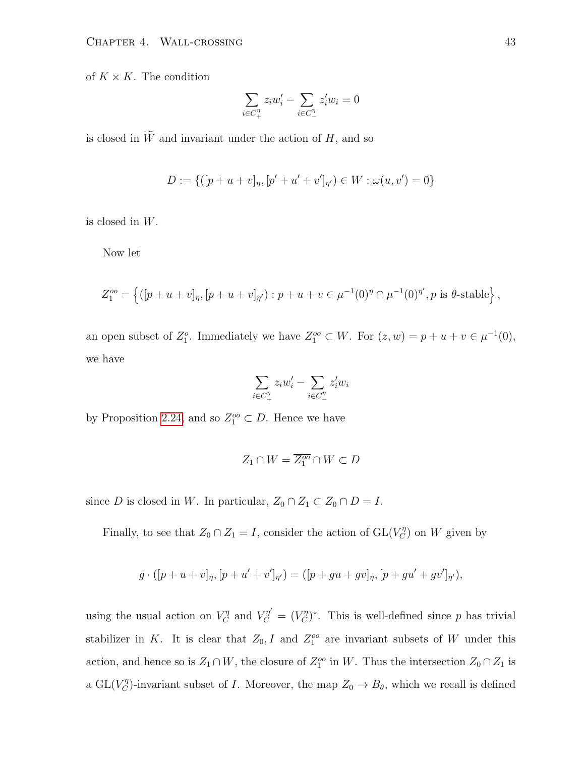of  $K \times K$ . The condition

$$
\sum_{i \in C_+^{\eta}} z_i w_i' - \sum_{i \in C_-^{\eta}} z_i' w_i = 0
$$

is closed in  $\widetilde{W}$  and invariant under the action of  $H$ , and so

$$
D := \{ ([p + u + v]_{\eta}, [p' + u' + v']_{\eta'}) \in W : \omega(u, v') = 0 \}
$$

is closed in W.

Now let

$$
Z_1^{oo} = \left\{ ([p+u+v]_{\eta}, [p+u+v]_{\eta'}) : p+u+v \in \mu^{-1}(0)^{\eta} \cap \mu^{-1}(0)^{\eta'}, p \text{ is } \theta\text{-stable} \right\},\
$$

an open subset of  $Z_1^o$ . Immediately we have  $Z_1^{oo} \subset W$ . For  $(z, w) = p + u + v \in \mu^{-1}(0)$ , we have

$$
\sum_{i \in C_+^{\eta}} z_i w'_i - \sum_{i \in C_-^{\eta}} z'_i w_i
$$

by Proposition [2.24,](#page-21-0) and so  $Z_1^{\circ\circ} \subset D$ . Hence we have

$$
Z_1\cap W=\overline{Z_1^{oo}}\cap W\subset D
$$

since D is closed in W. In particular,  $Z_0 \cap Z_1 \subset Z_0 \cap D = I$ .

Finally, to see that  $Z_0 \cap Z_1 = I$ , consider the action of  $GL(V_C^{\eta})$  on W given by

$$
g \cdot ([p+u+v]_{\eta}, [p+u'+v']_{\eta'}) = ([p+gu+gv]_{\eta}, [p+gu'+gv']_{\eta'}),
$$

using the usual action on  $V_C^{\eta}$  and  $V_C^{\eta'} = (V_C^{\eta})^*$ . This is well-defined since p has trivial stabilizer in K. It is clear that  $Z_0$ , I and  $Z_1^{oo}$  are invariant subsets of W under this action, and hence so is  $Z_1 \cap W$ , the closure of  $Z_1^{oo}$  in W. Thus the intersection  $Z_0 \cap Z_1$  is a  $GL(V_C^{\eta})$ -invariant subset of *I*. Moreover, the map  $Z_0 \to B_{\theta}$ , which we recall is defined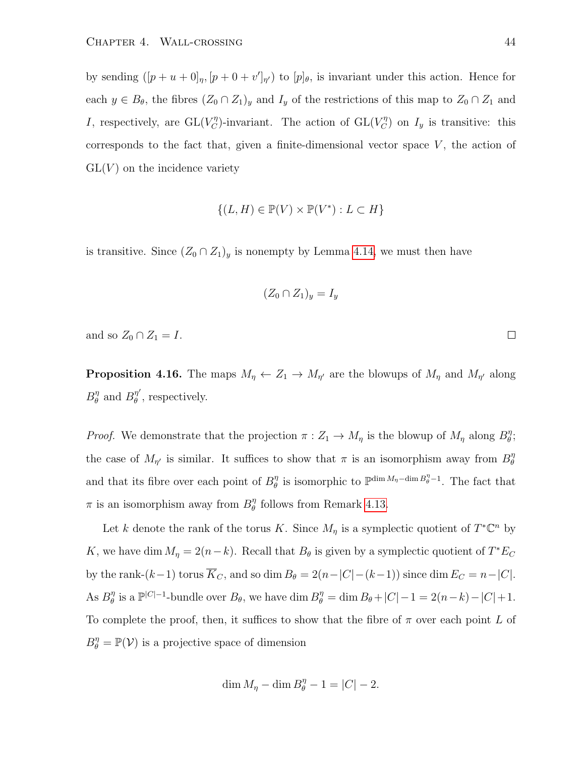by sending  $([p + u + 0]_p, [p + 0 + v']_{\eta'})$  to  $[p]_{\theta}$ , is invariant under this action. Hence for each  $y \in B_{\theta}$ , the fibres  $(Z_0 \cap Z_1)_y$  and  $I_y$  of the restrictions of this map to  $Z_0 \cap Z_1$  and I, respectively, are  $GL(V_C^{\eta})$ -invariant. The action of  $GL(V_C^{\eta})$  on  $I_y$  is transitive: this corresponds to the fact that, given a finite-dimensional vector space  $V$ , the action of  $GL(V)$  on the incidence variety

$$
\{(L, H) \in \mathbb{P}(V) \times \mathbb{P}(V^*) : L \subset H\}
$$

is transitive. Since  $(Z_0 \cap Z_1)_y$  is nonempty by Lemma [4.14,](#page-42-1) we must then have

$$
(Z_0 \cap Z_1)_y = I_y
$$

and so  $Z_0 \cap Z_1 = I$ .  $\Box$ 

<span id="page-47-0"></span>**Proposition 4.16.** The maps  $M_{\eta} \leftarrow Z_1 \rightarrow M_{\eta'}$  are the blowups of  $M_{\eta}$  and  $M_{\eta'}$  along  $B_{\theta}^{\eta}$  $\frac{\eta}{\theta}$  and  $B^{\eta'}_{\theta}$  $\eta$ <sup>*η*</sup>, respectively.

*Proof.* We demonstrate that the projection  $\pi : Z_1 \to M_\eta$  is the blowup of  $M_\eta$  along  $B_\theta^\eta$  $_{\theta}^{\eta}.$ the case of  $M_{\eta'}$  is similar. It suffices to show that  $\pi$  is an isomorphism away from  $B_{\theta}^{\eta}$ θ and that its fibre over each point of  $B_{\theta}^{\eta}$  $\eta$  is isomorphic to  $\mathbb{P}^{\dim M_{\eta}-\dim B_{\theta}^{\eta}-1}$ . The fact that  $\pi$  is an isomorphism away from  $B_{\theta}^{\eta}$  $\eta$ <sup>n</sup> follows from Remark [4.13.](#page-42-2)

Let k denote the rank of the torus K. Since  $M_{\eta}$  is a symplectic quotient of  $T^{\ast} \mathbb{C}^{n}$  by K, we have dim  $M_{\eta} = 2(n-k)$ . Recall that  $B_{\theta}$  is given by a symplectic quotient of  $T^*E_C$ by the rank- $(k-1)$  torus  $\overline{K}_C$ , and so dim  $B_\theta = 2(n-|C|-(k-1))$  since dim  $E_C = n-|C|$ . As  $B_{\theta}^{\eta}$  $\theta_{\theta}^{\eta}$  is a  $\mathbb{P}^{|C|-1}$ -bundle over  $B_{\theta}$ , we have dim  $B_{\theta}^{\eta} = \dim B_{\theta} + |C|-1 = 2(n-k) - |C| + 1$ . To complete the proof, then, it suffices to show that the fibre of  $\pi$  over each point L of  $B_{\theta}^{\eta} = \mathbb{P}(\mathcal{V})$  is a projective space of dimension

$$
\dim M_{\eta} - \dim B_{\theta}^{\eta} - 1 = |C| - 2.
$$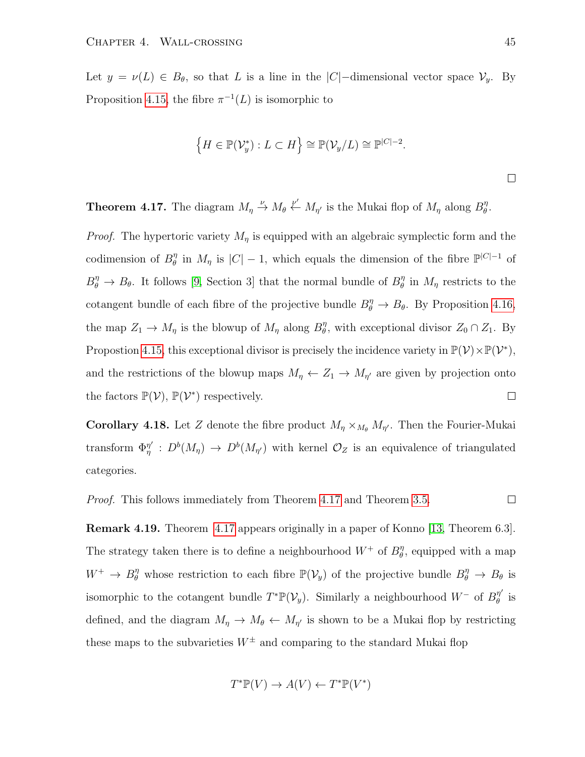Let  $y = \nu(L) \in B_\theta$ , so that L is a line in the  $|C|$ -dimensional vector space  $\mathcal{V}_y$ . By Proposition [4.15,](#page-44-0) the fibre  $\pi^{-1}(L)$  is isomorphic to

$$
\left\{H \in \mathbb{P}(\mathcal{V}_y^*): L \subset H\right\} \cong \mathbb{P}(\mathcal{V}_y/L) \cong \mathbb{P}^{|C|-2}.
$$

<span id="page-48-0"></span>**Theorem 4.17.** The diagram  $M_{\eta} \stackrel{\nu}{\to} M_{\theta} \stackrel{\nu'}{\leftarrow} M_{\eta'}$  is the Mukai flop of  $M_{\eta}$  along  $B_{\theta}^{\eta}$  $_{\theta}^{\eta}.$ 

*Proof.* The hypertoric variety  $M_{\eta}$  is equipped with an algebraic symplectic form and the codimension of  $B_{\theta}^{\eta}$  $\eta$ <sup>n</sup> in  $M_{\eta}$  is  $|C|-1$ , which equals the dimension of the fibre  $\mathbb{P}^{|C|-1}$  of  $B_{\theta}^{\eta} \to B_{\theta}$ . It follows [\[9,](#page-61-2) Section 3] that the normal bundle of  $B_{\theta}^{\eta}$  $\eta$ <sup>n</sup> in  $M_{\eta}$  restricts to the cotangent bundle of each fibre of the projective bundle  $B_{\theta}^{\eta} \to B_{\theta}$ . By Proposition [4.16,](#page-47-0) the map  $Z_1 \to M_\eta$  is the blowup of  $M_\eta$  along  $B_\theta^\eta$  $\theta$ , with exceptional divisor  $Z_0 \cap Z_1$ . By Propostion [4.15,](#page-44-0) this exceptional divisor is precisely the incidence variety in  $\mathbb{P}(\mathcal{V}) \times \mathbb{P}(\mathcal{V}^*)$ , and the restrictions of the blowup maps  $M_{\eta} \leftarrow Z_1 \rightarrow M_{\eta'}$  are given by projection onto the factors  $\mathbb{P}(\mathcal{V}), \mathbb{P}(\mathcal{V}^*)$  respectively.  $\Box$ 

**Corollary 4.18.** Let Z denote the fibre product  $M_{\eta} \times_{M_{\theta}} M_{\eta'}$ . Then the Fourier-Mukai transform  $\Phi_n^{\eta'}$  $\eta''_{\eta}$ :  $D^{b}(M_{\eta}) \to D^{b}(M_{\eta'})$  with kernel  $\mathcal{O}_{Z}$  is an equivalence of triangulated categories.

Proof. This follows immediately from Theorem [4.17](#page-48-0) and Theorem [3.5.](#page-32-0)  $\Box$ 

Remark 4.19. Theorem [4.17](#page-48-0) appears originally in a paper of Konno [\[13,](#page-62-2) Theorem 6.3]. The strategy taken there is to define a neighbourhood  $W^+$  of  $B_{\theta}^{\eta}$  $\eta$ <sup>*n*</sup>, equipped with a map  $W^+ \to B_\theta^{\eta}$  whose restriction to each fibre  $\mathbb{P}(\mathcal{V}_y)$  of the projective bundle  $B_\theta^{\eta} \to B_\theta$  is isomorphic to the cotangent bundle  $T^*\mathbb{P}(\mathcal{V}_y)$ . Similarly a neighbourhood  $W^-$  of  $B_{\theta}^{\eta'}$  $\begin{array}{cc} \eta & \text{is} \ \theta \end{array}$ defined, and the diagram  $M_{\eta} \to M_{\theta} \leftarrow M_{\eta'}$  is shown to be a Mukai flop by restricting these maps to the subvarieties  $W^{\pm}$  and comparing to the standard Mukai flop

$$
T^* \mathbb{P}(V) \to A(V) \leftarrow T^* \mathbb{P}(V^*)
$$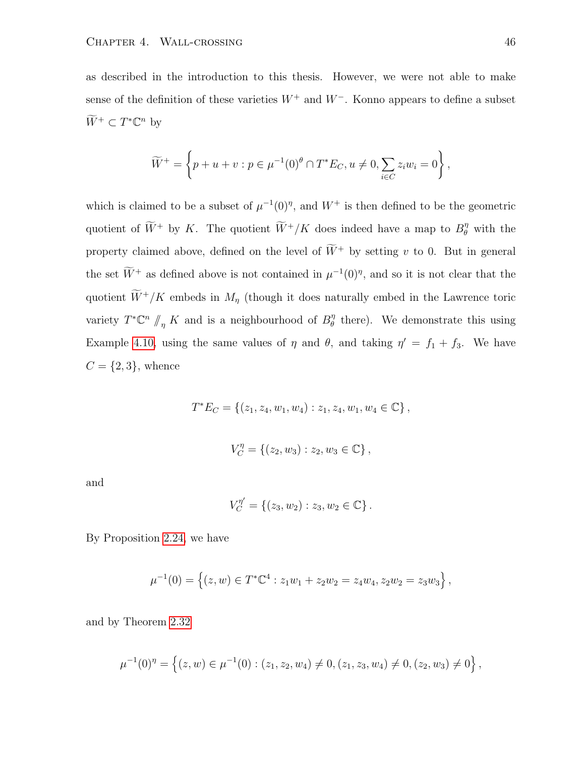as described in the introduction to this thesis. However, we were not able to make sense of the definition of these varieties  $W^+$  and  $W^-$ . Konno appears to define a subset  $\widetilde{W}^+ \subset T^*\mathbb{C}^n$  by

$$
\widetilde{W}^{+} = \left\{ p + u + v : p \in \mu^{-1}(0)^{\theta} \cap T^{*}E_{C}, u \neq 0, \sum_{i \in C} z_{i}w_{i} = 0 \right\},\
$$

which is claimed to be a subset of  $\mu^{-1}(0)$ <sup>n</sup>, and  $W^+$  is then defined to be the geometric quotient of  $\widetilde{W}^+$  by K. The quotient  $\widetilde{W}^+/K$  does indeed have a map to  $B_{\theta}^{\eta}$  with the property claimed above, defined on the level of  $\widetilde{W}^+$  by setting v to 0. But in general the set  $\tilde{W}^+$  as defined above is not contained in  $\mu^{-1}(0)$ <sup>n</sup>, and so it is not clear that the quotient  $\widetilde{W}^+/K$  embeds in  $M_\eta$  (though it does naturally embed in the Lawrence toric variety  $T^* \mathbb{C}^n \nparallel_n K$  and is a neighbourhood of  $B^n_\theta$  $\eta$ <sup>n</sup> there). We demonstrate this using Example [4.10,](#page-39-0) using the same values of  $\eta$  and  $\theta$ , and taking  $\eta' = f_1 + f_3$ . We have  $C = \{2, 3\}$ , whence

$$
T^*E_C = \{(z_1, z_4, w_1, w_4) : z_1, z_4, w_1, w_4 \in \mathbb{C}\},
$$

$$
V_C^{\eta} = \{(z_2, w_3) : z_2, w_3 \in \mathbb{C}\},\
$$

and

$$
V_C^{\eta'} = \{(z_3, w_2) : z_3, w_2 \in \mathbb{C}\}.
$$

By Proposition [2.24,](#page-21-0) we have

$$
\mu^{-1}(0) = \left\{ (z, w) \in T^* \mathbb{C}^4 : z_1 w_1 + z_2 w_2 = z_4 w_4, z_2 w_2 = z_3 w_3 \right\},\,
$$

and by Theorem [2.32](#page-25-0)

$$
\mu^{-1}(0)^{\eta} = \left\{ (z, w) \in \mu^{-1}(0) : (z_1, z_2, w_4) \neq 0, (z_1, z_3, w_4) \neq 0, (z_2, w_3) \neq 0 \right\},\
$$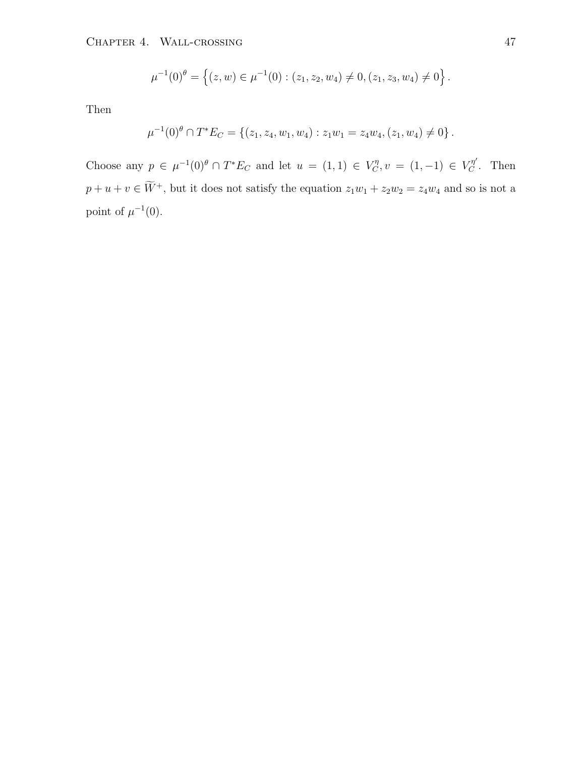CHAPTER 4. WALL-CROSSING 47

$$
\mu^{-1}(0)^{\theta} = \left\{ (z, w) \in \mu^{-1}(0) : (z_1, z_2, w_4) \neq 0, (z_1, z_3, w_4) \neq 0 \right\}.
$$

Then

$$
\mu^{-1}(0)^{\theta} \cap T^*E_C = \{(z_1, z_4, w_1, w_4) : z_1w_1 = z_4w_4, (z_1, w_4) \neq 0\}.
$$

Choose any  $p \in \mu^{-1}(0)^{\theta} \cap T^*E_C$  and let  $u = (1,1) \in V_C^{\eta}, v = (1,-1) \in V_C^{\eta'}$ . Then  $p + u + v \in \widetilde{W}^+$ , but it does not satisfy the equation  $z_1w_1 + z_2w_2 = z_4w_4$  and so is not a point of  $\mu^{-1}(0)$ .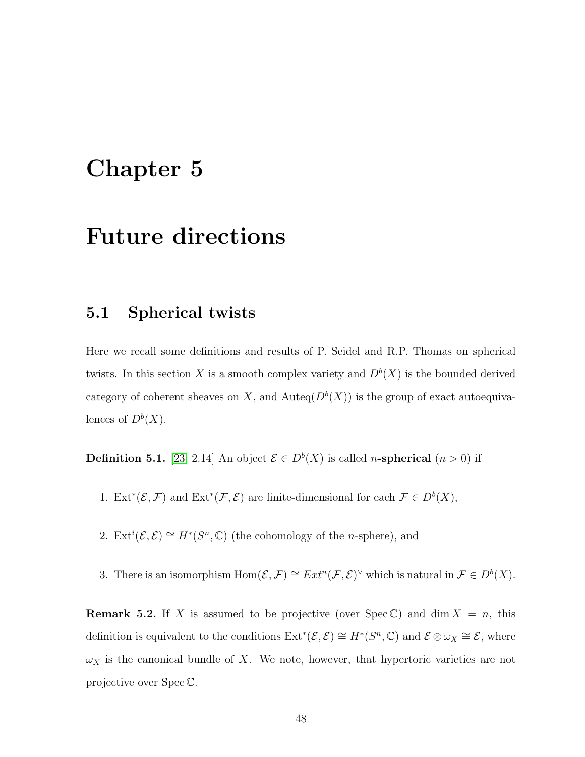## <span id="page-51-0"></span>Chapter 5

## Future directions

#### <span id="page-51-1"></span>5.1 Spherical twists

Here we recall some definitions and results of P. Seidel and R.P. Thomas on spherical twists. In this section X is a smooth complex variety and  $D^b(X)$  is the bounded derived category of coherent sheaves on X, and Auteq $(D^{b}(X))$  is the group of exact autoequivalences of  $D^b(X)$ .

**Definition 5.1.** [\[23,](#page-63-0) 2.14] An object  $\mathcal{E} \in D^b(X)$  is called *n*-spherical  $(n > 0)$  if

- 1. Ext<sup>\*</sup>( $\mathcal{E}, \mathcal{F}$ ) and Ext<sup>\*</sup>( $\mathcal{F}, \mathcal{E}$ ) are finite-dimensional for each  $\mathcal{F} \in D^b(X)$ ,
- 2. Ext<sup>*i*</sup>( $\mathcal{E}, \mathcal{E}$ )  $\cong H^*(S^n, \mathbb{C})$  (the cohomology of the *n*-sphere), and
- 3. There is an isomorphism  $\text{Hom}(\mathcal{E}, \mathcal{F}) \cong Ext^n(\mathcal{F}, \mathcal{E})^{\vee}$  which is natural in  $\mathcal{F} \in D^b(X)$ .

<span id="page-51-2"></span>**Remark 5.2.** If X is assumed to be projective (over Spec C) and dim  $X = n$ , this definition is equivalent to the conditions  $\text{Ext}^*(\mathcal{E}, \mathcal{E}) \cong H^*(S^n, \mathbb{C})$  and  $\mathcal{E} \otimes \omega_X \cong \mathcal{E}$ , where  $\omega_X$  is the canonical bundle of X. We note, however, that hypertoric varieties are not projective over Spec C.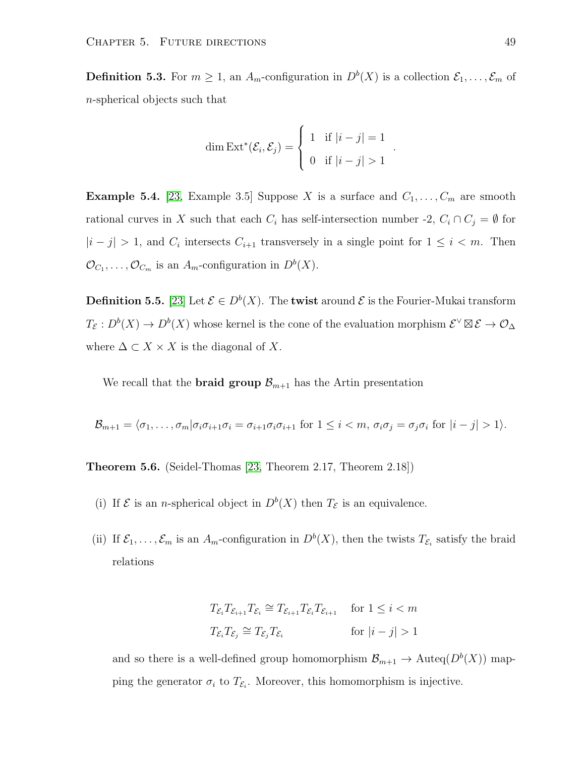**Definition 5.3.** For  $m \geq 1$ , an  $A_m$ -configuration in  $D^b(X)$  is a collection  $\mathcal{E}_1, \ldots, \mathcal{E}_m$  of n-spherical objects such that

$$
\dim \text{Ext}^*(\mathcal{E}_i, \mathcal{E}_j) = \begin{cases} 1 & \text{if } |i - j| = 1 \\ 0 & \text{if } |i - j| > 1 \end{cases}
$$

.

<span id="page-52-0"></span>**Example 5.4.** [\[23,](#page-63-0) Example 3.5] Suppose X is a surface and  $C_1, \ldots, C_m$  are smooth rational curves in X such that each  $C_i$  has self-intersection number -2,  $C_i \cap C_j = \emptyset$  for  $|i-j| > 1$ , and  $C_i$  intersects  $C_{i+1}$  transversely in a single point for  $1 \leq i < m$ . Then  $\mathcal{O}_{C_1}, \ldots, \mathcal{O}_{C_m}$  is an  $A_m$ -configuration in  $D^b(X)$ .

**Definition 5.5.** [\[23\]](#page-63-0) Let  $\mathcal{E} \in D^b(X)$ . The **twist** around  $\mathcal{E}$  is the Fourier-Mukai transform  $T_{\mathcal{E}}: D^b(X) \to D^b(X)$  whose kernel is the cone of the evaluation morphism  $\mathcal{E}^{\vee} \boxtimes \mathcal{E} \to \mathcal{O}_{\Delta}$ where  $\Delta \subset X \times X$  is the diagonal of X.

We recall that the **braid group**  $\mathcal{B}_{m+1}$  has the Artin presentation

$$
\mathcal{B}_{m+1} = \langle \sigma_1, \dots, \sigma_m | \sigma_i \sigma_{i+1} \sigma_i = \sigma_{i+1} \sigma_i \sigma_{i+1} \text{ for } 1 \leq i < m, \sigma_i \sigma_j = \sigma_j \sigma_i \text{ for } |i-j| > 1 \rangle.
$$

<span id="page-52-1"></span>Theorem 5.6. (Seidel-Thomas [\[23,](#page-63-0) Theorem 2.17, Theorem 2.18])

- (i) If  $\mathcal E$  is an *n*-spherical object in  $D^b(X)$  then  $T_{\mathcal E}$  is an equivalence.
- (ii) If  $\mathcal{E}_1,\ldots,\mathcal{E}_m$  is an  $A_m$ -configuration in  $D^b(X)$ , then the twists  $T_{\mathcal{E}_i}$  satisfy the braid relations

$$
T_{\mathcal{E}_i} T_{\mathcal{E}_{i+1}} T_{\mathcal{E}_i} \cong T_{\mathcal{E}_{i+1}} T_{\mathcal{E}_i} T_{\mathcal{E}_{i+1}} \quad \text{for } 1 \le i < m
$$
  

$$
T_{\mathcal{E}_i} T_{\mathcal{E}_j} \cong T_{\mathcal{E}_j} T_{\mathcal{E}_i} \qquad \text{for } |i - j| > 1
$$

and so there is a well-defined group homomorphism  $\mathcal{B}_{m+1} \to \text{Auteq}(D^b(X))$  mapping the generator  $\sigma_i$  to  $T_{\mathcal{E}_i}$ . Moreover, this homomorphism is injective.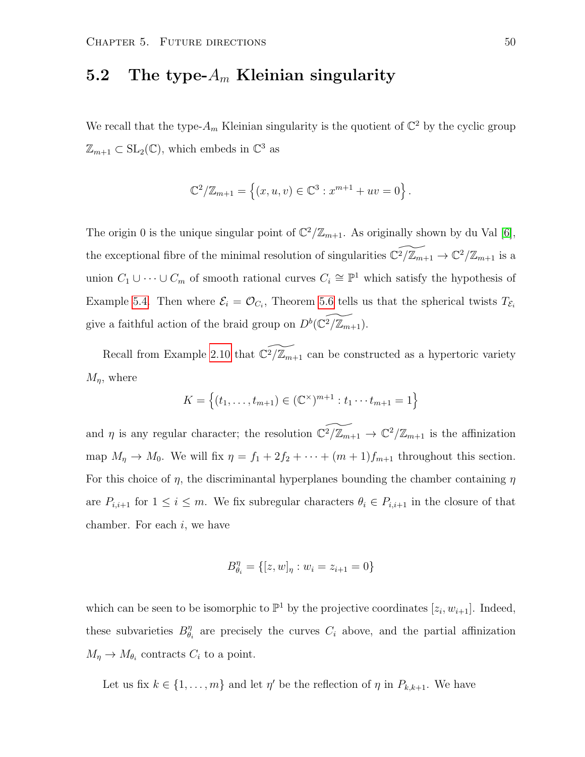### <span id="page-53-0"></span>5.2 The type- $A_m$  Kleinian singularity

We recall that the type- $A_m$  Kleinian singularity is the quotient of  $\mathbb{C}^2$  by the cyclic group  $\mathbb{Z}_{m+1} \subset SL_2(\mathbb{C})$ , which embeds in  $\mathbb{C}^3$  as

$$
\mathbb{C}^{2}/\mathbb{Z}_{m+1} = \{(x, u, v) \in \mathbb{C}^{3} : x^{m+1} + uv = 0\}.
$$

The origin 0 is the unique singular point of  $\mathbb{C}^2/\mathbb{Z}_{m+1}$ . As originally shown by du Val [\[6\]](#page-61-6), the exceptional fibre of the minimal resolution of singularities  $\widetilde{C}^2/\widetilde{Z}_{m+1} \to \widetilde{C}^2/\mathbb{Z}_{m+1}$  is a union  $C_1 \cup \cdots \cup C_m$  of smooth rational curves  $C_i \cong \mathbb{P}^1$  which satisfy the hypothesis of Example [5.4.](#page-52-0) Then where  $\mathcal{E}_i = \mathcal{O}_{C_i}$ , Theorem [5.6](#page-52-1) tells us that the spherical twists  $T_{\mathcal{E}_i}$ give a faithful action of the braid group on  $D^b(\widetilde{C^2/\mathbb{Z}_{m+1}})$ .

Recall from Example [2.10](#page-12-1) that  $\widetilde{C^2/\mathbb{Z}_{m+1}}$  can be constructed as a hypertoric variety  $M_{\eta}$ , where

$$
K = \{(t_1, \ldots, t_{m+1}) \in (\mathbb{C}^{\times})^{m+1} : t_1 \cdots t_{m+1} = 1\}
$$

and  $\eta$  is any regular character; the resolution  $\widetilde{C^2/\mathbb{Z}_{m+1}} \to \widetilde{C^2/\mathbb{Z}_{m+1}}$  is the affinization map  $M_{\eta} \to M_0$ . We will fix  $\eta = f_1 + 2f_2 + \cdots + (m+1)f_{m+1}$  throughout this section. For this choice of  $\eta$ , the discriminantal hyperplanes bounding the chamber containing  $\eta$ are  $P_{i,i+1}$  for  $1 \leq i \leq m$ . We fix subregular characters  $\theta_i \in P_{i,i+1}$  in the closure of that chamber. For each  $i$ , we have

$$
B_{\theta_i}^{\eta} = \{ [z, w]_{\eta} : w_i = z_{i+1} = 0 \}
$$

which can be seen to be isomorphic to  $\mathbb{P}^1$  by the projective coordinates  $[z_i, w_{i+1}]$ . Indeed, these subvarieties  $B_{\theta}^{\eta}$  $\eta$ <sub> $\theta_i$ </sub> are precisely the curves  $C_i$  above, and the partial affinization  $M_{\eta} \to M_{\theta_i}$  contracts  $C_i$  to a point.

Let us fix  $k \in \{1, ..., m\}$  and let  $\eta'$  be the reflection of  $\eta$  in  $P_{k,k+1}$ . We have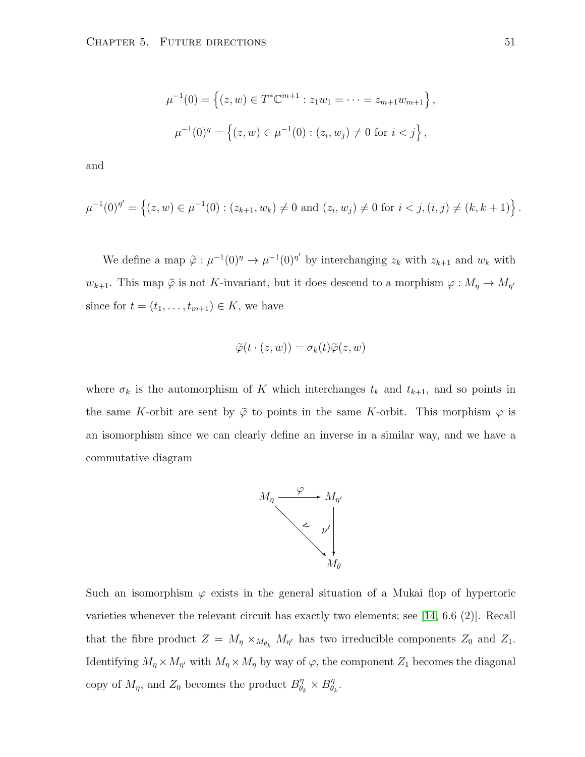$$
\mu^{-1}(0) = \left\{ (z, w) \in T^* \mathbb{C}^{m+1} : z_1 w_1 = \dots = z_{m+1} w_{m+1} \right\},\
$$

$$
\mu^{-1}(0)^{\eta} = \left\{ (z, w) \in \mu^{-1}(0) : (z_i, w_j) \neq 0 \text{ for } i < j \right\},\
$$

and

$$
\mu^{-1}(0)^{\eta'} = \left\{ (z, w) \in \mu^{-1}(0) : (z_{k+1}, w_k) \neq 0 \text{ and } (z_i, w_j) \neq 0 \text{ for } i < j, (i, j) \neq (k, k+1) \right\}.
$$

We define a map  $\tilde{\varphi}: \mu^{-1}(0)^{\eta} \to \mu^{-1}(0)^{\eta'}$  by interchanging  $z_k$  with  $z_{k+1}$  and  $w_k$  with  $w_{k+1}$ . This map  $\tilde{\varphi}$  is not K-invariant, but it does descend to a morphism  $\varphi: M_{\eta} \to M_{\eta'}$ since for  $t = (t_1, \ldots, t_{m+1}) \in K$ , we have

$$
\widetilde{\varphi}(t\cdot(z,w))=\sigma_k(t)\widetilde{\varphi}(z,w)
$$

where  $\sigma_k$  is the automorphism of K which interchanges  $t_k$  and  $t_{k+1}$ , and so points in the same K-orbit are sent by  $\tilde{\varphi}$  to points in the same K-orbit. This morphism  $\varphi$  is an isomorphism since we can clearly define an inverse in a similar way, and we have a commutative diagram



Such an isomorphism  $\varphi$  exists in the general situation of a Mukai flop of hypertoric varieties whenever the relevant circuit has exactly two elements; see [\[14,](#page-62-3) 6.6 (2)]. Recall that the fibre product  $Z = M_{\eta} \times_{M_{\theta_k}} M_{\eta'}$  has two irreducible components  $Z_0$  and  $Z_1$ . Identifying  $M_{\eta} \times M_{\eta'}$  with  $M_{\eta} \times M_{\eta}$  by way of  $\varphi$ , the component  $Z_1$  becomes the diagonal copy of  $M_{\eta}$ , and  $Z_0$  becomes the product  $B_{\theta_k}^{\eta} \times B_{\theta_k}^{\eta}$  $\frac{\eta}{\theta_k}$  .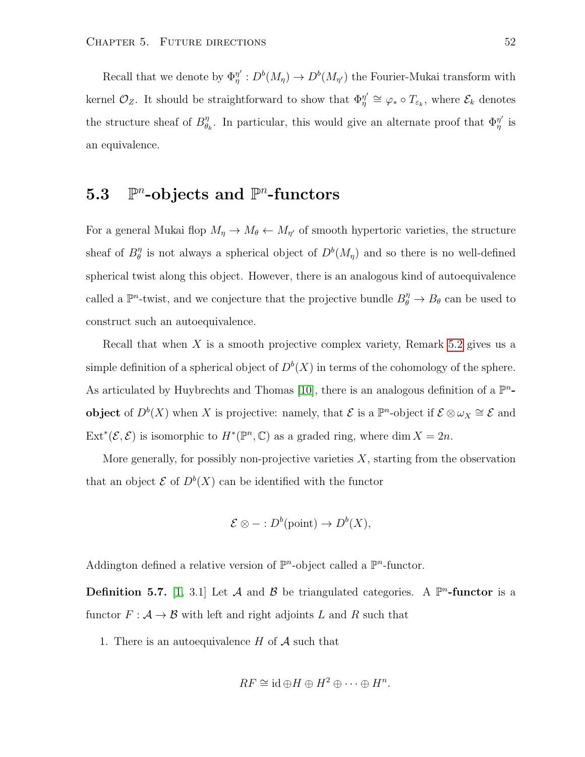Recall that we denote by  $\Phi_n^{\eta'}$  $\eta''_{\eta}: D^b(M_{\eta}) \to D^b(M_{\eta'})$  the Fourier-Mukai transform with kernel  $\mathcal{O}_Z$ . It should be straightforward to show that  $\Phi_{\eta}^{\eta'}$  $\eta''_n \cong \varphi_* \circ T_{\varepsilon_k}$ , where  $\mathcal{E}_k$  denotes the structure sheaf of  $B_{\theta}^{\eta}$  $\theta_k$ . In particular, this would give an alternate proof that  $\Phi_{\eta}^{\eta'}$  $_{\eta}^{\eta^{\prime}}$  is an equivalence.

#### <span id="page-55-0"></span> $5.3$  $^n$ -objects and  $\mathbb{P}^n$ -functors

For a general Mukai flop  $M_{\eta} \to M_{\theta} \leftarrow M_{\eta'}$  of smooth hypertoric varieties, the structure sheaf of  $B_{\theta}^{\eta}$  $\theta$  is not always a spherical object of  $D^b(M_{\eta})$  and so there is no well-defined spherical twist along this object. However, there is an analogous kind of autoequivalence called a  $\mathbb{P}^n$ -twist, and we conjecture that the projective bundle  $B_{\theta}^{\eta} \to B_{\theta}$  can be used to construct such an autoequivalence.

Recall that when X is a smooth projective complex variety, Remark [5.2](#page-51-2) gives us a simple definition of a spherical object of  $D^b(X)$  in terms of the cohomology of the sphere. As articulated by Huybrechts and Thomas [\[10\]](#page-61-7), there is an analogous definition of a  $\mathbb{P}^n$ **object** of  $D^b(X)$  when X is projective: namely, that  $\mathcal{E}$  is a  $\mathbb{P}^n$ -object if  $\mathcal{E} \otimes \omega_X \cong \mathcal{E}$  and Ext<sup>\*</sup>( $\mathcal{E}, \mathcal{E}$ ) is isomorphic to  $H^*(\mathbb{P}^n, \mathbb{C})$  as a graded ring, where dim  $X = 2n$ .

More generally, for possibly non-projective varieties  $X$ , starting from the observation that an object  $\mathcal E$  of  $D^b(X)$  can be identified with the functor

$$
\mathcal{E} \otimes - : D^b(\text{point}) \to D^b(X),
$$

Addington defined a relative version of  $\mathbb{P}^n$ -object called a  $\mathbb{P}^n$ -functor.

**Definition 5.7.** [\[1,](#page-61-8) 3.1] Let A and B be triangulated categories. A  $\mathbb{P}^n$ -functor is a functor  $F: \mathcal{A} \to \mathcal{B}$  with left and right adjoints L and R such that

1. There is an autoequivalence  $H$  of  $A$  such that

$$
RF \cong \mathrm{id} \oplus H \oplus H^2 \oplus \cdots \oplus H^n
$$

.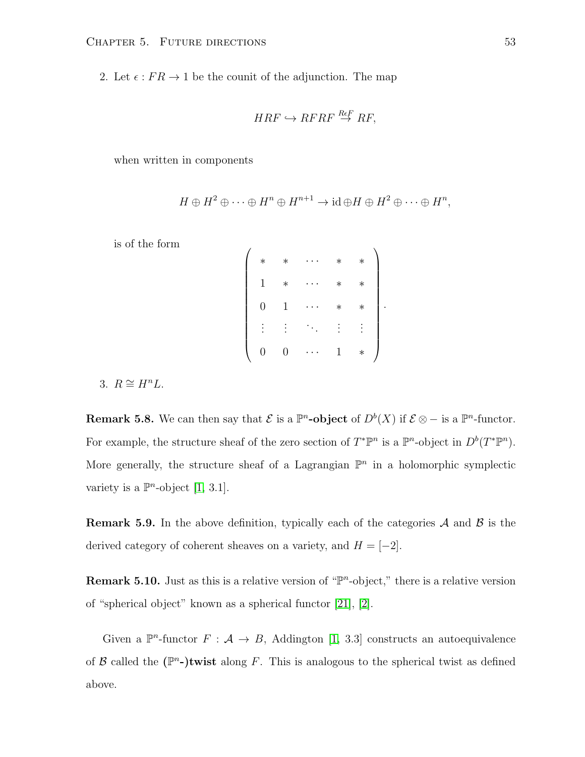2. Let  $\epsilon$ :  $FR \rightarrow 1$  be the counit of the adjunction. The map

 $\overline{ }$ 

$$
HRF \hookrightarrow RFRF \stackrel{ReF}{\rightarrow} RF,
$$

when written in components

$$
H \oplus H^2 \oplus \cdots \oplus H^n \oplus H^{n+1} \to \mathrm{id} \oplus H \oplus H^2 \oplus \cdots \oplus H^n,
$$

is of the form

| $\ast$         | $\ast$ | $\ast$ | $^\ast$ |  |
|----------------|--------|--------|---------|--|
| 1              | $\ast$ | $\ast$ | $\ast$  |  |
| $\overline{0}$ | 1      | $\ast$ | $\ast$  |  |
|                |        |        |         |  |
| O              | U      | 1      | $\ast$  |  |

3.  $R \cong H^nL$ .

**Remark 5.8.** We can then say that  $\mathcal{E}$  is a  $\mathbb{P}^n$ -object of  $D^b(X)$  if  $\mathcal{E} \otimes -$  is a  $\mathbb{P}^n$ -functor. For example, the structure sheaf of the zero section of  $T^*\mathbb{P}^n$  is a  $\mathbb{P}^n$ -object in  $D^b(T^*\mathbb{P}^n)$ . More generally, the structure sheaf of a Lagrangian  $\mathbb{P}^n$  in a holomorphic symplectic variety is a  $\mathbb{P}^n$ -object [\[1,](#page-61-8) 3.1].

**Remark 5.9.** In the above definition, typically each of the categories  $\mathcal A$  and  $\mathcal B$  is the derived category of coherent sheaves on a variety, and  $H = [-2]$ .

**Remark 5.10.** Just as this is a relative version of " $\mathbb{P}^n$ -object," there is a relative version of "spherical object" known as a spherical functor [\[21\]](#page-62-8), [\[2\]](#page-61-9).

Given a  $\mathbb{P}^n$ -functor  $F: \mathcal{A} \to B$ , Addington [\[1,](#page-61-8) 3.3] constructs an autoequivalence of  $\mathcal B$  called the  $(\mathbb P^n-)$ twist along F. This is analogous to the spherical twist as defined above.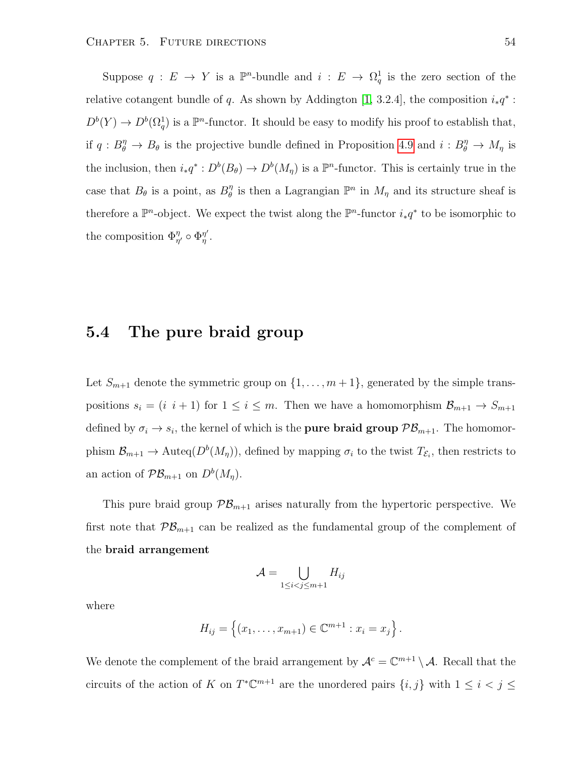Suppose  $q: E \to Y$  is a  $\mathbb{P}^n$ -bundle and  $i: E \to \Omega_q^1$  is the zero section of the relative cotangent bundle of q. As shown by Addington [\[1,](#page-61-8) 3.2.4], the composition  $i_*q^*$ :  $D^{b}(Y) \to D^{b}(\Omega_{q}^{1})$  is a  $\mathbb{P}^{n}$ -functor. It should be easy to modify his proof to establish that, if  $q: B_{\theta}^{\eta} \to B_{\theta}$  is the projective bundle defined in Proposition [4.9](#page-38-0) and  $i: B_{\theta}^{\eta} \to M_{\eta}$  is the inclusion, then  $i_*q^*: D^b(B_\theta) \to D^b(M_\eta)$  is a  $\mathbb{P}^n$ -functor. This is certainly true in the case that  $B_{\theta}$  is a point, as  $B_{\theta}^{\eta}$  $\eta$  is then a Lagrangian  $\mathbb{P}^n$  in  $M_\eta$  and its structure sheaf is therefore a  $\mathbb{P}^n$ -object. We expect the twist along the  $\mathbb{P}^n$ -functor  $i_*q^*$  to be isomorphic to the composition  $\Phi_{\eta'}^{\eta} \circ \Phi_{\eta}^{\eta'}$  $_{\eta}^{\eta^{\prime}}.$ 

#### <span id="page-57-0"></span>5.4 The pure braid group

Let  $S_{m+1}$  denote the symmetric group on  $\{1, \ldots, m+1\}$ , generated by the simple transpositions  $s_i = (i \ i+1)$  for  $1 \le i \le m$ . Then we have a homomorphism  $\mathcal{B}_{m+1} \to S_{m+1}$ defined by  $\sigma_i \to s_i$ , the kernel of which is the **pure braid group**  $\mathcal{PB}_{m+1}$ . The homomorphism  $\mathcal{B}_{m+1} \to \text{Auteq}(D^b(M_n))$ , defined by mapping  $\sigma_i$  to the twist  $T_{\mathcal{E}_i}$ , then restricts to an action of  $\mathcal{PB}_{m+1}$  on  $D^b(M_\eta)$ .

This pure braid group  $\mathcal{PB}_{m+1}$  arises naturally from the hypertoric perspective. We first note that  $\mathcal{PB}_{m+1}$  can be realized as the fundamental group of the complement of the braid arrangement

$$
\mathcal{A} = \bigcup_{1 \le i < j \le m+1} H_{ij}
$$

where

$$
H_{ij} = \{(x_1, \ldots, x_{m+1}) \in \mathbb{C}^{m+1} : x_i = x_j\}
$$

.

We denote the complement of the braid arrangement by  $\mathcal{A}^c = \mathbb{C}^{m+1} \setminus \mathcal{A}$ . Recall that the circuits of the action of K on  $T^{\ast} \mathbb{C}^{m+1}$  are the unordered pairs  $\{i, j\}$  with  $1 \leq i < j \leq n$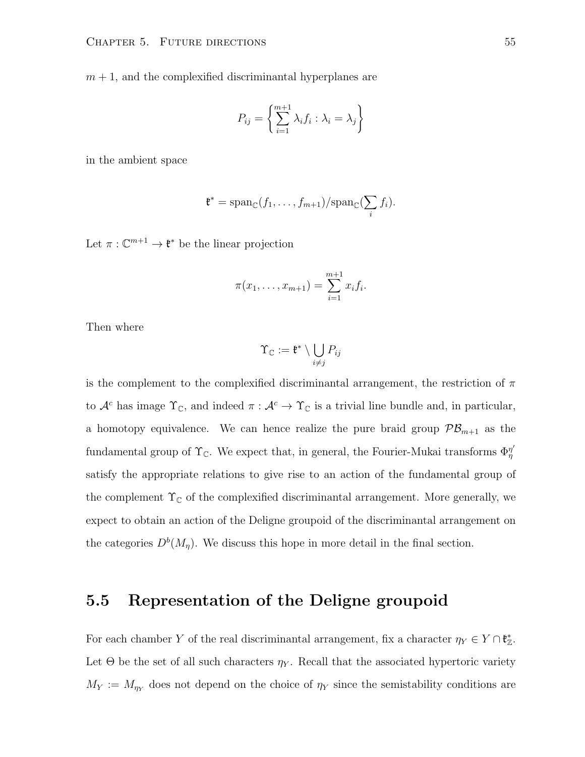$m + 1$ , and the complexified discriminantal hyperplanes are

$$
P_{ij} = \left\{ \sum_{i=1}^{m+1} \lambda_i f_i : \lambda_i = \lambda_j \right\}
$$

in the ambient space

$$
\mathfrak{k}^* = \mathrm{span}_{\mathbb{C}}(f_1, \ldots, f_{m+1})/\mathrm{span}_{\mathbb{C}}(\sum_i f_i).
$$

Let  $\pi: \mathbb{C}^{m+1} \to \mathfrak{k}^*$  be the linear projection

$$
\pi(x_1,\ldots,x_{m+1})=\sum_{i=1}^{m+1}x_if_i.
$$

Then where

$$
\Upsilon_{\mathbb{C}}:=\mathfrak{k}^*\setminus \bigcup_{i\neq j}P_{ij}
$$

is the complement to the complexified discriminantal arrangement, the restriction of  $\pi$ to  $\mathcal{A}^c$  has image  $\Upsilon_c$ , and indeed  $\pi : \mathcal{A}^c \to \Upsilon_c$  is a trivial line bundle and, in particular, a homotopy equivalence. We can hence realize the pure braid group  $\mathcal{PB}_{m+1}$  as the fundamental group of  $\Upsilon_{\mathbb{C}}$ . We expect that, in general, the Fourier-Mukai transforms  $\Phi_n^{\eta'}$ η satisfy the appropriate relations to give rise to an action of the fundamental group of the complement  $\Upsilon_{\mathbb{C}}$  of the complexified discriminantal arrangement. More generally, we expect to obtain an action of the Deligne groupoid of the discriminantal arrangement on the categories  $D^b(M_{\eta})$ . We discuss this hope in more detail in the final section.

#### <span id="page-58-0"></span>5.5 Representation of the Deligne groupoid

For each chamber Y of the real discriminantal arrangement, fix a character  $\eta_Y \in Y \cap \mathfrak{k}_\mathbb{Z}^*$ . Let  $\Theta$  be the set of all such characters  $\eta_Y$ . Recall that the associated hypertoric variety  $M_Y := M_{\eta_Y}$  does not depend on the choice of  $\eta_Y$  since the semistability conditions are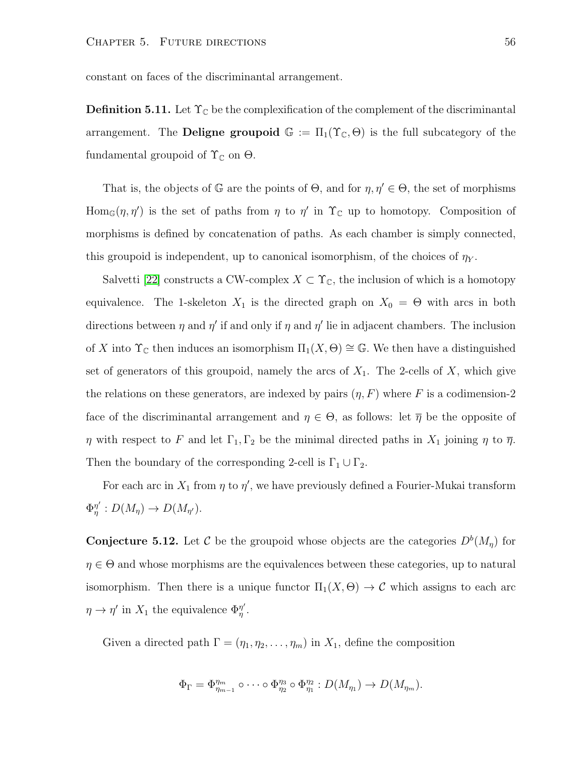constant on faces of the discriminantal arrangement.

**Definition 5.11.** Let  $\Upsilon_{\mathbb{C}}$  be the complexification of the complement of the discriminantal arrangement. The **Deligne groupoid**  $\mathbb{G} := \Pi_1(\Upsilon_{\mathbb{C}}, \Theta)$  is the full subcategory of the fundamental groupoid of  $\Upsilon_{\mathbb{C}}$  on  $\Theta$ .

That is, the objects of  $\mathbb G$  are the points of  $\Theta$ , and for  $\eta, \eta' \in \Theta$ , the set of morphisms Hom<sub>G</sub> $(\eta, \eta')$  is the set of paths from  $\eta$  to  $\eta'$  in  $\Upsilon_{\mathbb{C}}$  up to homotopy. Composition of morphisms is defined by concatenation of paths. As each chamber is simply connected, this groupoid is independent, up to canonical isomorphism, of the choices of  $\eta_Y$ .

Salvetti [\[22\]](#page-62-9) constructs a CW-complex  $X \subset \Upsilon_{\mathbb{C}}$ , the inclusion of which is a homotopy equivalence. The 1-skeleton  $X_1$  is the directed graph on  $X_0 = \Theta$  with arcs in both directions between  $\eta$  and  $\eta'$  if and only if  $\eta$  and  $\eta'$  lie in adjacent chambers. The inclusion of X into  $\Upsilon_{\mathbb{C}}$  then induces an isomorphism  $\Pi_1(X, \Theta) \cong \mathbb{G}$ . We then have a distinguished set of generators of this groupoid, namely the arcs of  $X_1$ . The 2-cells of  $X$ , which give the relations on these generators, are indexed by pairs  $(\eta, F)$  where F is a codimension-2 face of the discriminantal arrangement and  $\eta \in \Theta$ , as follows: let  $\overline{\eta}$  be the opposite of  $\eta$  with respect to F and let  $\Gamma_1, \Gamma_2$  be the minimal directed paths in  $X_1$  joining  $\eta$  to  $\overline{\eta}$ . Then the boundary of the corresponding 2-cell is  $\Gamma_1 \cup \Gamma_2$ .

For each arc in  $X_1$  from  $\eta$  to  $\eta'$ , we have previously defined a Fourier-Mukai transform  $\Phi^{\eta'}_n$  $\eta'_{\eta}: D(M_{\eta}) \to D(M_{\eta'}).$ 

<span id="page-59-0"></span>**Conjecture 5.12.** Let C be the groupoid whose objects are the categories  $D^b(M_{\eta})$  for  $\eta \in \Theta$  and whose morphisms are the equivalences between these categories, up to natural isomorphism. Then there is a unique functor  $\Pi_1(X, \Theta) \to \mathcal{C}$  which assigns to each arc  $\eta \to \eta'$  in  $X_1$  the equivalence  $\Phi_{\eta}^{\eta'}$  $_{\eta}^{\eta^{\prime}}.$ 

Given a directed path  $\Gamma = (\eta_1, \eta_2, \dots, \eta_m)$  in  $X_1$ , define the composition

$$
\Phi_{\Gamma} = \Phi_{\eta_{m-1}}^{\eta_m} \circ \cdots \circ \Phi_{\eta_2}^{\eta_3} \circ \Phi_{\eta_1}^{\eta_2} : D(M_{\eta_1}) \to D(M_{\eta_m}).
$$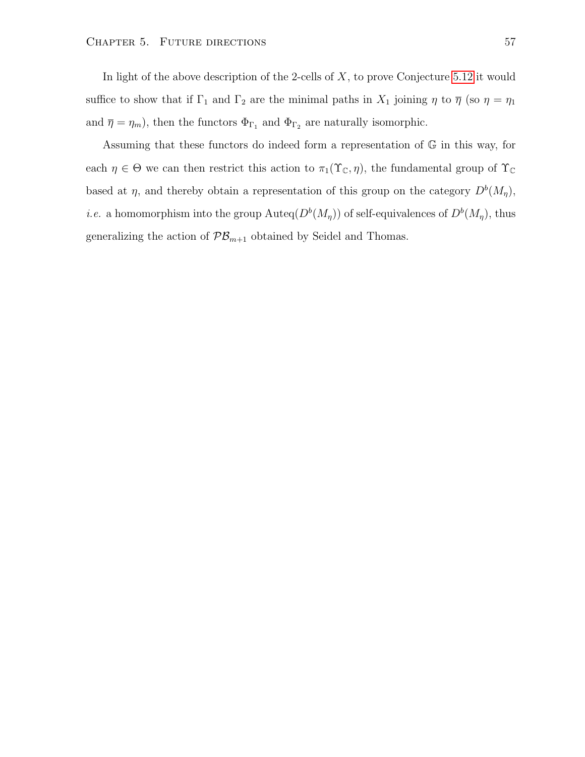In light of the above description of the 2-cells of  $X$ , to prove Conjecture [5.12](#page-59-0) it would suffice to show that if  $\Gamma_1$  and  $\Gamma_2$  are the minimal paths in  $X_1$  joining  $\eta$  to  $\overline{\eta}$  (so  $\eta = \eta_1$ and  $\bar{\eta} = \eta_m$ , then the functors  $\Phi_{\Gamma_1}$  and  $\Phi_{\Gamma_2}$  are naturally isomorphic.

Assuming that these functors do indeed form a representation of G in this way, for each  $\eta \in \Theta$  we can then restrict this action to  $\pi_1(\Upsilon_{\mathbb{C}}, \eta)$ , the fundamental group of  $\Upsilon_{\mathbb{C}}$ based at  $\eta$ , and thereby obtain a representation of this group on the category  $D^{b}(M_{\eta})$ , *i.e.* a homomorphism into the group  $\text{Auteq}(D^b(M_n))$  of self-equivalences of  $D^b(M_n)$ , thus generalizing the action of  $\mathcal{PB}_{m+1}$  obtained by Seidel and Thomas.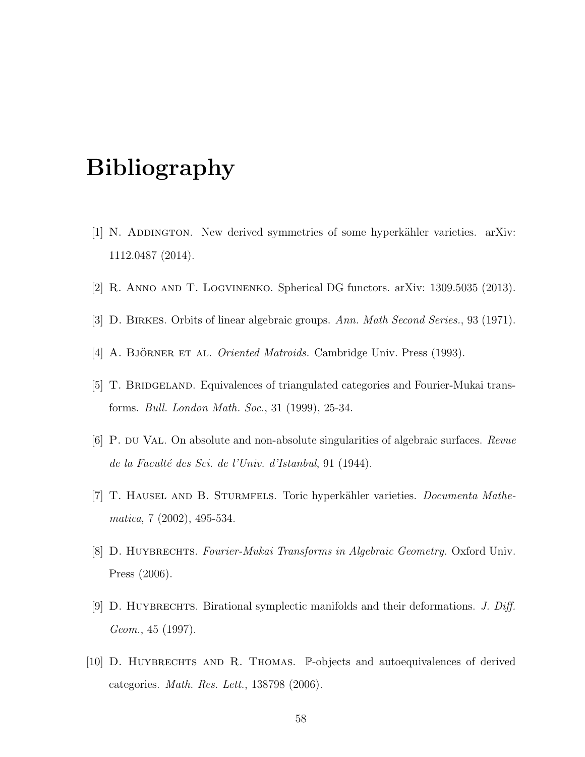## Bibliography

- <span id="page-61-8"></span>[1] N. ADDINGTON. New derived symmetries of some hyperkähler varieties. arXiv: 1112.0487 (2014).
- <span id="page-61-9"></span><span id="page-61-4"></span>[2] R. Anno and T. Logvinenko. Spherical DG functors. arXiv: 1309.5035 (2013).
- <span id="page-61-0"></span>[3] D. Birkes. Orbits of linear algebraic groups. Ann. Math Second Series., 93 (1971).
- <span id="page-61-3"></span>[4] A. BJÖRNER ET AL. *Oriented Matroids*. Cambridge Univ. Press (1993).
- [5] T. BRIDGELAND. Equivalences of triangulated categories and Fourier-Mukai transforms. Bull. London Math. Soc., 31 (1999), 25-34.
- <span id="page-61-6"></span>[6] P. du Val. On absolute and non-absolute singularities of algebraic surfaces. Revue de la Faculté des Sci. de l'Univ. d'Istanbul, 91 (1944).
- <span id="page-61-5"></span>[7] T. HAUSEL AND B. STURMFELS. Toric hyperkähler varieties. *Documenta Mathe*matica, 7 (2002), 495-534.
- <span id="page-61-1"></span>[8] D. HUYBRECHTS. Fourier-Mukai Transforms in Algebraic Geometry. Oxford Univ. Press (2006).
- <span id="page-61-2"></span>[9] D. HUYBRECHTS. Birational symplectic manifolds and their deformations. J. Diff. Geom., 45 (1997).
- <span id="page-61-7"></span>[10] D. HUYBRECHTS AND R. THOMAS. P-objects and autoequivalences of derived categories. Math. Res. Lett., 138798 (2006).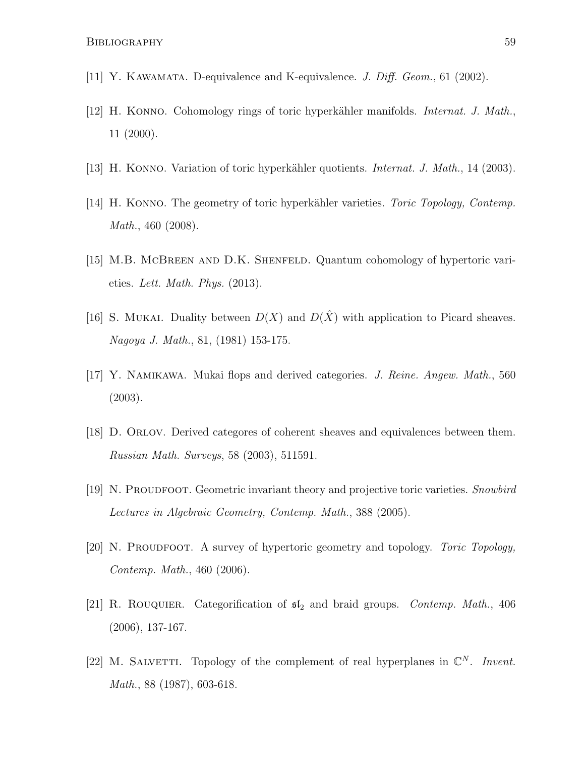- <span id="page-62-5"></span><span id="page-62-0"></span>[11] Y. KAWAMATA. D-equivalence and K-equivalence. *J. Diff. Geom.*, 61 (2002).
- [12] H. KONNO. Cohomology rings of toric hyperkähler manifolds. *Internat. J. Math.*, 11 (2000).
- <span id="page-62-3"></span><span id="page-62-2"></span>[13] H. KONNO. Variation of toric hyperkähler quotients. *Internat. J. Math.*, 14 (2003).
- [14] H. KONNO. The geometry of toric hyperkähler varieties. *Toric Topology, Contemp.* Math., 460 (2008).
- [15] M.B. McBreen and D.K. Shenfeld. Quantum cohomology of hypertoric varieties. Lett. Math. Phys. (2013).
- <span id="page-62-7"></span>[16] S. MUKAI. Duality between  $D(X)$  and  $D(\hat{X})$  with application to Picard sheaves. Nagoya J. Math., 81, (1981) 153-175.
- <span id="page-62-1"></span>[17] Y. Namikawa. Mukai flops and derived categories. J. Reine. Angew. Math., 560 (2003).
- <span id="page-62-6"></span>[18] D. Orlov. Derived categores of coherent sheaves and equivalences between them. Russian Math. Surveys, 58 (2003), 511591.
- <span id="page-62-4"></span>[19] N. PROUDFOOT. Geometric invariant theory and projective toric varieties. Snowbird Lectures in Algebraic Geometry, Contemp. Math., 388 (2005).
- [20] N. PROUDFOOT. A survey of hypertoric geometry and topology. Toric Topology, Contemp. Math., 460 (2006).
- <span id="page-62-8"></span>[21] R. ROUQUIER. Categorification of  $\mathfrak{sl}_2$  and braid groups. *Contemp. Math.*, 406 (2006), 137-167.
- <span id="page-62-9"></span>[22] M. SALVETTI. Topology of the complement of real hyperplanes in  $\mathbb{C}^N$ . Invent. Math., 88 (1987), 603-618.